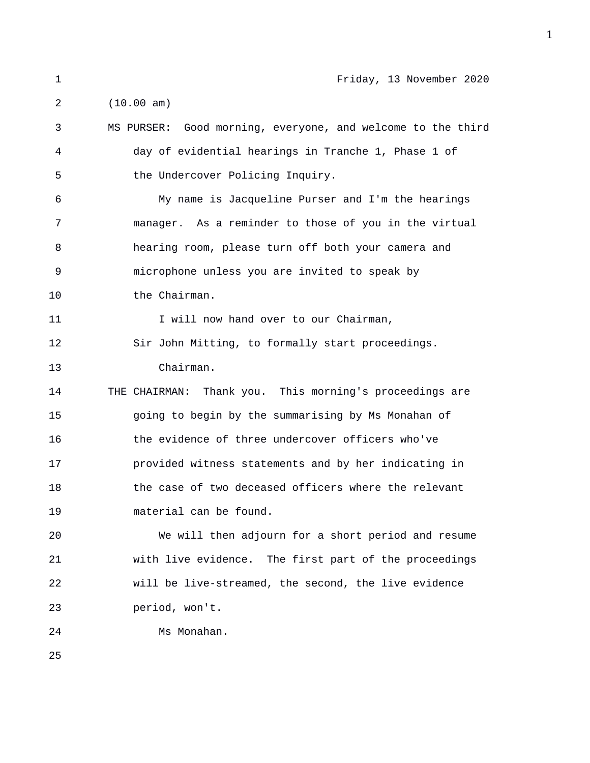1 Friday, 13 November 2020 2 (10.00 am) 3 MS PURSER: Good morning, everyone, and welcome to the third 4 day of evidential hearings in Tranche 1, Phase 1 of 5 the Undercover Policing Inquiry. 6 My name is Jacqueline Purser and I'm the hearings 7 manager. As a reminder to those of you in the virtual 8 hearing room, please turn off both your camera and 9 microphone unless you are invited to speak by 10 the Chairman. 11 11 I will now hand over to our Chairman, 12 Sir John Mitting, to formally start proceedings. 13 Chairman. 14 THE CHAIRMAN: Thank you. This morning's proceedings are 15 going to begin by the summarising by Ms Monahan of 16 the evidence of three undercover officers who've 17 provided witness statements and by her indicating in 18 the case of two deceased officers where the relevant 19 material can be found. 20 We will then adjourn for a short period and resume 21 with live evidence. The first part of the proceedings 22 will be live-streamed, the second, the live evidence 23 period, won't.

24 Ms Monahan.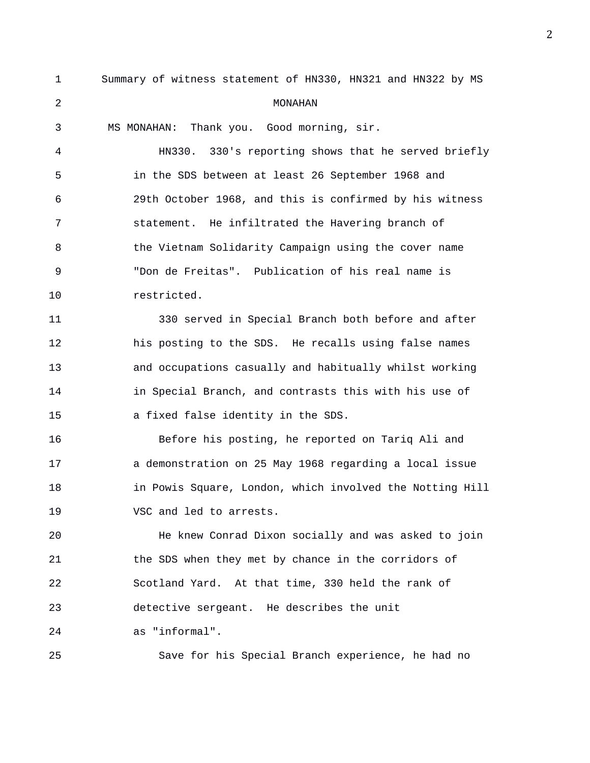| $\mathbf 1$ | Summary of witness statement of HN330, HN321 and HN322 by MS |
|-------------|--------------------------------------------------------------|
| 2           | MONAHAN                                                      |
| 3           | Thank you. Good morning, sir.<br>MS MONAHAN:                 |
| 4           | HN330. 330's reporting shows that he served briefly          |
| 5           | in the SDS between at least 26 September 1968 and            |
| 6           | 29th October 1968, and this is confirmed by his witness      |
| 7           | statement. He infiltrated the Havering branch of             |
| 8           | the Vietnam Solidarity Campaign using the cover name         |
| 9           | "Don de Freitas". Publication of his real name is            |
| 10          | restricted.                                                  |
| 11          | 330 served in Special Branch both before and after           |
| 12          | his posting to the SDS. He recalls using false names         |
| 13          | and occupations casually and habitually whilst working       |
| 14          | in Special Branch, and contrasts this with his use of        |
| 15          | a fixed false identity in the SDS.                           |
| 16          | Before his posting, he reported on Tariq Ali and             |
| 17          | a demonstration on 25 May 1968 regarding a local issue       |
| 18          | in Powis Square, London, which involved the Notting Hill     |
| 19          | VSC and led to arrests.                                      |
| 20          | He knew Conrad Dixon socially and was asked to join          |
| 21          | the SDS when they met by chance in the corridors of          |
| 22          | Scotland Yard. At that time, 330 held the rank of            |
| 23          | detective sergeant. He describes the unit                    |
| 24          | as "informal".                                               |
| 25          | Save for his Special Branch experience, he had no            |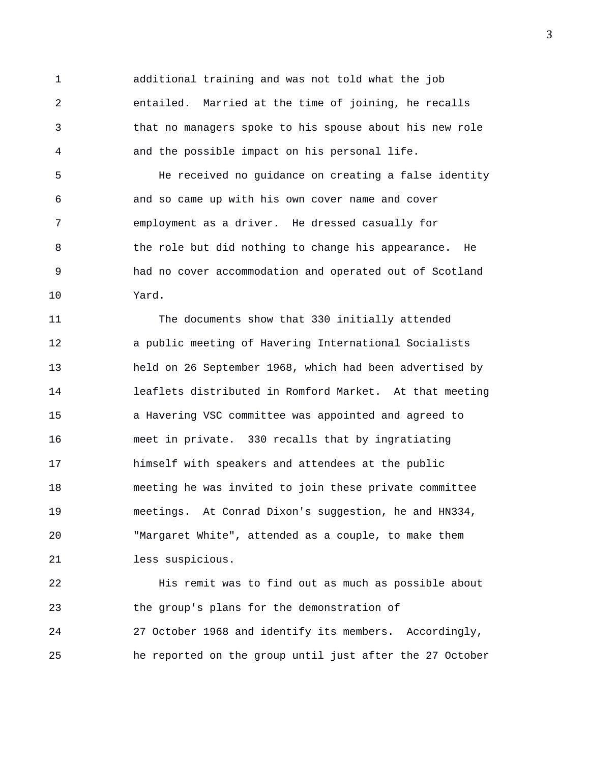1 additional training and was not told what the job 2 entailed. Married at the time of joining, he recalls 3 that no managers spoke to his spouse about his new role 4 and the possible impact on his personal life.

5 He received no guidance on creating a false identity 6 and so came up with his own cover name and cover 7 employment as a driver. He dressed casually for 8 6 1 1 the role but did nothing to change his appearance. He 9 had no cover accommodation and operated out of Scotland 10 Yard.

11 The documents show that 330 initially attended 12 a public meeting of Havering International Socialists 13 held on 26 September 1968, which had been advertised by 14 leaflets distributed in Romford Market. At that meeting 15 a Havering VSC committee was appointed and agreed to 16 meet in private. 330 recalls that by ingratiating 17 himself with speakers and attendees at the public 18 meeting he was invited to join these private committee 19 meetings. At Conrad Dixon's suggestion, he and HN334, 20 "Margaret White", attended as a couple, to make them 21 less suspicious.

22 His remit was to find out as much as possible about 23 the group's plans for the demonstration of 24 27 October 1968 and identify its members. Accordingly, 25 he reported on the group until just after the 27 October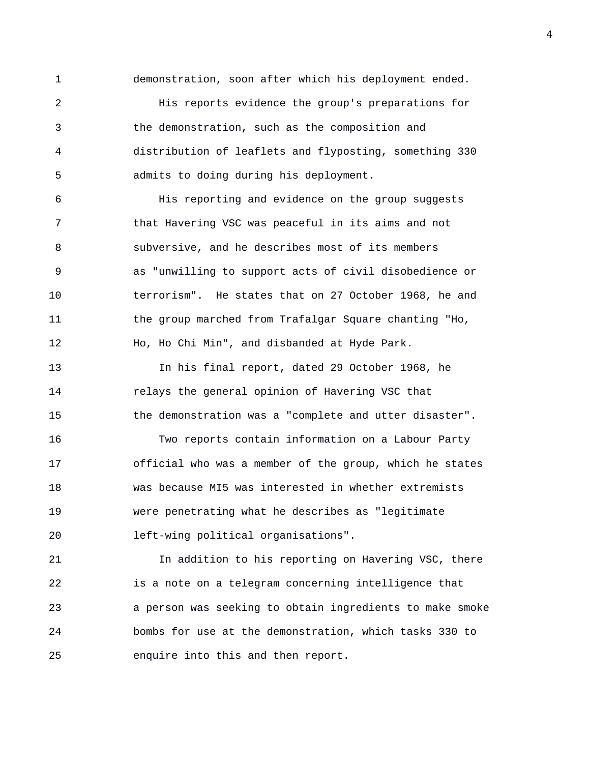1 demonstration, soon after which his deployment ended.

2 His reports evidence the group's preparations for 3 the demonstration, such as the composition and 4 distribution of leaflets and flyposting, something 330 5 admits to doing during his deployment.

6 His reporting and evidence on the group suggests 7 that Havering VSC was peaceful in its aims and not 8 subversive, and he describes most of its members 9 as "unwilling to support acts of civil disobedience or 10 terrorism". He states that on 27 October 1968, he and 11 the group marched from Trafalgar Square chanting "Ho, 12 Ho, Ho Chi Min", and disbanded at Hyde Park.

13 In his final report, dated 29 October 1968, he 14 relays the general opinion of Havering VSC that 15 the demonstration was a "complete and utter disaster".

16 Two reports contain information on a Labour Party 17 official who was a member of the group, which he states 18 was because MI5 was interested in whether extremists 19 were penetrating what he describes as "legitimate 20 left-wing political organisations".

21 In addition to his reporting on Havering VSC, there 22 is a note on a telegram concerning intelligence that 23 a person was seeking to obtain ingredients to make smoke 24 bombs for use at the demonstration, which tasks 330 to 25 enquire into this and then report.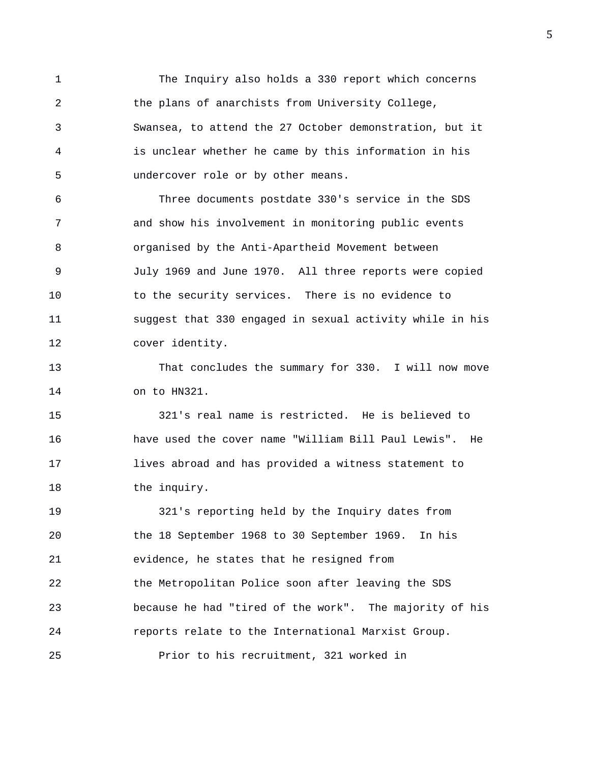1 The Inquiry also holds a 330 report which concerns 2 the plans of anarchists from University College, 3 Swansea, to attend the 27 October demonstration, but it 4 is unclear whether he came by this information in his 5 undercover role or by other means.

6 Three documents postdate 330's service in the SDS 7 and show his involvement in monitoring public events 8 organised by the Anti-Apartheid Movement between 9 July 1969 and June 1970. All three reports were copied 10 to the security services. There is no evidence to 11 suggest that 330 engaged in sexual activity while in his 12 cover identity.

13 That concludes the summary for 330. I will now move 14 on to HN321.

15 321's real name is restricted. He is believed to 16 have used the cover name "William Bill Paul Lewis". He 17 lives abroad and has provided a witness statement to 18 the inquiry.

19 321's reporting held by the Inquiry dates from 20 the 18 September 1968 to 30 September 1969. In his 21 evidence, he states that he resigned from 22 the Metropolitan Police soon after leaving the SDS 23 because he had "tired of the work". The majority of his 24 reports relate to the International Marxist Group. 25 Prior to his recruitment, 321 worked in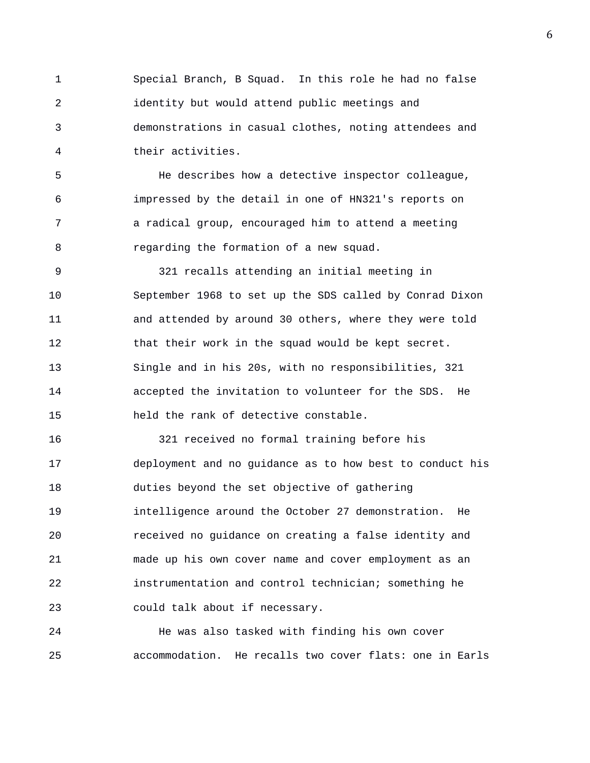1 Special Branch, B Squad. In this role he had no false 2 identity but would attend public meetings and 3 demonstrations in casual clothes, noting attendees and 4 their activities.

5 He describes how a detective inspector colleague, 6 impressed by the detail in one of HN321's reports on 7 a radical group, encouraged him to attend a meeting 8 regarding the formation of a new squad.

9 321 recalls attending an initial meeting in 10 September 1968 to set up the SDS called by Conrad Dixon 11 and attended by around 30 others, where they were told 12 that their work in the squad would be kept secret. 13 Single and in his 20s, with no responsibilities, 321 14 accepted the invitation to volunteer for the SDS. He 15 held the rank of detective constable.

16 321 received no formal training before his 17 deployment and no guidance as to how best to conduct his 18 duties beyond the set objective of gathering 19 intelligence around the October 27 demonstration. He 20 received no guidance on creating a false identity and 21 made up his own cover name and cover employment as an 22 instrumentation and control technician; something he 23 could talk about if necessary.

24 He was also tasked with finding his own cover 25 accommodation. He recalls two cover flats: one in Earls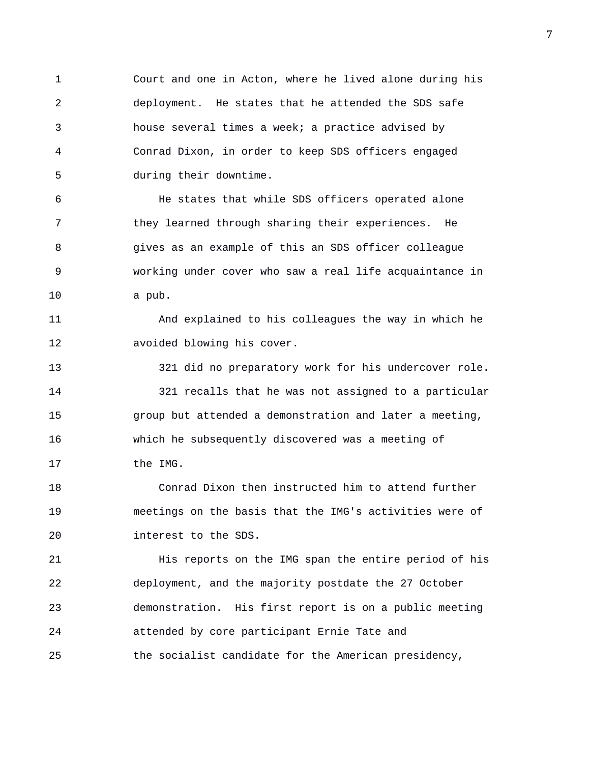1 Court and one in Acton, where he lived alone during his 2 deployment. He states that he attended the SDS safe 3 house several times a week; a practice advised by 4 Conrad Dixon, in order to keep SDS officers engaged 5 during their downtime.

6 He states that while SDS officers operated alone 7 they learned through sharing their experiences. He 8 gives as an example of this an SDS officer colleague 9 working under cover who saw a real life acquaintance in 10 a pub.

11 And explained to his colleagues the way in which he 12 avoided blowing his cover.

13 321 did no preparatory work for his undercover role. 14 321 recalls that he was not assigned to a particular 15 group but attended a demonstration and later a meeting, 16 which he subsequently discovered was a meeting of 17 the IMG.

18 Conrad Dixon then instructed him to attend further 19 meetings on the basis that the IMG's activities were of 20 interest to the SDS.

21 His reports on the IMG span the entire period of his 22 deployment, and the majority postdate the 27 October 23 demonstration. His first report is on a public meeting 24 attended by core participant Ernie Tate and 25 the socialist candidate for the American presidency,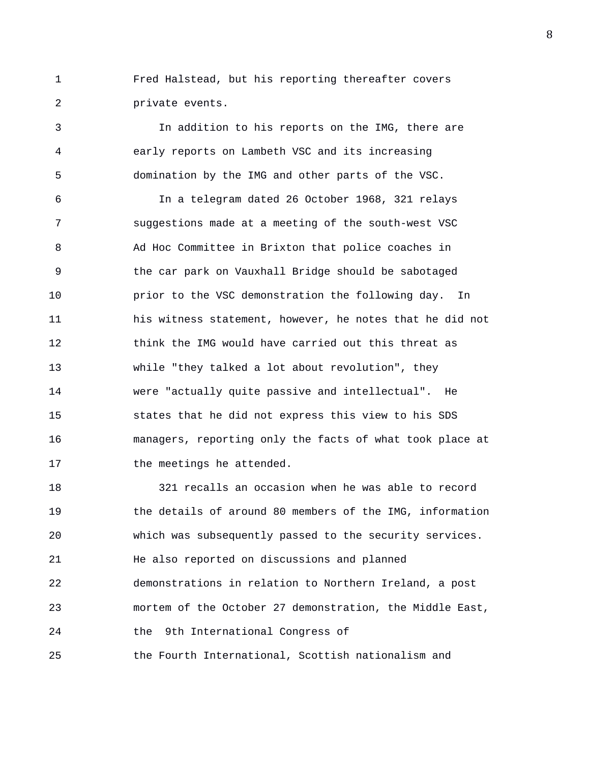1 Fred Halstead, but his reporting thereafter covers 2 private events.

3 In addition to his reports on the IMG, there are 4 early reports on Lambeth VSC and its increasing 5 domination by the IMG and other parts of the VSC.

6 In a telegram dated 26 October 1968, 321 relays 7 suggestions made at a meeting of the south-west VSC 8 Ad Hoc Committee in Brixton that police coaches in 9 the car park on Vauxhall Bridge should be sabotaged 10 prior to the VSC demonstration the following day. In 11 his witness statement, however, he notes that he did not 12 think the IMG would have carried out this threat as 13 while "they talked a lot about revolution", they 14 were "actually quite passive and intellectual". He 15 states that he did not express this view to his SDS 16 managers, reporting only the facts of what took place at 17 the meetings he attended.

18 321 recalls an occasion when he was able to record 19 the details of around 80 members of the IMG, information 20 which was subsequently passed to the security services. 21 He also reported on discussions and planned 22 demonstrations in relation to Northern Ireland, a post 23 mortem of the October 27 demonstration, the Middle East, 24 the 9th International Congress of 25 the Fourth International, Scottish nationalism and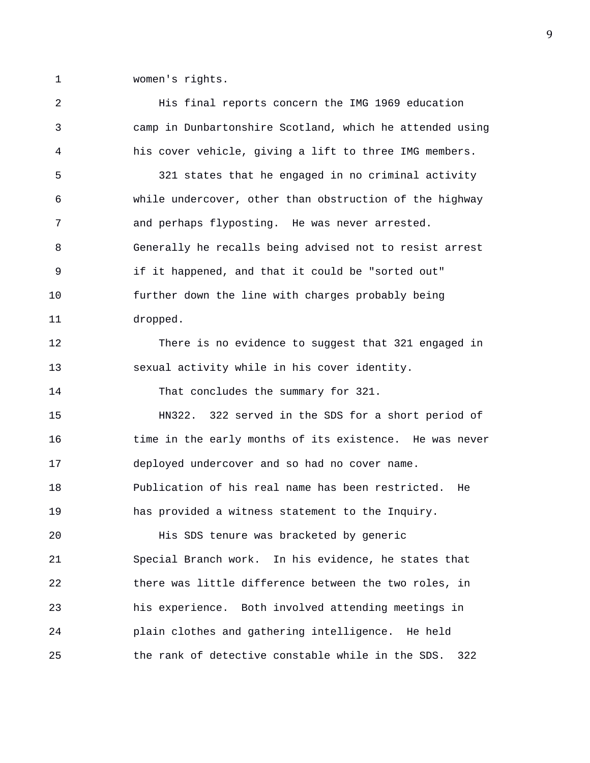1 women's rights.

2 His final reports concern the IMG 1969 education 3 camp in Dunbartonshire Scotland, which he attended using 4 his cover vehicle, giving a lift to three IMG members. 5 321 states that he engaged in no criminal activity 6 while undercover, other than obstruction of the highway 7 and perhaps flyposting. He was never arrested. 8 Generally he recalls being advised not to resist arrest 9 if it happened, and that it could be "sorted out" 10 further down the line with charges probably being 11 dropped. 12 There is no evidence to suggest that 321 engaged in 13 sexual activity while in his cover identity. 14 That concludes the summary for 321. 15 HN322. 322 served in the SDS for a short period of 16 time in the early months of its existence. He was never 17 deployed undercover and so had no cover name. 18 Publication of his real name has been restricted. He 19 has provided a witness statement to the Inquiry. 20 His SDS tenure was bracketed by generic 21 Special Branch work. In his evidence, he states that 22 there was little difference between the two roles, in 23 his experience. Both involved attending meetings in 24 plain clothes and gathering intelligence. He held 25 the rank of detective constable while in the SDS. 322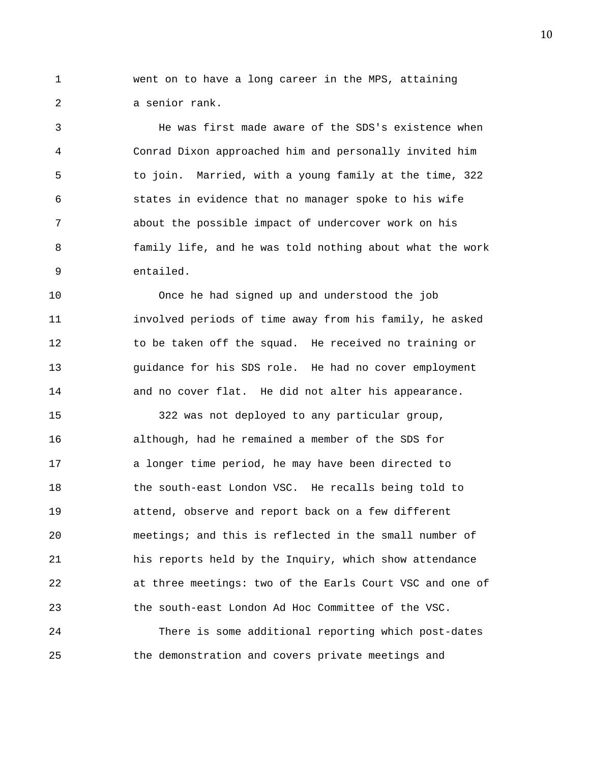1 went on to have a long career in the MPS, attaining 2 a senior rank.

3 He was first made aware of the SDS's existence when 4 Conrad Dixon approached him and personally invited him 5 to join. Married, with a young family at the time, 322 6 states in evidence that no manager spoke to his wife 7 about the possible impact of undercover work on his 8 family life, and he was told nothing about what the work 9 entailed.

10 Once he had signed up and understood the job 11 involved periods of time away from his family, he asked 12 to be taken off the squad. He received no training or 13 guidance for his SDS role. He had no cover employment 14 and no cover flat. He did not alter his appearance.

15 322 was not deployed to any particular group, 16 although, had he remained a member of the SDS for 17 a longer time period, he may have been directed to 18 the south-east London VSC. He recalls being told to 19 attend, observe and report back on a few different 20 meetings; and this is reflected in the small number of 21 his reports held by the Inquiry, which show attendance 22 at three meetings: two of the Earls Court VSC and one of 23 the south-east London Ad Hoc Committee of the VSC. 24 There is some additional reporting which post-dates

25 the demonstration and covers private meetings and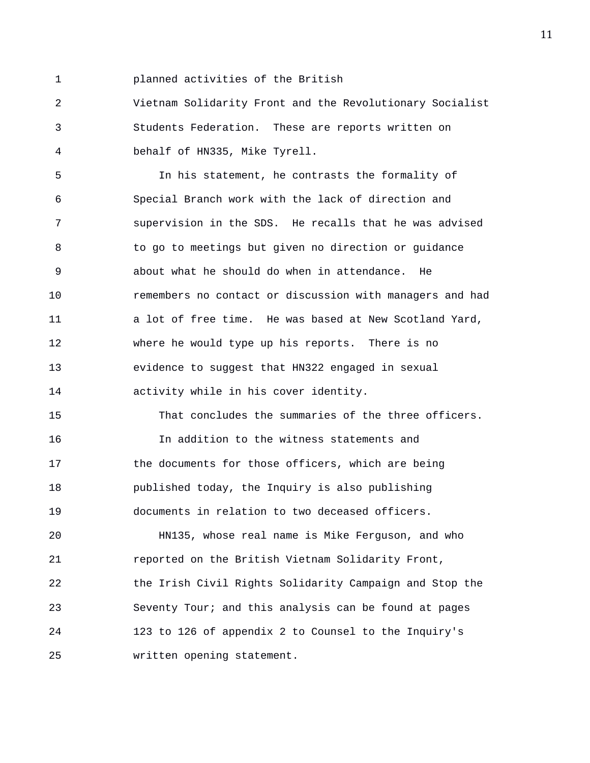1 planned activities of the British

2 Vietnam Solidarity Front and the Revolutionary Socialist 3 Students Federation. These are reports written on 4 behalf of HN335, Mike Tyrell.

5 In his statement, he contrasts the formality of 6 Special Branch work with the lack of direction and 7 supervision in the SDS. He recalls that he was advised 8 to go to meetings but given no direction or guidance 9 about what he should do when in attendance. He 10 remembers no contact or discussion with managers and had 11 a lot of free time. He was based at New Scotland Yard, 12 where he would type up his reports. There is no 13 evidence to suggest that HN322 engaged in sexual 14 activity while in his cover identity.

15 That concludes the summaries of the three officers. 16 In addition to the witness statements and 17 the documents for those officers, which are being 18 published today, the Inquiry is also publishing 19 documents in relation to two deceased officers.

20 HN135, whose real name is Mike Ferguson, and who 21 reported on the British Vietnam Solidarity Front, 22 the Irish Civil Rights Solidarity Campaign and Stop the 23 Seventy Tour; and this analysis can be found at pages 24 123 to 126 of appendix 2 to Counsel to the Inquiry's 25 written opening statement.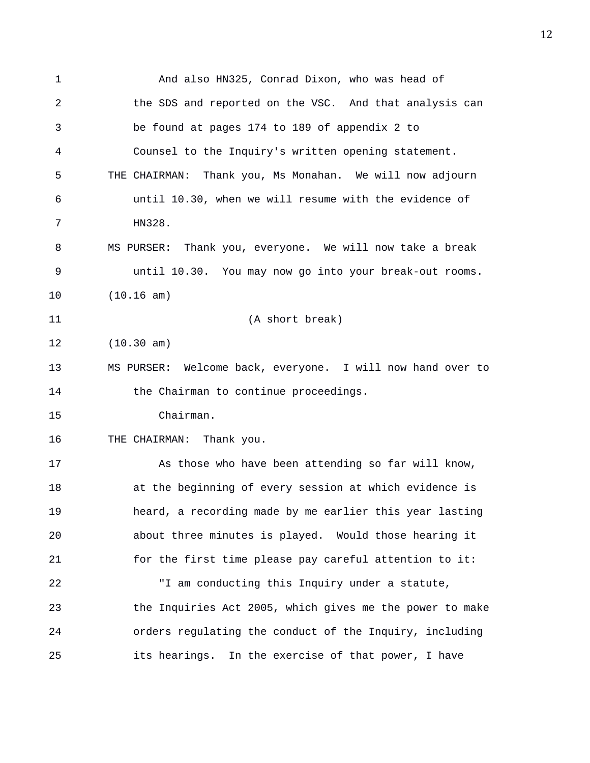1 And also HN325, Conrad Dixon, who was head of 2 the SDS and reported on the VSC. And that analysis can 3 be found at pages 174 to 189 of appendix 2 to 4 Counsel to the Inquiry's written opening statement. 5 THE CHAIRMAN: Thank you, Ms Monahan. We will now adjourn 6 until 10.30, when we will resume with the evidence of 7 HN328. 8 MS PURSER: Thank you, everyone. We will now take a break 9 until 10.30. You may now go into your break-out rooms. 10 (10.16 am) 11 (A short break) 12 (10.30 am) 13 MS PURSER: Welcome back, everyone. I will now hand over to 14 the Chairman to continue proceedings. 15 Chairman. 16 THE CHAIRMAN: Thank you. 17 As those who have been attending so far will know, 18 at the beginning of every session at which evidence is 19 heard, a recording made by me earlier this year lasting 20 about three minutes is played. Would those hearing it 21 for the first time please pay careful attention to it: 22 "I am conducting this Inquiry under a statute, 23 the Inquiries Act 2005, which gives me the power to make 24 orders regulating the conduct of the Inquiry, including 25 its hearings. In the exercise of that power, I have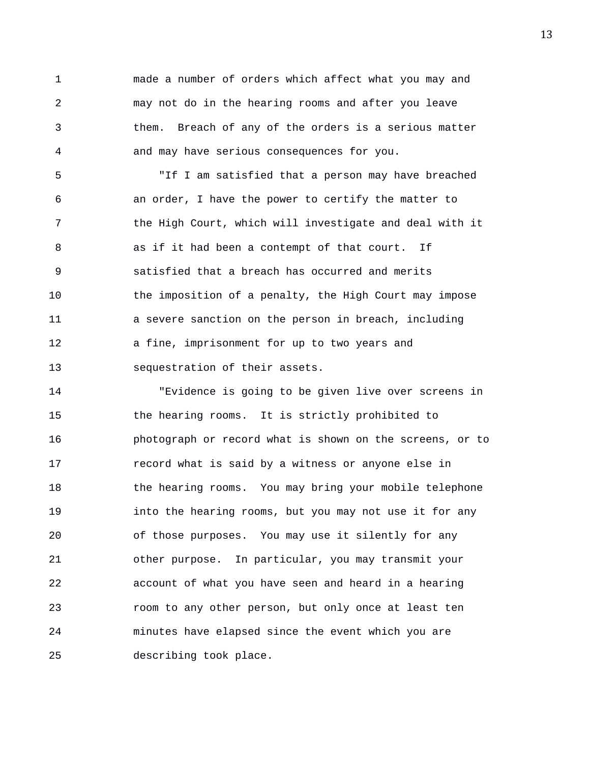1 made a number of orders which affect what you may and 2 may not do in the hearing rooms and after you leave 3 them. Breach of any of the orders is a serious matter 4 and may have serious consequences for you.

5 "If I am satisfied that a person may have breached 6 an order, I have the power to certify the matter to 7 the High Court, which will investigate and deal with it 8 as if it had been a contempt of that court. If 9 satisfied that a breach has occurred and merits 10 the imposition of a penalty, the High Court may impose 11 a severe sanction on the person in breach, including 12 a fine, imprisonment for up to two years and 13 sequestration of their assets.

14 "Evidence is going to be given live over screens in 15 the hearing rooms. It is strictly prohibited to 16 photograph or record what is shown on the screens, or to 17 record what is said by a witness or anyone else in 18 the hearing rooms. You may bring your mobile telephone 19 into the hearing rooms, but you may not use it for any 20 of those purposes. You may use it silently for any 21 other purpose. In particular, you may transmit your 22 account of what you have seen and heard in a hearing 23 room to any other person, but only once at least ten 24 minutes have elapsed since the event which you are 25 describing took place.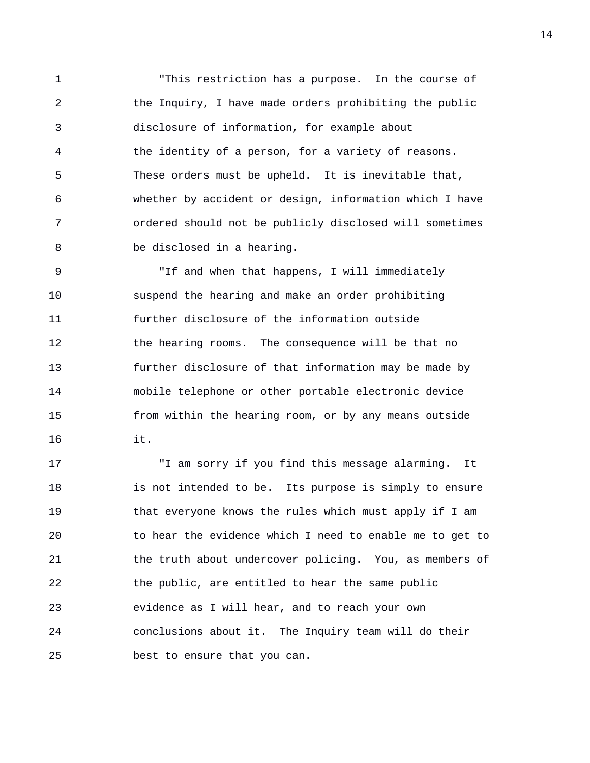1 "This restriction has a purpose. In the course of 2 the Inquiry, I have made orders prohibiting the public 3 disclosure of information, for example about 4 the identity of a person, for a variety of reasons. 5 These orders must be upheld. It is inevitable that, 6 whether by accident or design, information which I have 7 ordered should not be publicly disclosed will sometimes 8 be disclosed in a hearing.

9 "If and when that happens, I will immediately 10 suspend the hearing and make an order prohibiting 11 further disclosure of the information outside 12 the hearing rooms. The consequence will be that no 13 further disclosure of that information may be made by 14 mobile telephone or other portable electronic device 15 from within the hearing room, or by any means outside 16 it.

17 "I am sorry if you find this message alarming. It 18 is not intended to be. Its purpose is simply to ensure 19 that everyone knows the rules which must apply if I am 20 to hear the evidence which I need to enable me to get to 21 the truth about undercover policing. You, as members of 22 the public, are entitled to hear the same public 23 evidence as I will hear, and to reach your own 24 conclusions about it. The Inquiry team will do their 25 best to ensure that you can.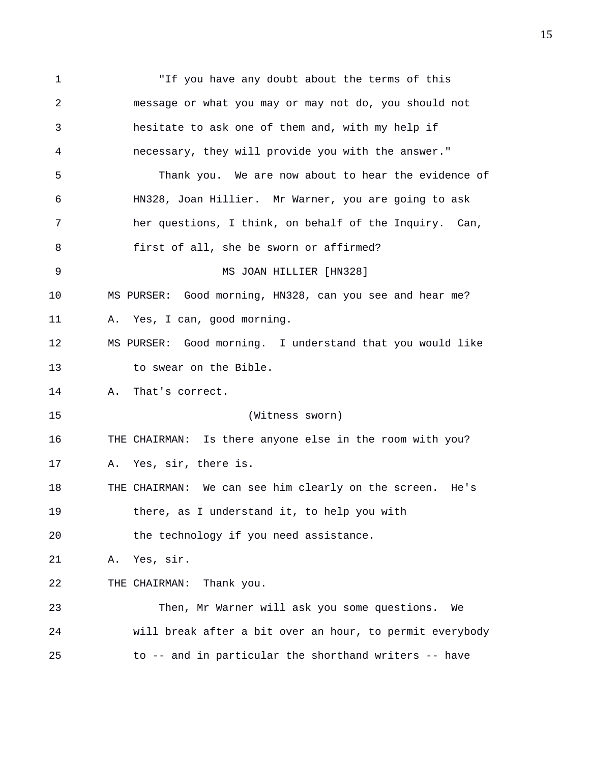1 "If you have any doubt about the terms of this 2 message or what you may or may not do, you should not 3 hesitate to ask one of them and, with my help if 4 necessary, they will provide you with the answer." 5 Thank you. We are now about to hear the evidence of 6 HN328, Joan Hillier. Mr Warner, you are going to ask 7 her questions, I think, on behalf of the Inquiry. Can, 8 first of all, she be sworn or affirmed? 9 MS JOAN HILLIER [HN328] 10 MS PURSER: Good morning, HN328, can you see and hear me? 11 A. Yes, I can, good morning. 12 MS PURSER: Good morning. I understand that you would like 13 to swear on the Bible. 14 A. That's correct. 15 (Witness sworn) 16 THE CHAIRMAN: Is there anyone else in the room with you? 17 A. Yes, sir, there is. 18 THE CHAIRMAN: We can see him clearly on the screen. He's 19 there, as I understand it, to help you with 20 the technology if you need assistance. 21 A. Yes, sir. 22 THE CHAIRMAN: Thank you. 23 Then, Mr Warner will ask you some questions. We 24 will break after a bit over an hour, to permit everybody 25 to -- and in particular the shorthand writers -- have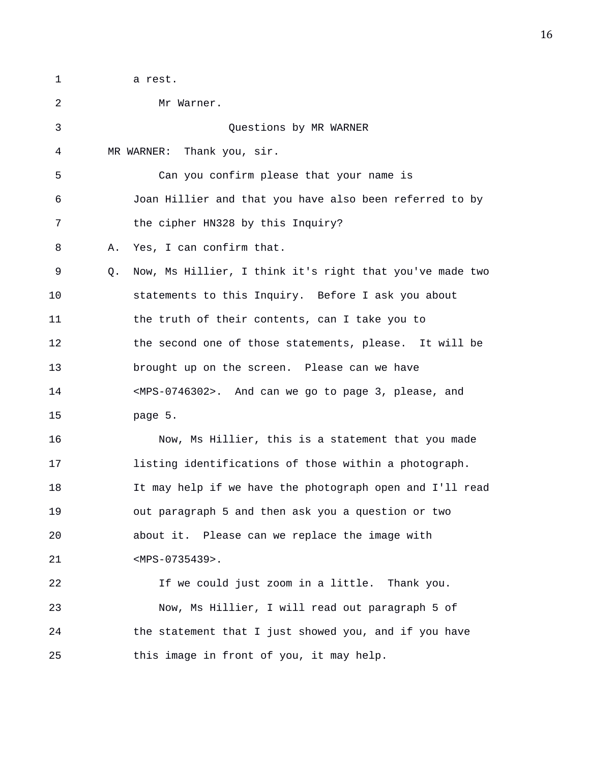1 a rest.

2 Mr Warner. 3 Questions by MR WARNER 4 MR WARNER: Thank you, sir. 5 Can you confirm please that your name is 6 Joan Hillier and that you have also been referred to by 7 the cipher HN328 by this Inquiry? 8 A. Yes, I can confirm that. 9 Q. Now, Ms Hillier, I think it's right that you've made two 10 statements to this Inquiry. Before I ask you about 11 the truth of their contents, can I take you to 12 the second one of those statements, please. It will be 13 brought up on the screen. Please can we have 14 <MPS-0746302>. And can we go to page 3, please, and 15 page 5. 16 Now, Ms Hillier, this is a statement that you made 17 listing identifications of those within a photograph. 18 It may help if we have the photograph open and I'll read 19 out paragraph 5 and then ask you a question or two 20 about it. Please can we replace the image with 21 <MPS-0735439>. 22 If we could just zoom in a little. Thank you. 23 Now, Ms Hillier, I will read out paragraph 5 of 24 the statement that I just showed you, and if you have 25 this image in front of you, it may help.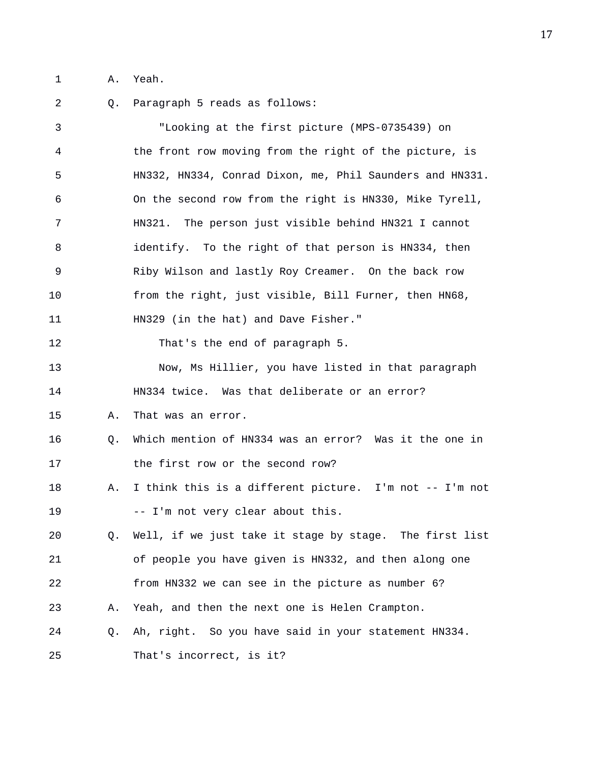1 A. Yeah.

2 Q. Paragraph 5 reads as follows: 3 "Looking at the first picture (MPS-0735439) on 4 the front row moving from the right of the picture, is 5 HN332, HN334, Conrad Dixon, me, Phil Saunders and HN331. 6 On the second row from the right is HN330, Mike Tyrell, 7 HN321. The person just visible behind HN321 I cannot 8 identify. To the right of that person is HN334, then 9 Riby Wilson and lastly Roy Creamer. On the back row 10 from the right, just visible, Bill Furner, then HN68, 11 HN329 (in the hat) and Dave Fisher." 12 That's the end of paragraph 5. 13 Now, Ms Hillier, you have listed in that paragraph 14 HN334 twice. Was that deliberate or an error? 15 A. That was an error. 16 Q. Which mention of HN334 was an error? Was it the one in 17 the first row or the second row? 18 A. I think this is a different picture. I'm not -- I'm not 19 -- I'm not very clear about this. 20 Q. Well, if we just take it stage by stage. The first list 21 of people you have given is HN332, and then along one 22 from HN332 we can see in the picture as number 6? 23 A. Yeah, and then the next one is Helen Crampton. 24 Q. Ah, right. So you have said in your statement HN334. 25 That's incorrect, is it?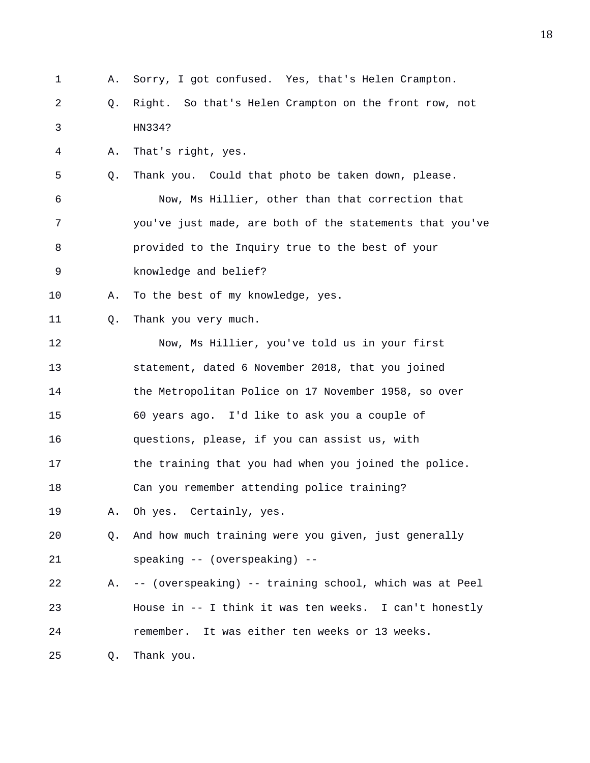1 A. Sorry, I got confused. Yes, that's Helen Crampton. 2 Q. Right. So that's Helen Crampton on the front row, not 3 HN334? 4 A. That's right, yes. 5 Q. Thank you. Could that photo be taken down, please. 6 Now, Ms Hillier, other than that correction that 7 you've just made, are both of the statements that you've 8 provided to the Inquiry true to the best of your 9 knowledge and belief? 10 A. To the best of my knowledge, yes. 11 Q. Thank you very much. 12 Now, Ms Hillier, you've told us in your first 13 statement, dated 6 November 2018, that you joined 14 the Metropolitan Police on 17 November 1958, so over 15 60 years ago. I'd like to ask you a couple of 16 questions, please, if you can assist us, with 17 the training that you had when you joined the police. 18 Can you remember attending police training? 19 A. Oh yes. Certainly, yes. 20 Q. And how much training were you given, just generally 21 speaking -- (overspeaking) -- 22 A. -- (overspeaking) -- training school, which was at Peel 23 House in -- I think it was ten weeks. I can't honestly 24 remember. It was either ten weeks or 13 weeks. 25 Q. Thank you.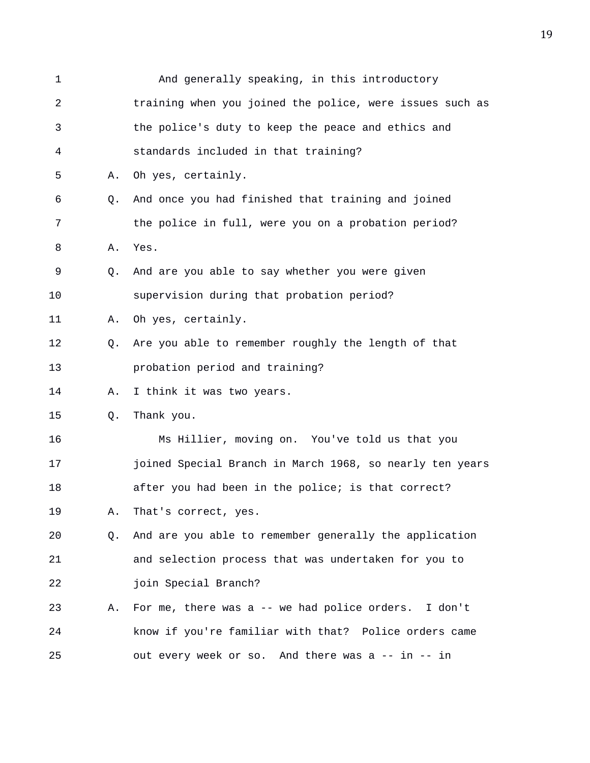| $\mathbf 1$    |    | And generally speaking, in this introductory             |
|----------------|----|----------------------------------------------------------|
| $\overline{2}$ |    | training when you joined the police, were issues such as |
| 3              |    | the police's duty to keep the peace and ethics and       |
| 4              |    | standards included in that training?                     |
| 5              | Α. | Oh yes, certainly.                                       |
| 6              | Q. | And once you had finished that training and joined       |
| 7              |    | the police in full, were you on a probation period?      |
| 8              | Α. | Yes.                                                     |
| 9              | Q. | And are you able to say whether you were given           |
| 10             |    | supervision during that probation period?                |
| 11             | Α. | Oh yes, certainly.                                       |
| 12             | Q. | Are you able to remember roughly the length of that      |
| 13             |    | probation period and training?                           |
| 14             | Α. | I think it was two years.                                |
| 15             | Q. | Thank you.                                               |
| 16             |    | Ms Hillier, moving on. You've told us that you           |
| 17             |    | joined Special Branch in March 1968, so nearly ten years |
| 18             |    | after you had been in the police; is that correct?       |
| 19             | Α. | That's correct, yes.                                     |
| 20             | Q. | And are you able to remember generally the application   |
| 21             |    | and selection process that was undertaken for you to     |
| 22             |    | join Special Branch?                                     |
| 23             | Α. | For me, there was a -- we had police orders. I don't     |
| 24             |    | know if you're familiar with that? Police orders came    |
| 25             |    | out every week or so. And there was a -- in -- in        |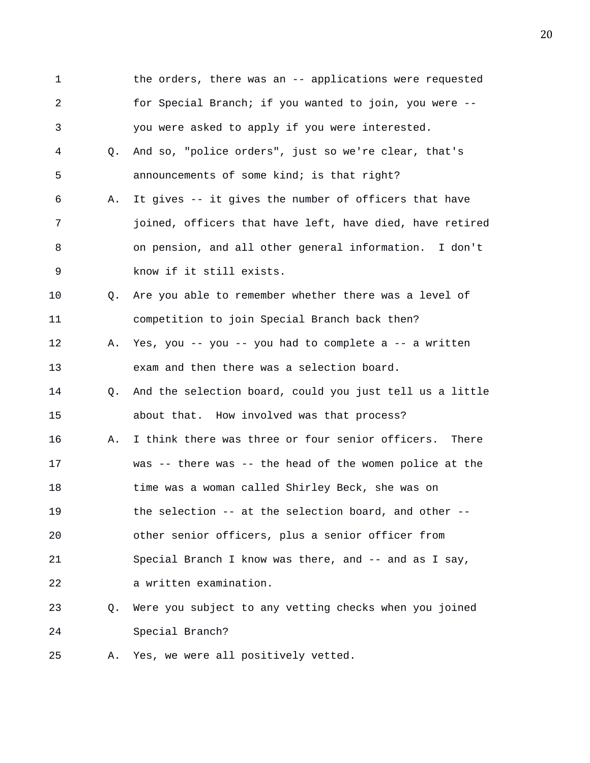1 the orders, there was an -- applications were requested 2 for Special Branch; if you wanted to join, you were -- 3 you were asked to apply if you were interested. 4 Q. And so, "police orders", just so we're clear, that's 5 announcements of some kind; is that right? 6 A. It gives -- it gives the number of officers that have 7 joined, officers that have left, have died, have retired 8 on pension, and all other general information. I don't 9 know if it still exists. 10 Q. Are you able to remember whether there was a level of 11 competition to join Special Branch back then? 12 A. Yes, you -- you -- you had to complete a -- a written 13 exam and then there was a selection board. 14 Q. And the selection board, could you just tell us a little 15 about that. How involved was that process? 16 A. I think there was three or four senior officers. There 17 was -- there was -- the head of the women police at the 18 time was a woman called Shirley Beck, she was on 19 the selection -- at the selection board, and other -- 20 other senior officers, plus a senior officer from 21 Special Branch I know was there, and -- and as I say, 22 a written examination. 23 Q. Were you subject to any vetting checks when you joined 24 Special Branch? 25 A. Yes, we were all positively vetted.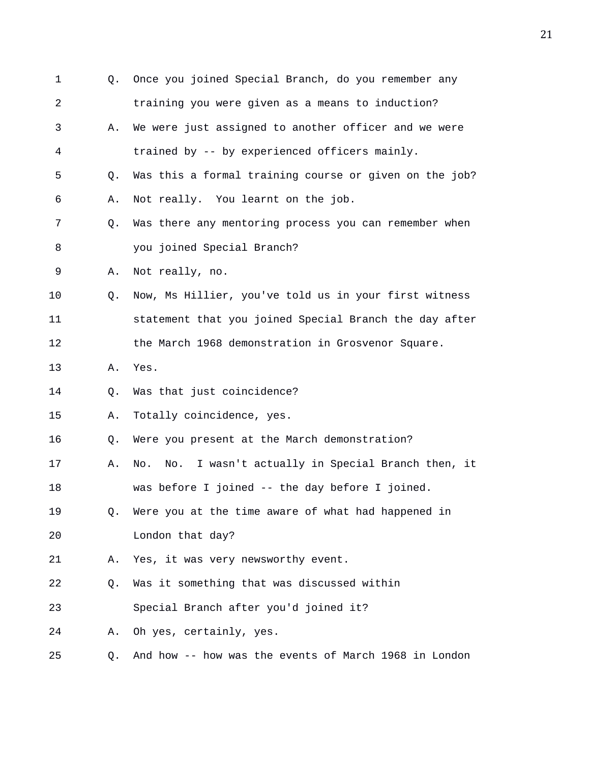| $\mathbf 1$ | Q.             | Once you joined Special Branch, do you remember any     |
|-------------|----------------|---------------------------------------------------------|
| 2           |                | training you were given as a means to induction?        |
| 3           | Α.             | We were just assigned to another officer and we were    |
| 4           |                | trained by -- by experienced officers mainly.           |
| 5           | Q.             | Was this a formal training course or given on the job?  |
| 6           | Α.             | Not really. You learnt on the job.                      |
| 7           | Q.             | Was there any mentoring process you can remember when   |
| 8           |                | you joined Special Branch?                              |
| 9           | Α.             | Not really, no.                                         |
| 10          | Q <sub>1</sub> | Now, Ms Hillier, you've told us in your first witness   |
| 11          |                | statement that you joined Special Branch the day after  |
| 12          |                | the March 1968 demonstration in Grosvenor Square.       |
| 13          | Α.             | Yes.                                                    |
| 14          | Q.             | Was that just coincidence?                              |
| 15          | Α.             | Totally coincidence, yes.                               |
| 16          | Q.             | Were you present at the March demonstration?            |
| 17          | Α.             | No. I wasn't actually in Special Branch then, it<br>No. |
| 18          |                | was before I joined -- the day before I joined.         |
| 19          | Q.             | Were you at the time aware of what had happened in      |
| 20          |                | London that day?                                        |
| 21          | Α.             | Yes, it was very newsworthy event.                      |
| 22          | Q.             | Was it something that was discussed within              |
| 23          |                | Special Branch after you'd joined it?                   |
| 24          | Α.             | Oh yes, certainly, yes.                                 |
| 25          | Q.             | And how -- how was the events of March 1968 in London   |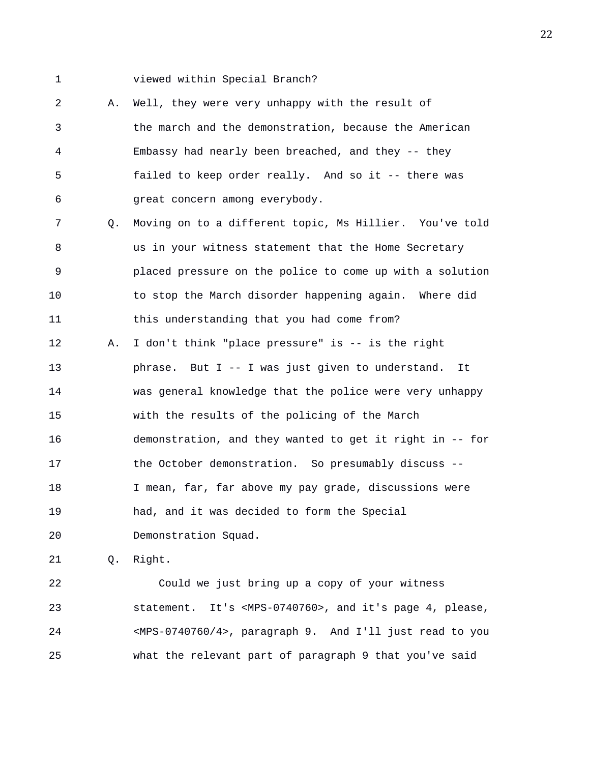1 viewed within Special Branch?

2 A. Well, they were very unhappy with the result of 3 the march and the demonstration, because the American 4 Embassy had nearly been breached, and they -- they 5 failed to keep order really. And so it -- there was 6 great concern among everybody.

7 Q. Moving on to a different topic, Ms Hillier. You've told 8 us in your witness statement that the Home Secretary 9 placed pressure on the police to come up with a solution 10 to stop the March disorder happening again. Where did 11 this understanding that you had come from? 12 A. I don't think "place pressure" is -- is the right 13 phrase. But I -- I was just given to understand. It 14 was general knowledge that the police were very unhappy 15 with the results of the policing of the March 16 demonstration, and they wanted to get it right in -- for 17 the October demonstration. So presumably discuss -- 18 I mean, far, far above my pay grade, discussions were 19 had, and it was decided to form the Special 20 Demonstration Squad.

21 Q. Right.

22 Could we just bring up a copy of your witness 23 statement. It's <MPS-0740760>, and it's page 4, please, 24 <MPS-0740760/4>, paragraph 9. And I'll just read to you 25 what the relevant part of paragraph 9 that you've said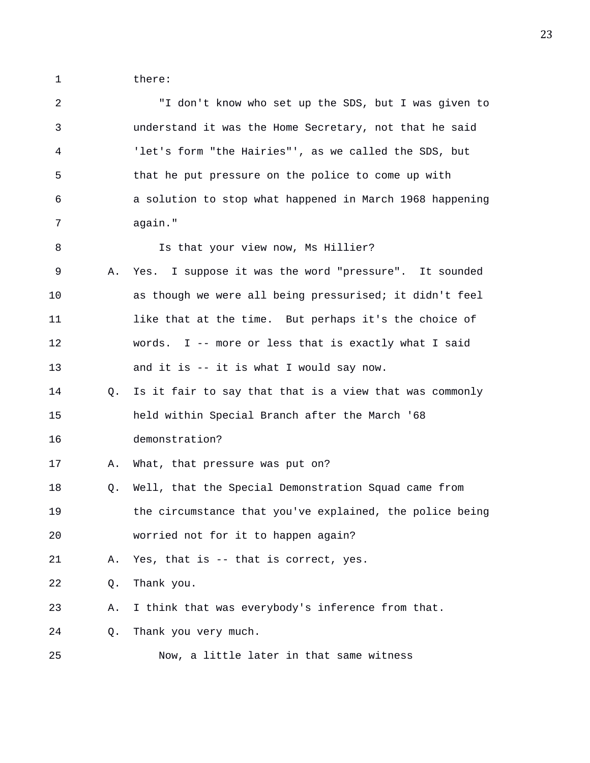1 there:

| $\overline{a}$ |    | "I don't know who set up the SDS, but I was given to     |
|----------------|----|----------------------------------------------------------|
| 3              |    | understand it was the Home Secretary, not that he said   |
| 4              |    | 'let's form "the Hairies"', as we called the SDS, but    |
| 5              |    | that he put pressure on the police to come up with       |
| 6              |    | a solution to stop what happened in March 1968 happening |
| 7              |    | again."                                                  |
| 8              |    | Is that your view now, Ms Hillier?                       |
| 9              | Α. | Yes. I suppose it was the word "pressure". It sounded    |
| 10             |    | as though we were all being pressurised; it didn't feel  |
| 11             |    | like that at the time. But perhaps it's the choice of    |
| 12             |    | words. I -- more or less that is exactly what I said     |
| 13             |    | and it is -- it is what I would say now.                 |
| 14             | O. | Is it fair to say that that is a view that was commonly  |
| 15             |    | held within Special Branch after the March '68           |
| 16             |    | demonstration?                                           |
| 17             | Α. | What, that pressure was put on?                          |
| 18             | Q. | Well, that the Special Demonstration Squad came from     |
| 19             |    | the circumstance that you've explained, the police being |
| 20             |    | worried not for it to happen again?                      |
| 21             | Α. | Yes, that is -- that is correct, yes.                    |
| 22             | Q. | Thank you.                                               |
| 23             | Α. | I think that was everybody's inference from that.        |
| 24             | Q. | Thank you very much.                                     |
| 25             |    | Now, a little later in that same witness                 |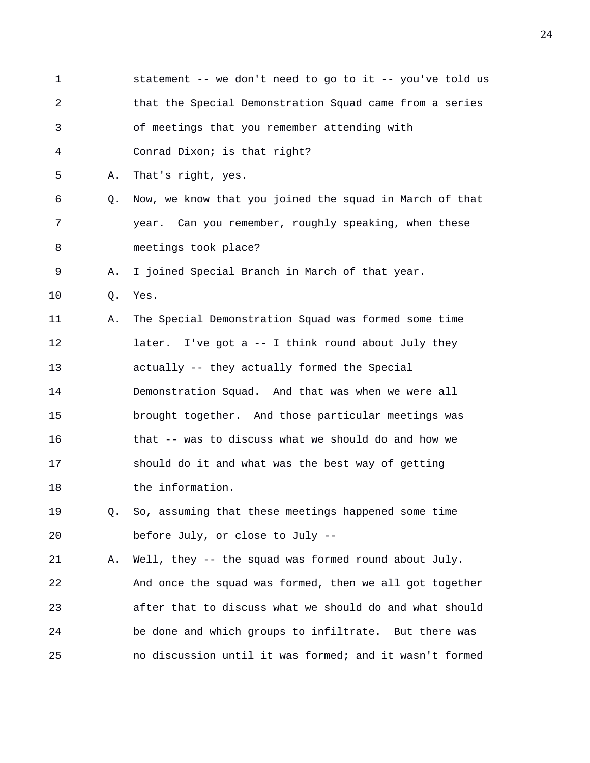1 statement -- we don't need to go to it -- you've told us 2 that the Special Demonstration Squad came from a series 3 of meetings that you remember attending with 4 Conrad Dixon; is that right? 5 A. That's right, yes. 6 Q. Now, we know that you joined the squad in March of that 7 year. Can you remember, roughly speaking, when these 8 meetings took place? 9 A. I joined Special Branch in March of that year. 10 Q. Yes. 11 A. The Special Demonstration Squad was formed some time 12 later. I've got a -- I think round about July they 13 actually -- they actually formed the Special 14 Demonstration Squad. And that was when we were all 15 brought together. And those particular meetings was 16 that -- was to discuss what we should do and how we 17 should do it and what was the best way of getting 18 the information. 19 Q. So, assuming that these meetings happened some time 20 before July, or close to July -- 21 A. Well, they -- the squad was formed round about July. 22 And once the squad was formed, then we all got together 23 after that to discuss what we should do and what should 24 be done and which groups to infiltrate. But there was

25 no discussion until it was formed; and it wasn't formed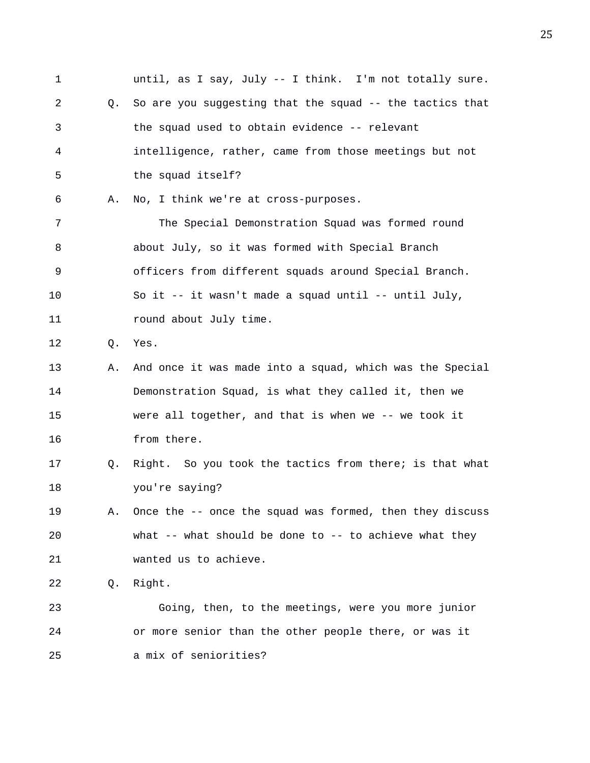1 until, as I say, July -- I think. I'm not totally sure. 2 Q. So are you suggesting that the squad -- the tactics that 3 the squad used to obtain evidence -- relevant 4 intelligence, rather, came from those meetings but not 5 the squad itself? 6 A. No, I think we're at cross-purposes. 7 The Special Demonstration Squad was formed round 8 about July, so it was formed with Special Branch 9 officers from different squads around Special Branch. 10 So it -- it wasn't made a squad until -- until July, 11 **round about July time.** 12 Q. Yes. 13 A. And once it was made into a squad, which was the Special 14 Demonstration Squad, is what they called it, then we 15 were all together, and that is when we -- we took it 16 from there. 17 Q. Right. So you took the tactics from there; is that what 18 you're saying? 19 A. Once the -- once the squad was formed, then they discuss 20 what -- what should be done to -- to achieve what they 21 wanted us to achieve. 22 Q. Right. 23 Going, then, to the meetings, were you more junior 24 or more senior than the other people there, or was it 25 a mix of seniorities?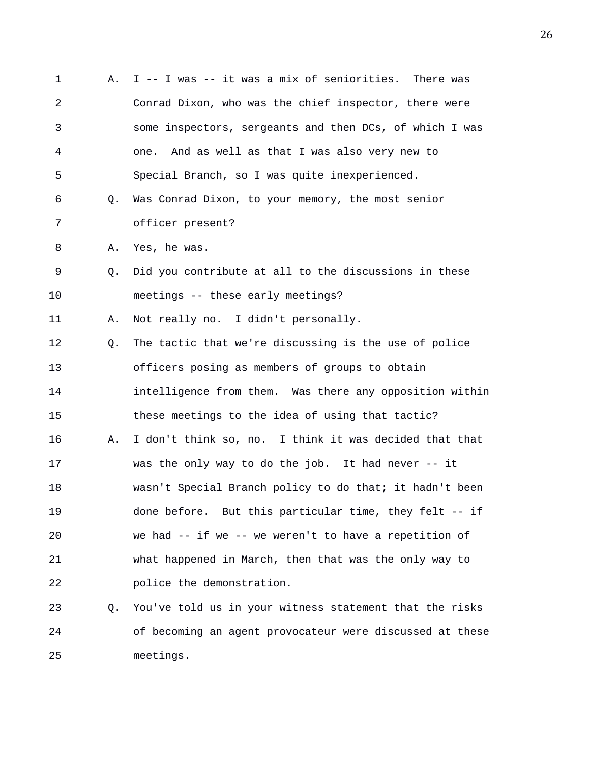1 A. I -- I was -- it was a mix of seniorities. There was 2 Conrad Dixon, who was the chief inspector, there were 3 some inspectors, sergeants and then DCs, of which I was 4 one. And as well as that I was also very new to 5 Special Branch, so I was quite inexperienced. 6 Q. Was Conrad Dixon, to your memory, the most senior 7 officer present? 8 A. Yes, he was. 9 Q. Did you contribute at all to the discussions in these 10 meetings -- these early meetings? 11 A. Not really no. I didn't personally. 12 Q. The tactic that we're discussing is the use of police 13 officers posing as members of groups to obtain 14 intelligence from them. Was there any opposition within 15 these meetings to the idea of using that tactic? 16 A. I don't think so, no. I think it was decided that that 17 was the only way to do the job. It had never -- it 18 wasn't Special Branch policy to do that; it hadn't been 19 done before. But this particular time, they felt -- if 20 we had -- if we -- we weren't to have a repetition of 21 what happened in March, then that was the only way to 22 police the demonstration. 23 Q. You've told us in your witness statement that the risks 24 of becoming an agent provocateur were discussed at these

25 meetings.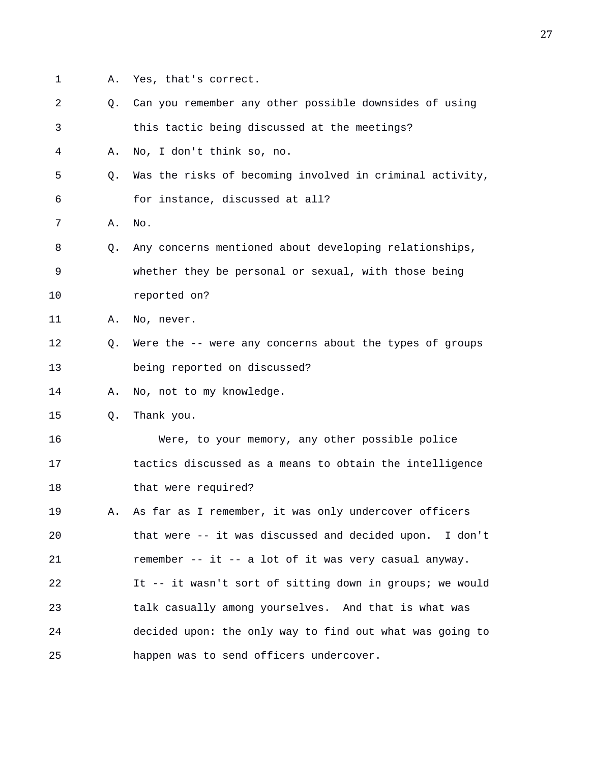- 
- 1 A. Yes, that's correct.
- 2 Q. Can you remember any other possible downsides of using 3 this tactic being discussed at the meetings?
- 4 A. No, I don't think so, no.
- 5 Q. Was the risks of becoming involved in criminal activity, 6 for instance, discussed at all?
- 7 A. No.
- 8 Q. Any concerns mentioned about developing relationships, 9 whether they be personal or sexual, with those being
- 10 reported on?
- 11 A. No, never.
- 12 Q. Were the -- were any concerns about the types of groups 13 being reported on discussed?
- 14 A. No, not to my knowledge.
- 15 Q. Thank you.
- 16 Were, to your memory, any other possible police 17 tactics discussed as a means to obtain the intelligence 18 that were required?
- 19 A. As far as I remember, it was only undercover officers 20 that were -- it was discussed and decided upon. I don't 21 remember -- it -- a lot of it was very casual anyway. 22 It -- it wasn't sort of sitting down in groups; we would 23 talk casually among yourselves. And that is what was 24 decided upon: the only way to find out what was going to 25 happen was to send officers undercover.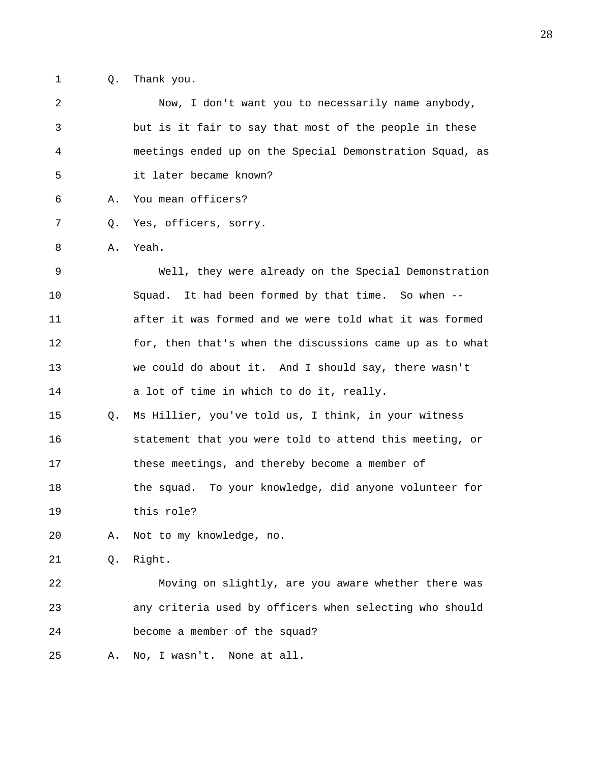1 Q. Thank you.

2 Now, I don't want you to necessarily name anybody, 3 but is it fair to say that most of the people in these 4 meetings ended up on the Special Demonstration Squad, as 5 it later became known? 6 A. You mean officers? 7 Q. Yes, officers, sorry. 8 A. Yeah. 9 Well, they were already on the Special Demonstration 10 Squad. It had been formed by that time. So when -- 11 after it was formed and we were told what it was formed 12 for, then that's when the discussions came up as to what 13 we could do about it. And I should say, there wasn't 14 a lot of time in which to do it, really. 15 Q. Ms Hillier, you've told us, I think, in your witness 16 statement that you were told to attend this meeting, or 17 these meetings, and thereby become a member of 18 the squad. To your knowledge, did anyone volunteer for 19 this role? 20 A. Not to my knowledge, no. 21 Q. Right. 22 Moving on slightly, are you aware whether there was 23 any criteria used by officers when selecting who should 24 become a member of the squad? 25 A. No, I wasn't. None at all.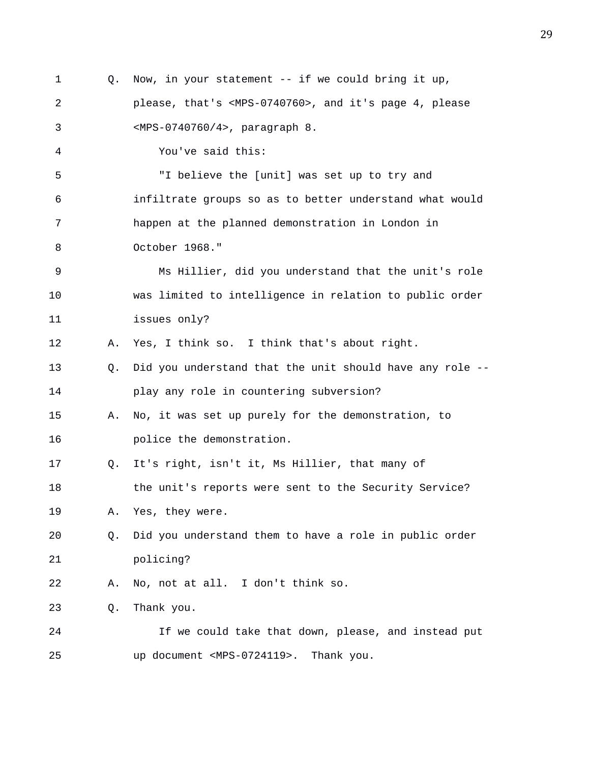1 Q. Now, in your statement -- if we could bring it up, 2 please, that's <MPS-0740760>, and it's page 4, please 3 <MPS-0740760/4>, paragraph 8. 4 You've said this: 5 "I believe the [unit] was set up to try and 6 infiltrate groups so as to better understand what would 7 happen at the planned demonstration in London in 8 October 1968." 9 Ms Hillier, did you understand that the unit's role 10 was limited to intelligence in relation to public order 11 issues only? 12 A. Yes, I think so. I think that's about right. 13 Q. Did you understand that the unit should have any role -- 14 play any role in countering subversion? 15 A. No, it was set up purely for the demonstration, to 16 **police** the demonstration. 17 Q. It's right, isn't it, Ms Hillier, that many of 18 the unit's reports were sent to the Security Service? 19 A. Yes, they were. 20 Q. Did you understand them to have a role in public order 21 policing? 22 A. No, not at all. I don't think so. 23 Q. Thank you. 24 If we could take that down, please, and instead put 25 up document <MPS-0724119>. Thank you.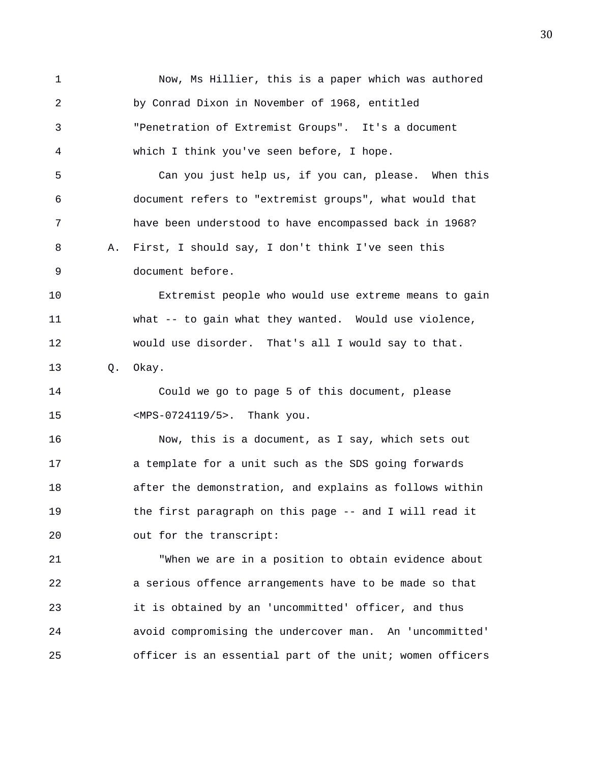1 Now, Ms Hillier, this is a paper which was authored 2 by Conrad Dixon in November of 1968, entitled 3 "Penetration of Extremist Groups". It's a document 4 which I think you've seen before, I hope. 5 Can you just help us, if you can, please. When this 6 document refers to "extremist groups", what would that 7 have been understood to have encompassed back in 1968? 8 A. First, I should say, I don't think I've seen this 9 document before. 10 Extremist people who would use extreme means to gain 11 what -- to gain what they wanted. Would use violence, 12 would use disorder. That's all I would say to that. 13 Q. Okay. 14 Could we go to page 5 of this document, please 15 <MPS-0724119/5>. Thank you. 16 Now, this is a document, as I say, which sets out 17 a template for a unit such as the SDS going forwards 18 after the demonstration, and explains as follows within 19 the first paragraph on this page -- and I will read it 20 out for the transcript: 21 "When we are in a position to obtain evidence about 22 a serious offence arrangements have to be made so that 23 it is obtained by an 'uncommitted' officer, and thus 24 avoid compromising the undercover man. An 'uncommitted' 25 officer is an essential part of the unit; women officers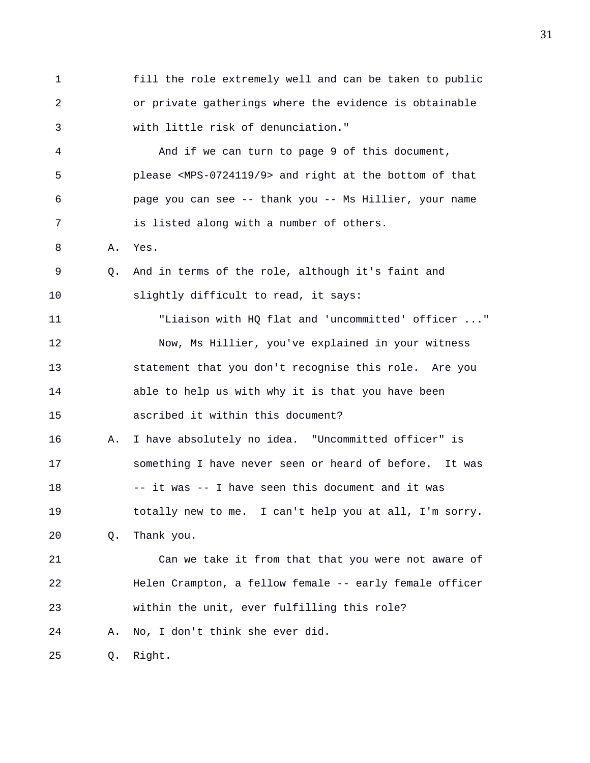1 fill the role extremely well and can be taken to public 2 or private gatherings where the evidence is obtainable 3 with little risk of denunciation." 4 And if we can turn to page 9 of this document, 5 please <MPS-0724119/9> and right at the bottom of that 6 page you can see -- thank you -- Ms Hillier, your name 7 is listed along with a number of others. 8 A. Yes. 9 Q. And in terms of the role, although it's faint and 10 slightly difficult to read, it says: 11 "Liaison with HQ flat and 'uncommitted' officer ..." 12 Now, Ms Hillier, you've explained in your witness 13 statement that you don't recognise this role. Are you 14 able to help us with why it is that you have been 15 ascribed it within this document? 16 A. I have absolutely no idea. "Uncommitted officer" is 17 something I have never seen or heard of before. It was 18 -- it was -- I have seen this document and it was 19 totally new to me. I can't help you at all, I'm sorry. 20 Q. Thank you. 21 Can we take it from that that you were not aware of 22 Helen Crampton, a fellow female -- early female officer 23 within the unit, ever fulfilling this role? 24 A. No, I don't think she ever did. 25 Q. Right.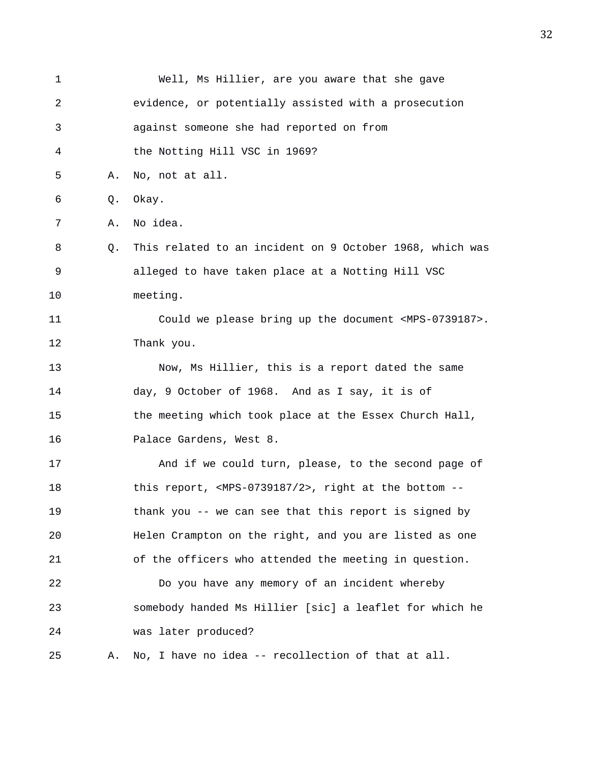| 1  |    | Well, Ms Hillier, are you aware that she gave                         |
|----|----|-----------------------------------------------------------------------|
| 2  |    | evidence, or potentially assisted with a prosecution                  |
| 3  |    | against someone she had reported on from                              |
| 4  |    | the Notting Hill VSC in 1969?                                         |
| 5  | Α. | No, not at all.                                                       |
| 6  | Q. | Okay.                                                                 |
| 7  | Α. | No idea.                                                              |
| 8  | Q. | This related to an incident on 9 October 1968, which was              |
| 9  |    | alleged to have taken place at a Notting Hill VSC                     |
| 10 |    | meeting.                                                              |
| 11 |    | Could we please bring up the document <mps-0739187>.</mps-0739187>    |
| 12 |    | Thank you.                                                            |
| 13 |    | Now, Ms Hillier, this is a report dated the same                      |
| 14 |    | day, 9 October of 1968. And as I say, it is of                        |
| 15 |    | the meeting which took place at the Essex Church Hall,                |
| 16 |    | Palace Gardens, West 8.                                               |
| 17 |    | And if we could turn, please, to the second page of                   |
| 18 |    | this report, <mps-0739187 2="">, right at the bottom --</mps-0739187> |
| 19 |    | thank you -- we can see that this report is signed by                 |
| 20 |    | Helen Crampton on the right, and you are listed as one                |
| 21 |    | of the officers who attended the meeting in question.                 |
| 22 |    | Do you have any memory of an incident whereby                         |
| 23 |    | somebody handed Ms Hillier [sic] a leaflet for which he               |
| 24 |    | was later produced?                                                   |
| 25 | Α. | No, I have no idea -- recollection of that at all.                    |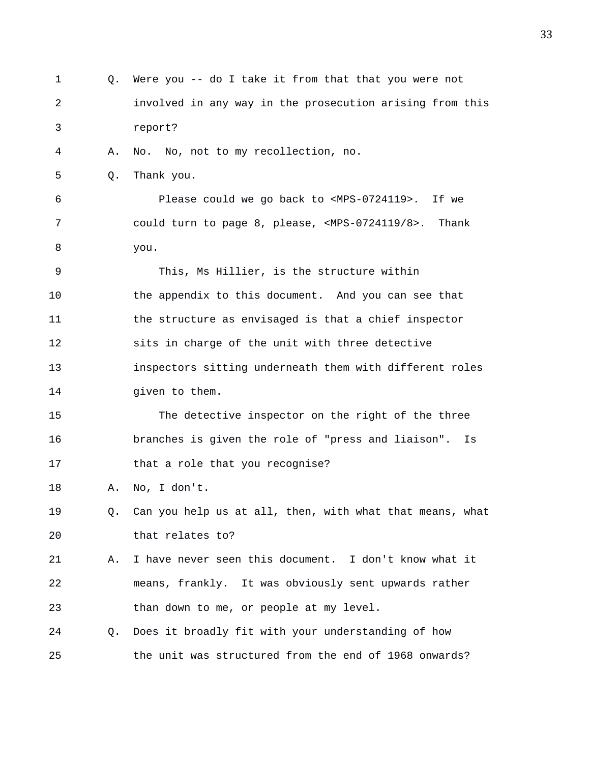1 Q. Were you -- do I take it from that that you were not 2 involved in any way in the prosecution arising from this 3 report? 4 A. No. No, not to my recollection, no. 5 Q. Thank you. 6 Please could we go back to <MPS-0724119>. If we 7 could turn to page 8, please, <MPS-0724119/8>. Thank 8 you. 9 This, Ms Hillier, is the structure within 10 the appendix to this document. And you can see that 11 the structure as envisaged is that a chief inspector 12 sits in charge of the unit with three detective 13 inspectors sitting underneath them with different roles 14 given to them. 15 The detective inspector on the right of the three 16 branches is given the role of "press and liaison". Is 17 that a role that you recognise? 18 A. No, I don't. 19 Q. Can you help us at all, then, with what that means, what 20 that relates to? 21 A. I have never seen this document. I don't know what it 22 means, frankly. It was obviously sent upwards rather 23 than down to me, or people at my level. 24 Q. Does it broadly fit with your understanding of how 25 the unit was structured from the end of 1968 onwards?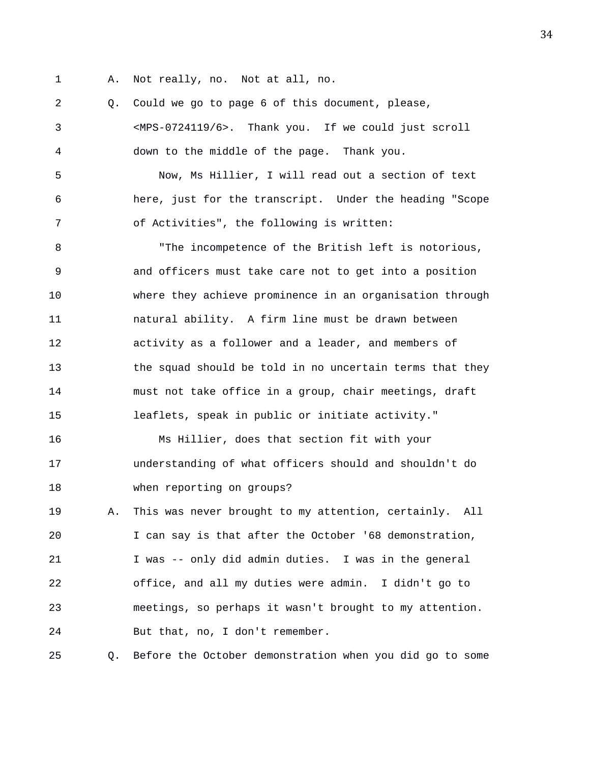- 
- 1 A. Not really, no. Not at all, no.

2 Q. Could we go to page 6 of this document, please, 3 <MPS-0724119/6>. Thank you. If we could just scroll 4 down to the middle of the page. Thank you.

5 Now, Ms Hillier, I will read out a section of text 6 here, just for the transcript. Under the heading "Scope 7 of Activities", the following is written:

8 "The incompetence of the British left is notorious, 9 and officers must take care not to get into a position 10 where they achieve prominence in an organisation through 11 natural ability. A firm line must be drawn between 12 activity as a follower and a leader, and members of 13 the squad should be told in no uncertain terms that they 14 must not take office in a group, chair meetings, draft 15 leaflets, speak in public or initiate activity."

16 Ms Hillier, does that section fit with your 17 understanding of what officers should and shouldn't do 18 when reporting on groups?

19 A. This was never brought to my attention, certainly. All 20 I can say is that after the October '68 demonstration, 21 I was -- only did admin duties. I was in the general 22 office, and all my duties were admin. I didn't go to 23 meetings, so perhaps it wasn't brought to my attention. 24 But that, no, I don't remember.

25 Q. Before the October demonstration when you did go to some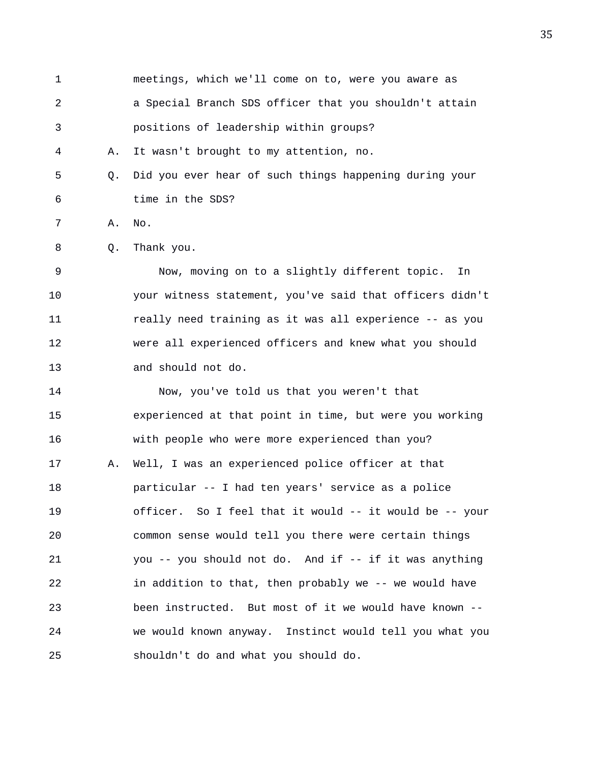1 meetings, which we'll come on to, were you aware as 2 a Special Branch SDS officer that you shouldn't attain 3 positions of leadership within groups? 4 A. It wasn't brought to my attention, no. 5 Q. Did you ever hear of such things happening during your 6 time in the SDS? 7 A. No. 8 Q. Thank you. 9 Now, moving on to a slightly different topic. In 10 your witness statement, you've said that officers didn't 11 really need training as it was all experience -- as you 12 were all experienced officers and knew what you should 13 and should not do. 14 Now, you've told us that you weren't that 15 experienced at that point in time, but were you working 16 with people who were more experienced than you? 17 A. Well, I was an experienced police officer at that 18 particular -- I had ten years' service as a police 19 officer. So I feel that it would -- it would be -- your 20 common sense would tell you there were certain things 21 you -- you should not do. And if -- if it was anything 22 in addition to that, then probably we -- we would have 23 been instructed. But most of it we would have known -- 24 we would known anyway. Instinct would tell you what you 25 shouldn't do and what you should do.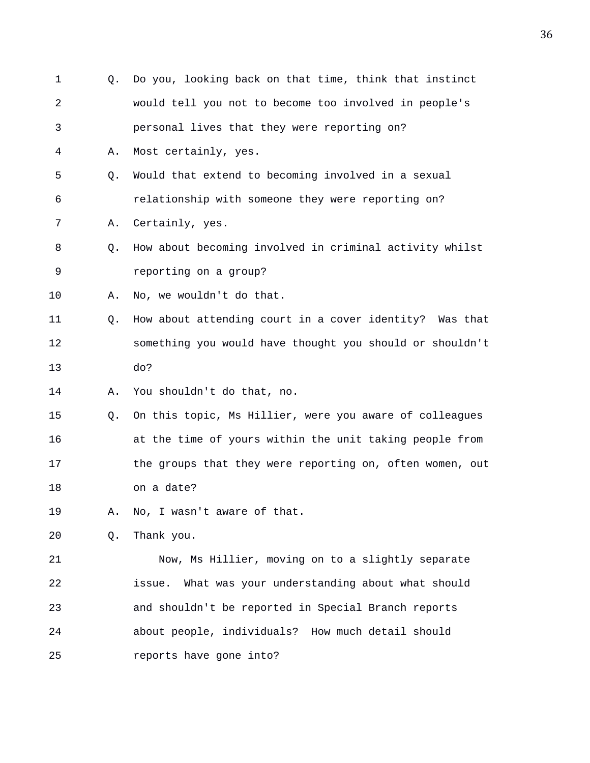| 1  | Q. | Do you, looking back on that time, think that instinct   |
|----|----|----------------------------------------------------------|
| 2  |    | would tell you not to become too involved in people's    |
| 3  |    | personal lives that they were reporting on?              |
| 4  | Α. | Most certainly, yes.                                     |
| 5  | Q. | Would that extend to becoming involved in a sexual       |
| 6  |    | relationship with someone they were reporting on?        |
| 7  | Α. | Certainly, yes.                                          |
| 8  | Q. | How about becoming involved in criminal activity whilst  |
| 9  |    | reporting on a group?                                    |
| 10 | Α. | No, we wouldn't do that.                                 |
| 11 | Q. | How about attending court in a cover identity? Was that  |
| 12 |    | something you would have thought you should or shouldn't |
| 13 |    | do?                                                      |
| 14 | Α. | You shouldn't do that, no.                               |
| 15 | Q. | On this topic, Ms Hillier, were you aware of colleagues  |
| 16 |    | at the time of yours within the unit taking people from  |
| 17 |    | the groups that they were reporting on, often women, out |
| 18 |    | on a date?                                               |
| 19 | Α. | No, I wasn't aware of that.                              |
| 20 | Q. | Thank you.                                               |
| 21 |    | Now, Ms Hillier, moving on to a slightly separate        |
| 22 |    | What was your understanding about what should<br>issue.  |
| 23 |    | and shouldn't be reported in Special Branch reports      |
| 24 |    | about people, individuals? How much detail should        |
| 25 |    | reports have gone into?                                  |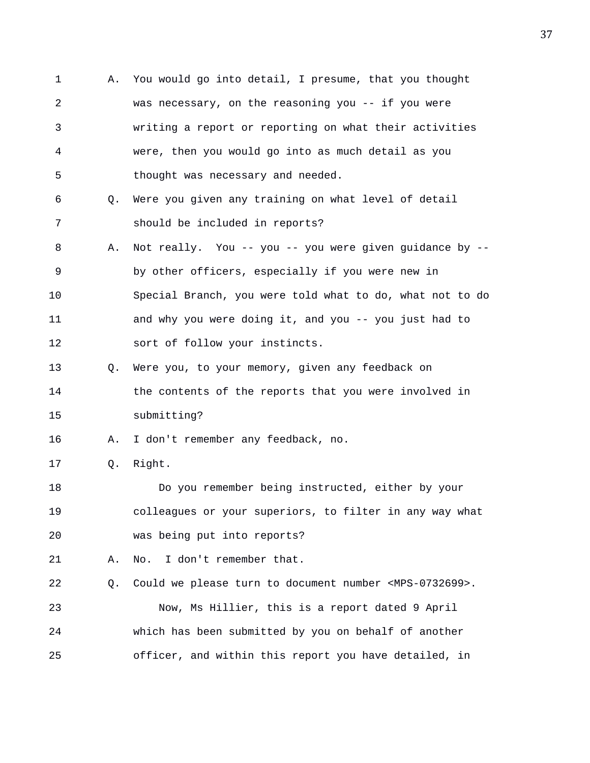1 A. You would go into detail, I presume, that you thought 2 was necessary, on the reasoning you -- if you were 3 writing a report or reporting on what their activities 4 were, then you would go into as much detail as you 5 thought was necessary and needed. 6 Q. Were you given any training on what level of detail 7 should be included in reports? 8 A. Not really. You -- you -- you were given guidance by -- 9 by other officers, especially if you were new in 10 Special Branch, you were told what to do, what not to do 11 and why you were doing it, and you -- you just had to 12 sort of follow your instincts. 13 Q. Were you, to your memory, given any feedback on 14 the contents of the reports that you were involved in 15 submitting? 16 A. I don't remember any feedback, no. 17 Q. Right. 18 Do you remember being instructed, either by your 19 colleagues or your superiors, to filter in any way what 20 was being put into reports? 21 A. No. I don't remember that. 22 Q. Could we please turn to document number <MPS-0732699>. 23 Now, Ms Hillier, this is a report dated 9 April 24 which has been submitted by you on behalf of another 25 officer, and within this report you have detailed, in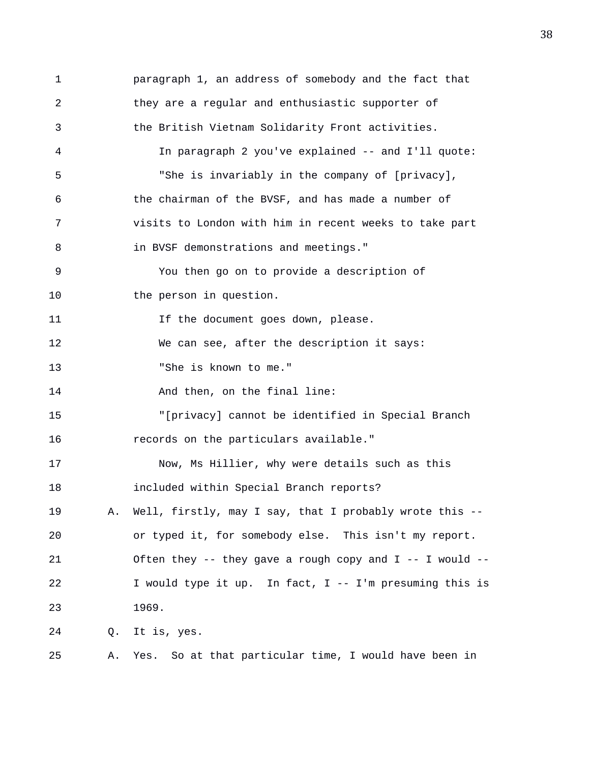1 paragraph 1, an address of somebody and the fact that 2 they are a regular and enthusiastic supporter of 3 the British Vietnam Solidarity Front activities. 4 In paragraph 2 you've explained -- and I'll quote: 5 "She is invariably in the company of [privacy], 6 the chairman of the BVSF, and has made a number of 7 visits to London with him in recent weeks to take part 8 in BVSF demonstrations and meetings." 9 You then go on to provide a description of 10 the person in question. 11 11 If the document goes down, please. 12 We can see, after the description it says: 13 "She is known to me." 14 And then, on the final line: 15 "[privacy] cannot be identified in Special Branch 16 records on the particulars available." 17 Now, Ms Hillier, why were details such as this 18 included within Special Branch reports? 19 A. Well, firstly, may I say, that I probably wrote this -- 20 or typed it, for somebody else. This isn't my report. 21 Often they -- they gave a rough copy and I -- I would -- 22 I would type it up. In fact, I -- I'm presuming this is 23 1969. 24 Q. It is, yes. 25 A. Yes. So at that particular time, I would have been in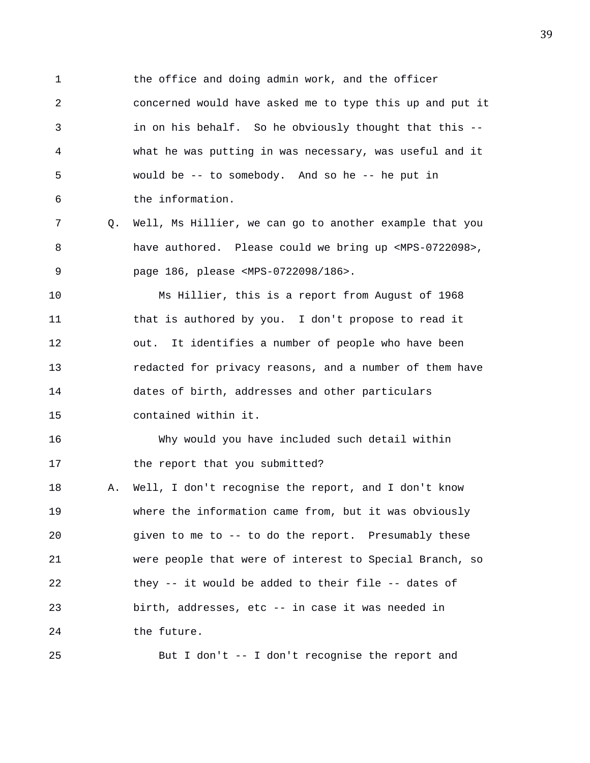1 the office and doing admin work, and the officer 2 concerned would have asked me to type this up and put it 3 in on his behalf. So he obviously thought that this -- 4 what he was putting in was necessary, was useful and it 5 would be -- to somebody. And so he -- he put in 6 the information.

7 Q. Well, Ms Hillier, we can go to another example that you 8 have authored. Please could we bring up <MPS-0722098>, 9 page 186, please <MPS-0722098/186>.

10 Ms Hillier, this is a report from August of 1968 11 that is authored by you. I don't propose to read it 12 out. It identifies a number of people who have been 13 redacted for privacy reasons, and a number of them have 14 dates of birth, addresses and other particulars 15 contained within it.

16 Why would you have included such detail within 17 the report that you submitted?

18 A. Well, I don't recognise the report, and I don't know 19 where the information came from, but it was obviously 20 given to me to -- to do the report. Presumably these 21 were people that were of interest to Special Branch, so 22 they -- it would be added to their file -- dates of 23 birth, addresses, etc -- in case it was needed in 24 the future.

25 But I don't -- I don't recognise the report and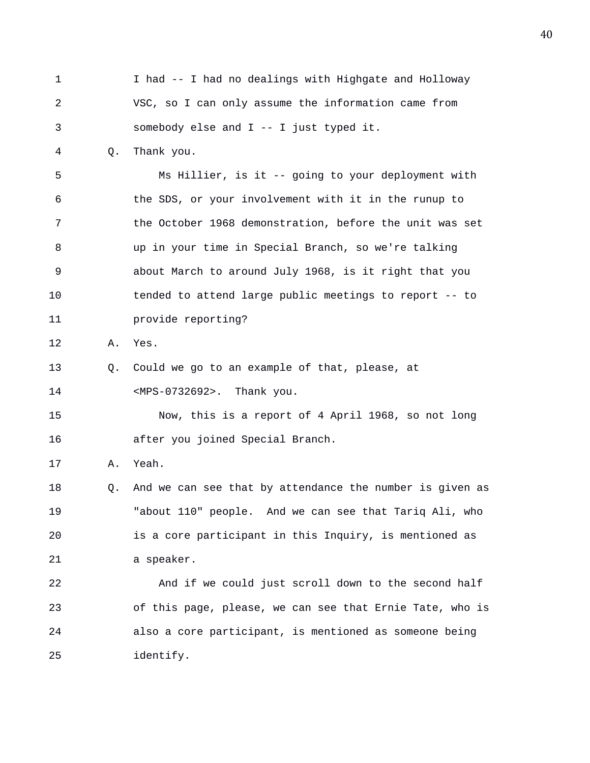1 I had -- I had no dealings with Highgate and Holloway 2 VSC, so I can only assume the information came from 3 somebody else and I -- I just typed it. 4 Q. Thank you. 5 Ms Hillier, is it -- going to your deployment with 6 the SDS, or your involvement with it in the runup to 7 the October 1968 demonstration, before the unit was set 8 up in your time in Special Branch, so we're talking 9 about March to around July 1968, is it right that you 10 tended to attend large public meetings to report -- to 11 provide reporting? 12 A. Yes. 13 Q. Could we go to an example of that, please, at 14 <MPS-0732692>. Thank you. 15 Now, this is a report of 4 April 1968, so not long 16 after you joined Special Branch. 17 A. Yeah. 18 Q. And we can see that by attendance the number is given as 19 "about 110" people. And we can see that Tariq Ali, who 20 is a core participant in this Inquiry, is mentioned as 21 a speaker. 22 And if we could just scroll down to the second half 23 of this page, please, we can see that Ernie Tate, who is 24 also a core participant, is mentioned as someone being 25 identify.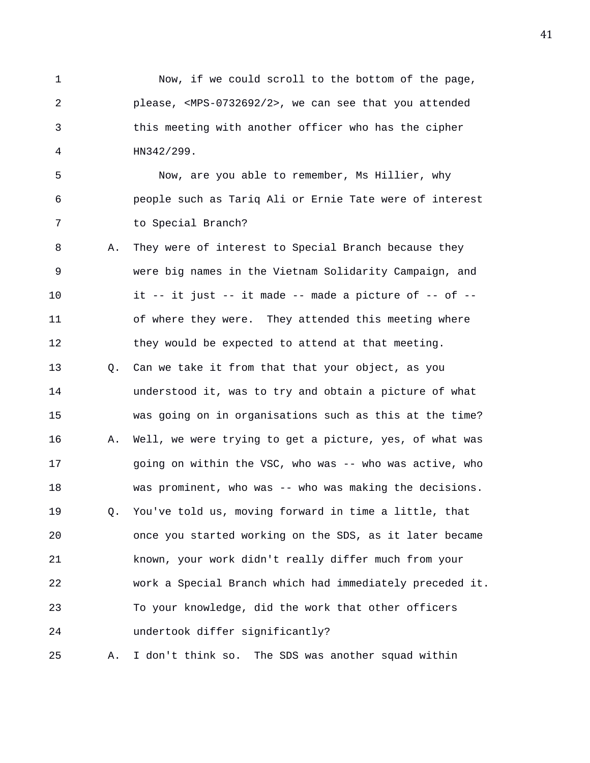1 Now, if we could scroll to the bottom of the page, 2 please, <MPS-0732692/2>, we can see that you attended 3 this meeting with another officer who has the cipher 4 HN342/299.

5 Now, are you able to remember, Ms Hillier, why 6 people such as Tariq Ali or Ernie Tate were of interest 7 to Special Branch?

8 A. They were of interest to Special Branch because they 9 were big names in the Vietnam Solidarity Campaign, and 10 it -- it just -- it made -- made a picture of -- of -- 11 of where they were. They attended this meeting where 12 they would be expected to attend at that meeting.

13 Q. Can we take it from that that your object, as you 14 understood it, was to try and obtain a picture of what 15 was going on in organisations such as this at the time? 16 A. Well, we were trying to get a picture, yes, of what was 17 eqoing on within the VSC, who was -- who was active, who 18 was prominent, who was -- who was making the decisions. 19 Q. You've told us, moving forward in time a little, that 20 once you started working on the SDS, as it later became 21 known, your work didn't really differ much from your 22 work a Special Branch which had immediately preceded it. 23 To your knowledge, did the work that other officers 24 undertook differ significantly?

25 A. I don't think so. The SDS was another squad within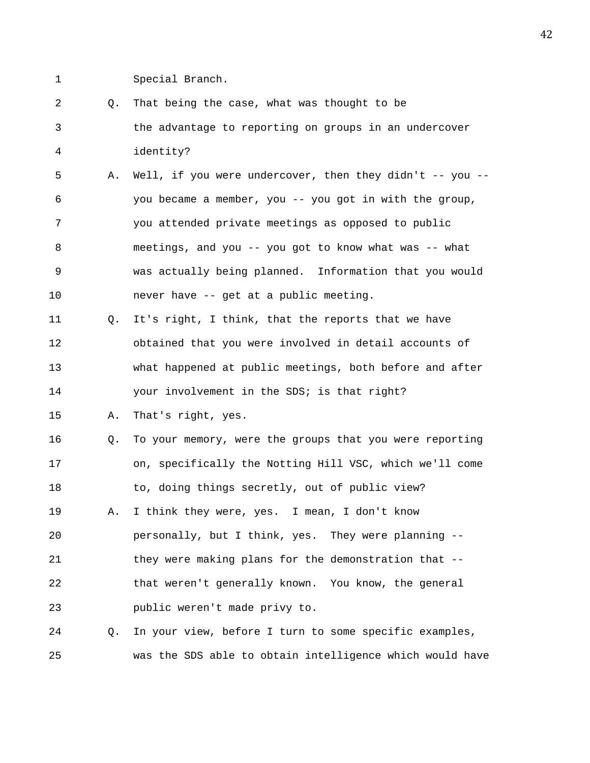1 Special Branch.

2 Q. That being the case, what was thought to be 3 the advantage to reporting on groups in an undercover 4 identity? 5 A. Well, if you were undercover, then they didn't -- you -- 6 you became a member, you -- you got in with the group, 7 you attended private meetings as opposed to public 8 meetings, and you -- you got to know what was -- what 9 was actually being planned. Information that you would 10 never have -- get at a public meeting. 11 Q. It's right, I think, that the reports that we have 12 obtained that you were involved in detail accounts of 13 what happened at public meetings, both before and after 14 your involvement in the SDS; is that right? 15 A. That's right, yes. 16 Q. To your memory, were the groups that you were reporting 17 on, specifically the Notting Hill VSC, which we'll come 18 to, doing things secretly, out of public view? 19 A. I think they were, yes. I mean, I don't know 20 personally, but I think, yes. They were planning -- 21 they were making plans for the demonstration that -- 22 that weren't generally known. You know, the general 23 public weren't made privy to. 24 Q. In your view, before I turn to some specific examples,

25 was the SDS able to obtain intelligence which would have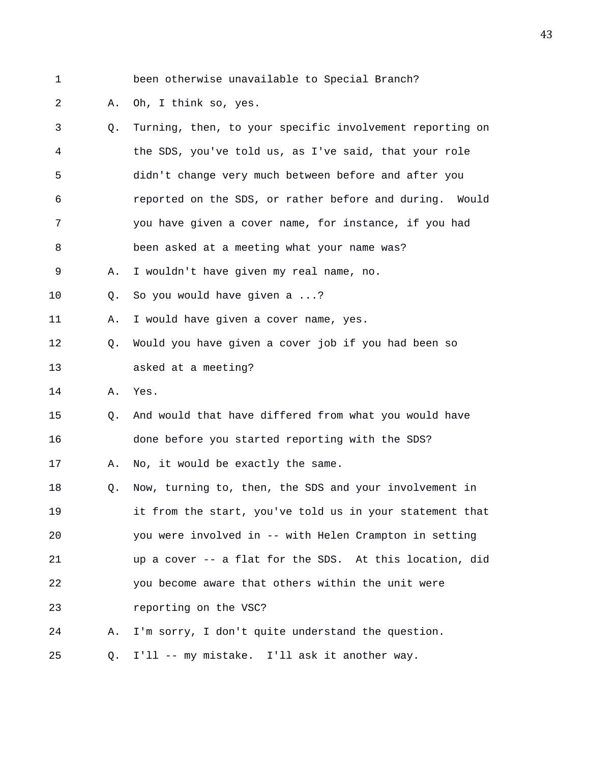1 been otherwise unavailable to Special Branch?

## 2 A. Oh, I think so, yes.

| 3  | Q. | Turning, then, to your specific involvement reporting on |
|----|----|----------------------------------------------------------|
| 4  |    | the SDS, you've told us, as I've said, that your role    |
| 5  |    | didn't change very much between before and after you     |
| 6  |    | reported on the SDS, or rather before and during. Would  |
| 7  |    | you have given a cover name, for instance, if you had    |
| 8  |    | been asked at a meeting what your name was?              |
| 9  | Α. | I wouldn't have given my real name, no.                  |
| 10 | Q. | So you would have given a ?                              |
| 11 | Α. | I would have given a cover name, yes.                    |
| 12 | Q. | Would you have given a cover job if you had been so      |
| 13 |    | asked at a meeting?                                      |
| 14 | Α. | Yes.                                                     |
| 15 | Q. | And would that have differed from what you would have    |
| 16 |    | done before you started reporting with the SDS?          |
| 17 | Α. | No, it would be exactly the same.                        |
| 18 | Q. | Now, turning to, then, the SDS and your involvement in   |
| 19 |    | it from the start, you've told us in your statement that |
| 20 |    | you were involved in -- with Helen Crampton in setting   |
| 21 |    | up a cover -- a flat for the SDS. At this location, did  |
| 22 |    | you become aware that others within the unit were        |
| 23 |    | reporting on the VSC?                                    |
| 24 | Α. | I'm sorry, I don't quite understand the question.        |
| 25 | Q. | I'll -- my mistake. I'll ask it another way.             |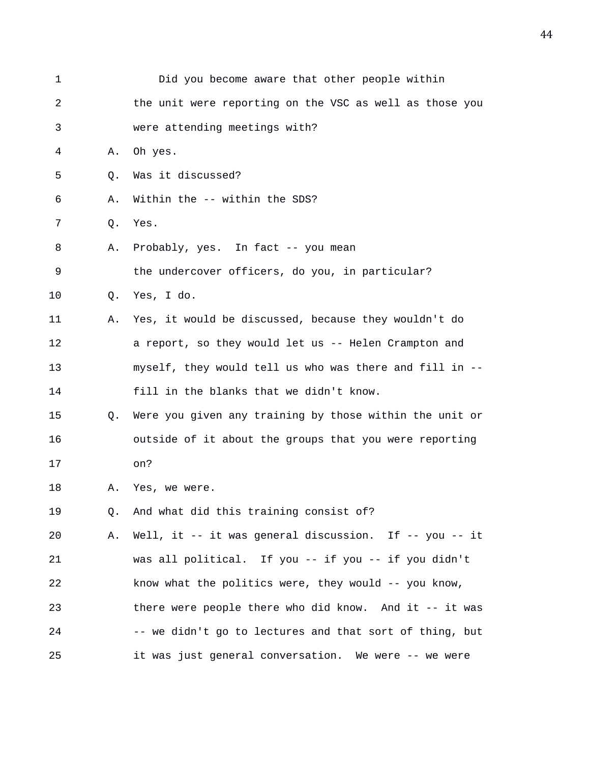| $\mathbf 1$ |    | Did you become aware that other people within           |
|-------------|----|---------------------------------------------------------|
| 2           |    | the unit were reporting on the VSC as well as those you |
| 3           |    | were attending meetings with?                           |
| 4           | Α. | Oh yes.                                                 |
| 5           | Q. | Was it discussed?                                       |
| 6           | Α. | Within the -- within the SDS?                           |
| 7           | Q. | Yes.                                                    |
| 8           | Α. | Probably, yes. In fact -- you mean                      |
| 9           |    | the undercover officers, do you, in particular?         |
| 10          | Q. | Yes, I do.                                              |
| 11          | Α. | Yes, it would be discussed, because they wouldn't do    |
| 12          |    | a report, so they would let us -- Helen Crampton and    |
| 13          |    | myself, they would tell us who was there and fill in -- |
| 14          |    | fill in the blanks that we didn't know.                 |
| 15          | Q. | Were you given any training by those within the unit or |
| 16          |    | outside of it about the groups that you were reporting  |
| 17          |    | on?                                                     |
| 18          | Α. | Yes, we were.                                           |
| 19          | Q. | And what did this training consist of?                  |
| 20          | Α. | Well, it -- it was general discussion. If -- you -- it  |
| 21          |    | was all political. If you -- if you -- if you didn't    |
| 22          |    | know what the politics were, they would -- you know,    |
| 23          |    | there were people there who did know. And it -- it was  |
| 24          |    | -- we didn't go to lectures and that sort of thing, but |
| 25          |    | it was just general conversation. We were -- we were    |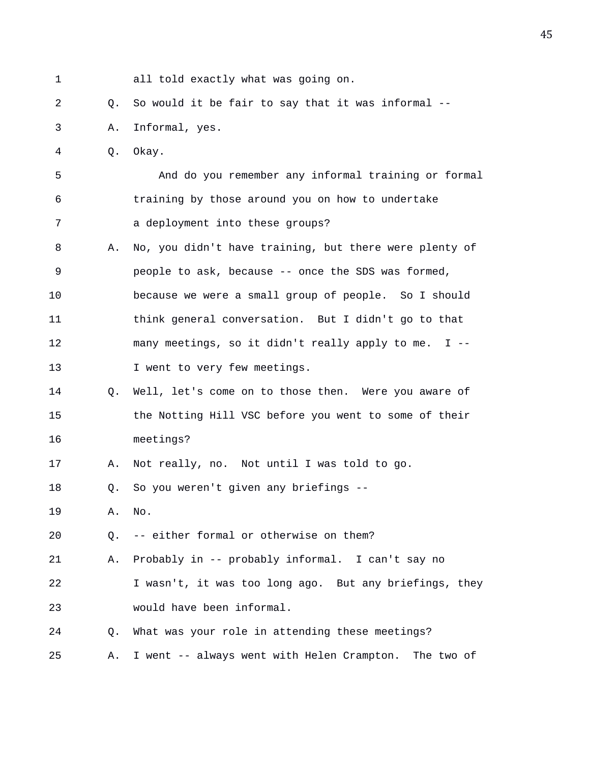1 all told exactly what was going on. 2 Q. So would it be fair to say that it was informal -- 3 A. Informal, yes. 4 Q. Okay. 5 And do you remember any informal training or formal 6 training by those around you on how to undertake 7 a deployment into these groups? 8 A. No, you didn't have training, but there were plenty of 9 people to ask, because -- once the SDS was formed, 10 because we were a small group of people. So I should 11 think general conversation. But I didn't go to that 12 many meetings, so it didn't really apply to me. I -- 13 I went to very few meetings. 14 Q. Well, let's come on to those then. Were you aware of 15 the Notting Hill VSC before you went to some of their 16 meetings? 17 A. Not really, no. Not until I was told to go. 18 Q. So you weren't given any briefings -- 19 A. No. 20 Q. -- either formal or otherwise on them? 21 A. Probably in -- probably informal. I can't say no 22 I wasn't, it was too long ago. But any briefings, they 23 would have been informal. 24 Q. What was your role in attending these meetings? 25 A. I went -- always went with Helen Crampton. The two of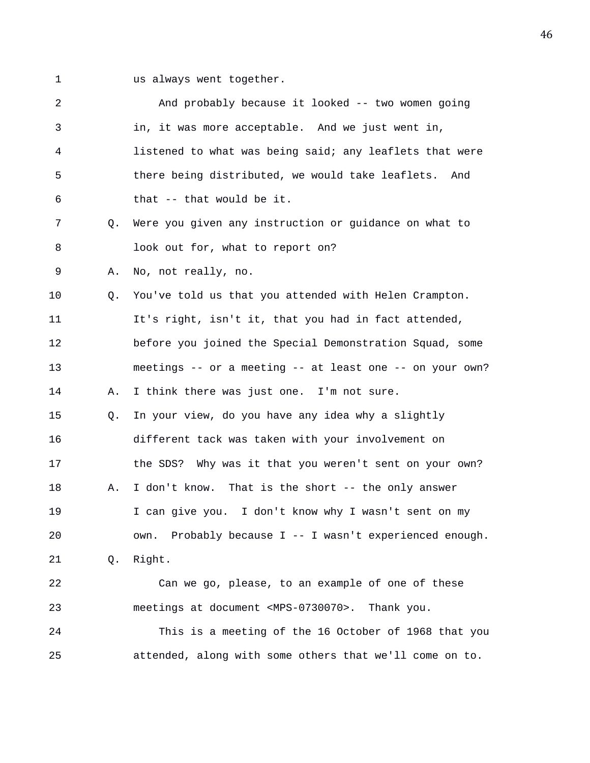1 us always went together.

| 2  |    | And probably because it looked -- two women going            |
|----|----|--------------------------------------------------------------|
| 3  |    | in, it was more acceptable. And we just went in,             |
| 4  |    | listened to what was being said; any leaflets that were      |
| 5  |    | there being distributed, we would take leaflets. And         |
| 6  |    | that -- that would be it.                                    |
| 7  | Q. | Were you given any instruction or guidance on what to        |
| 8  |    | look out for, what to report on?                             |
| 9  | Α. | No, not really, no.                                          |
| 10 | Q. | You've told us that you attended with Helen Crampton.        |
| 11 |    | It's right, isn't it, that you had in fact attended,         |
| 12 |    | before you joined the Special Demonstration Squad, some      |
| 13 |    | meetings -- or a meeting -- at least one -- on your own?     |
| 14 | Α. | I think there was just one. I'm not sure.                    |
| 15 | О. | In your view, do you have any idea why a slightly            |
| 16 |    | different tack was taken with your involvement on            |
| 17 |    | the SDS? Why was it that you weren't sent on your own?       |
| 18 | Α. | I don't know. That is the short -- the only answer           |
| 19 |    | I can give you. I don't know why I wasn't sent on my         |
| 20 |    | own. Probably because I -- I wasn't experienced enough.      |
| 21 | Q. | Right.                                                       |
| 22 |    | Can we go, please, to an example of one of these             |
| 23 |    | meetings at document <mps-0730070>. Thank you.</mps-0730070> |
| 24 |    | This is a meeting of the 16 October of 1968 that you         |
| 25 |    | attended, along with some others that we'll come on to.      |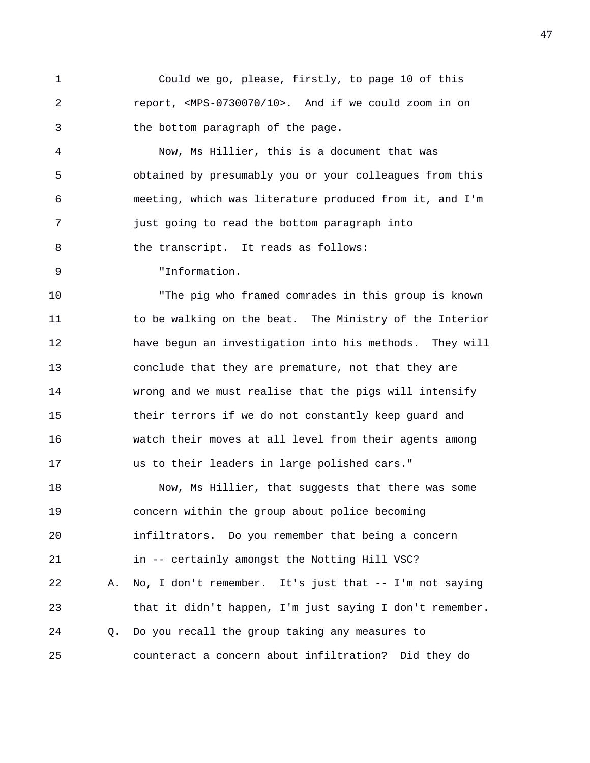1 Could we go, please, firstly, to page 10 of this 2 report, <MPS-0730070/10>. And if we could zoom in on 3 the bottom paragraph of the page.

4 Now, Ms Hillier, this is a document that was 5 obtained by presumably you or your colleagues from this 6 meeting, which was literature produced from it, and I'm 7 just going to read the bottom paragraph into 8 the transcript. It reads as follows:

9 "Information.

10 "The pig who framed comrades in this group is known 11 to be walking on the beat. The Ministry of the Interior 12 have begun an investigation into his methods. They will 13 conclude that they are premature, not that they are 14 wrong and we must realise that the pigs will intensify 15 their terrors if we do not constantly keep guard and 16 watch their moves at all level from their agents among 17 us to their leaders in large polished cars."

18 Now, Ms Hillier, that suggests that there was some 19 concern within the group about police becoming 20 infiltrators. Do you remember that being a concern 21 in -- certainly amongst the Notting Hill VSC? 22 A. No, I don't remember. It's just that -- I'm not saying 23 that it didn't happen, I'm just saying I don't remember. 24 Q. Do you recall the group taking any measures to 25 counteract a concern about infiltration? Did they do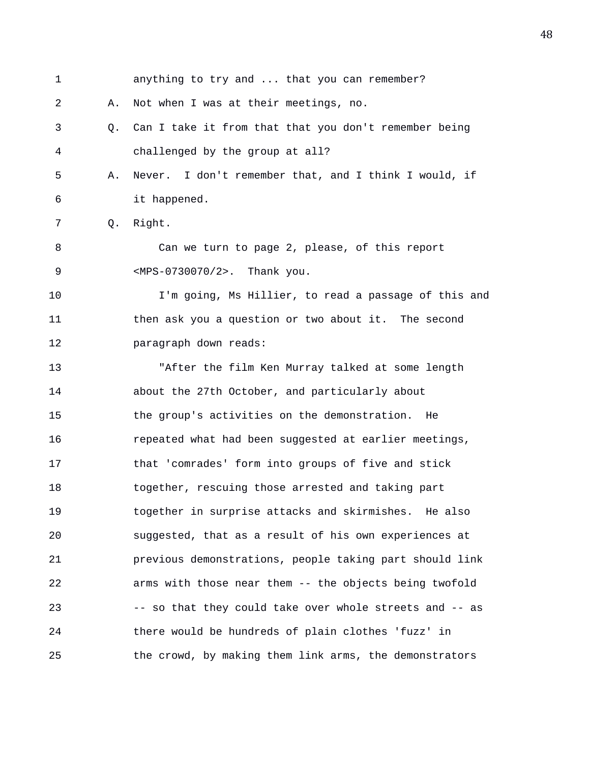| $\mathbf 1$ |    | anything to try and  that you can remember?             |
|-------------|----|---------------------------------------------------------|
| 2           | Α. | Not when I was at their meetings, no.                   |
| 3           | 0. | Can I take it from that that you don't remember being   |
| 4           |    | challenged by the group at all?                         |
| 5           | Α. | Never. I don't remember that, and I think I would, if   |
| 6           |    | it happened.                                            |
| 7           | Q. | Right.                                                  |
| 8           |    | Can we turn to page 2, please, of this report           |
| 9           |    | <mps-0730070 2="">. Thank you.</mps-0730070>            |
| 10          |    | I'm going, Ms Hillier, to read a passage of this and    |
| 11          |    | then ask you a question or two about it. The second     |
| 12          |    | paragraph down reads:                                   |
| 13          |    | "After the film Ken Murray talked at some length        |
| 14          |    | about the 27th October, and particularly about          |
| 15          |    | the group's activities on the demonstration. He         |
| 16          |    | repeated what had been suggested at earlier meetings,   |
| 17          |    | that 'comrades' form into groups of five and stick      |
| 18          |    | together, rescuing those arrested and taking part       |
| 19          |    | together in surprise attacks and skirmishes. He also    |
| 20          |    | suggested, that as a result of his own experiences at   |
| 21          |    | previous demonstrations, people taking part should link |
| 22          |    | arms with those near them -- the objects being twofold  |
| 23          |    | -- so that they could take over whole streets and -- as |
| 24          |    | there would be hundreds of plain clothes 'fuzz' in      |
| 25          |    | the crowd, by making them link arms, the demonstrators  |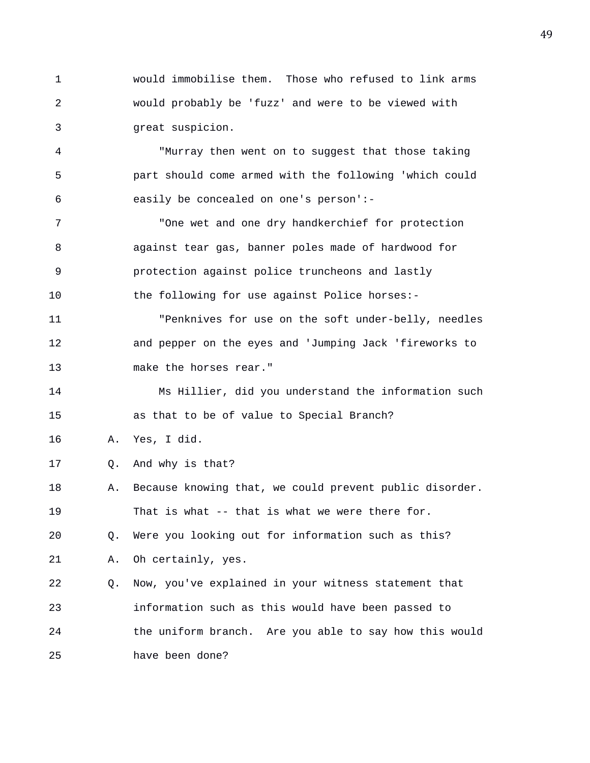1 would immobilise them. Those who refused to link arms 2 would probably be 'fuzz' and were to be viewed with 3 great suspicion.

4 "Murray then went on to suggest that those taking 5 part should come armed with the following 'which could 6 easily be concealed on one's person':-

7 "One wet and one dry handkerchief for protection 8 against tear gas, banner poles made of hardwood for 9 protection against police truncheons and lastly 10 the following for use against Police horses:-

11 "Penknives for use on the soft under-belly, needles 12 and pepper on the eyes and 'Jumping Jack 'fireworks to 13 make the horses rear."

14 Ms Hillier, did you understand the information such 15 as that to be of value to Special Branch?

16 A. Yes, I did.

17 0. And why is that?

18 A. Because knowing that, we could prevent public disorder. 19 That is what -- that is what we were there for.

20 Q. Were you looking out for information such as this?

21 A. Oh certainly, yes.

22 Q. Now, you've explained in your witness statement that 23 information such as this would have been passed to 24 the uniform branch. Are you able to say how this would 25 have been done?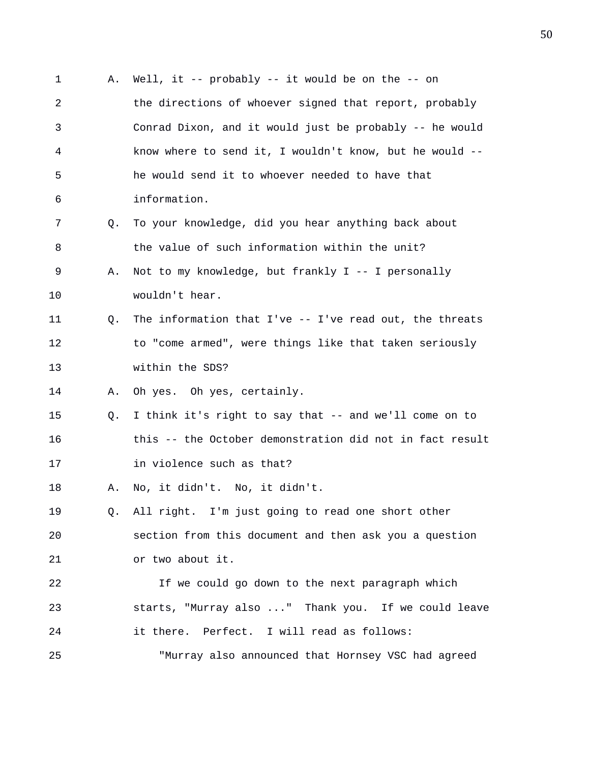1 A. Well, it -- probably -- it would be on the -- on 2 the directions of whoever signed that report, probably 3 Conrad Dixon, and it would just be probably -- he would 4 know where to send it, I wouldn't know, but he would -- 5 he would send it to whoever needed to have that 6 information. 7 Q. To your knowledge, did you hear anything back about 8 the value of such information within the unit? 9 A. Not to my knowledge, but frankly I -- I personally 10 wouldn't hear. 11 Q. The information that I've -- I've read out, the threats 12 to "come armed", were things like that taken seriously 13 within the SDS? 14 A. Oh yes. Oh yes, certainly. 15 Q. I think it's right to say that -- and we'll come on to 16 this -- the October demonstration did not in fact result 17 in violence such as that? 18 A. No, it didn't. No, it didn't. 19 Q. All right. I'm just going to read one short other 20 section from this document and then ask you a question 21 or two about it. 22 If we could go down to the next paragraph which 23 starts, "Murray also ..." Thank you. If we could leave 24 it there. Perfect. I will read as follows: 25 "Murray also announced that Hornsey VSC had agreed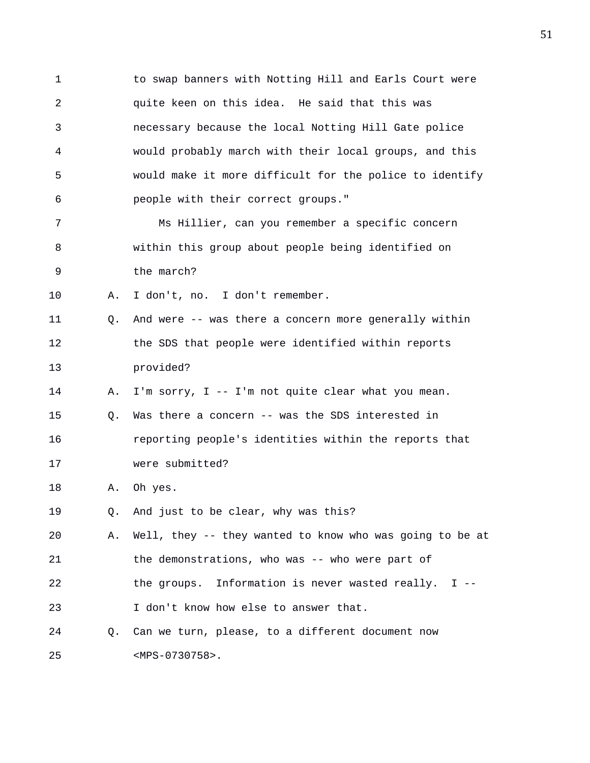1 to swap banners with Notting Hill and Earls Court were 2 quite keen on this idea. He said that this was 3 necessary because the local Notting Hill Gate police 4 would probably march with their local groups, and this 5 would make it more difficult for the police to identify 6 people with their correct groups."

7 Ms Hillier, can you remember a specific concern 8 within this group about people being identified on 9 the march?

10 A. I don't, no. I don't remember.

11 Q. And were -- was there a concern more generally within 12 the SDS that people were identified within reports 13 provided?

14 A. I'm sorry, I -- I'm not quite clear what you mean.

15 Q. Was there a concern -- was the SDS interested in 16 reporting people's identities within the reports that 17 were submitted?

18 A. Oh yes.

19 Q. And just to be clear, why was this?

20 A. Well, they -- they wanted to know who was going to be at 21 the demonstrations, who was -- who were part of 22 the groups. Information is never wasted really. I -- 23 I don't know how else to answer that.

24 Q. Can we turn, please, to a different document now 25 <MPS-0730758>.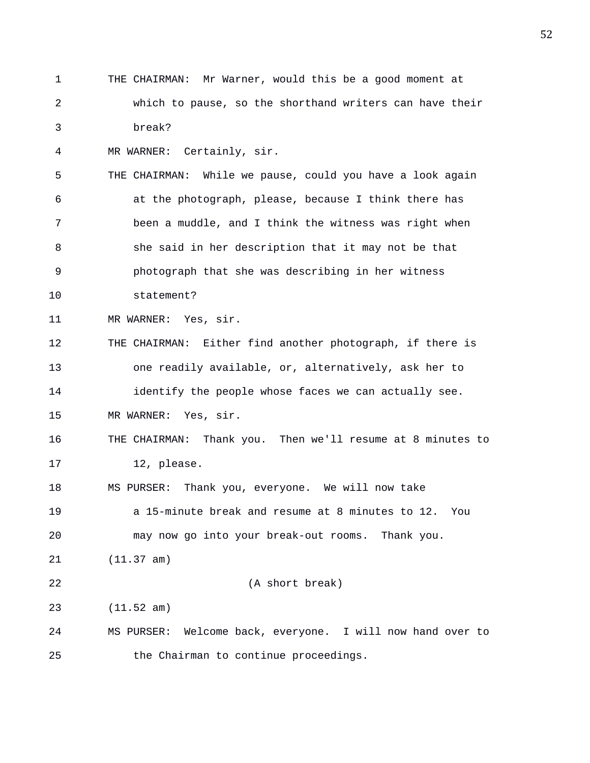1 THE CHAIRMAN: Mr Warner, would this be a good moment at 2 which to pause, so the shorthand writers can have their 3 break? 4 MR WARNER: Certainly, sir. 5 THE CHAIRMAN: While we pause, could you have a look again 6 at the photograph, please, because I think there has 7 been a muddle, and I think the witness was right when 8 she said in her description that it may not be that 9 photograph that she was describing in her witness 10 statement? 11 MR WARNER: Yes, sir. 12 THE CHAIRMAN: Either find another photograph, if there is 13 one readily available, or, alternatively, ask her to 14 identify the people whose faces we can actually see. 15 MR WARNER: Yes, sir. 16 THE CHAIRMAN: Thank you. Then we'll resume at 8 minutes to 17 12, please. 18 MS PURSER: Thank you, everyone. We will now take 19 a 15-minute break and resume at 8 minutes to 12. You 20 may now go into your break-out rooms. Thank you. 21 (11.37 am) 22 (A short break) 23 (11.52 am) 24 MS PURSER: Welcome back, everyone. I will now hand over to 25 the Chairman to continue proceedings.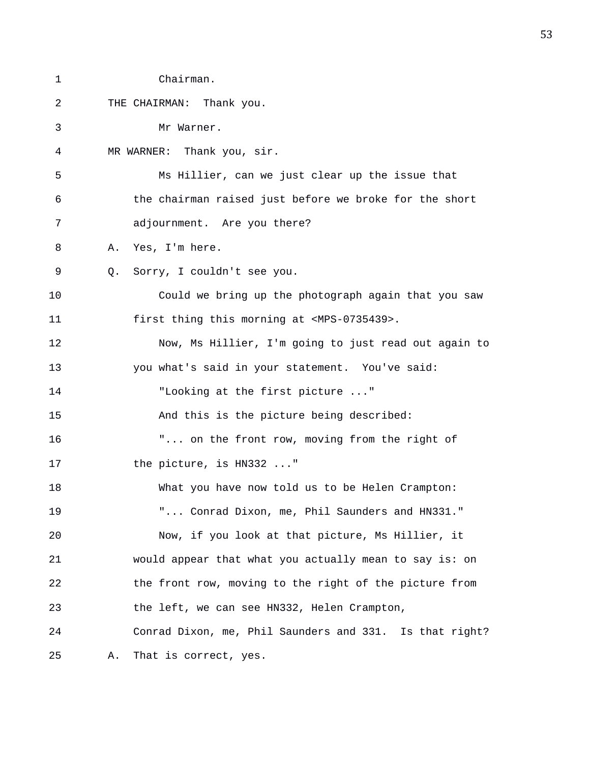| 1  | Chairman.                                                |
|----|----------------------------------------------------------|
| 2  | THE CHAIRMAN: Thank you.                                 |
| 3  | Mr Warner.                                               |
| 4  | MR WARNER: Thank you, sir.                               |
| 5  | Ms Hillier, can we just clear up the issue that          |
| 6  | the chairman raised just before we broke for the short   |
| 7  | adjournment. Are you there?                              |
| 8  | Yes, I'm here.<br>Α.                                     |
| 9  | Sorry, I couldn't see you.<br>Q.                         |
| 10 | Could we bring up the photograph again that you saw      |
| 11 | first thing this morning at <mps-0735439>.</mps-0735439> |
| 12 | Now, Ms Hillier, I'm going to just read out again to     |
| 13 | you what's said in your statement. You've said:          |
| 14 | "Looking at the first picture "                          |
| 15 | And this is the picture being described:                 |
| 16 | " on the front row, moving from the right of             |
| 17 | the picture, is HN332 "                                  |
| 18 | What you have now told us to be Helen Crampton:          |
| 19 | " Conrad Dixon, me, Phil Saunders and HN331."            |
| 20 | Now, if you look at that picture, Ms Hillier, it         |
| 21 | would appear that what you actually mean to say is: on   |
| 22 | the front row, moving to the right of the picture from   |
| 23 | the left, we can see HN332, Helen Crampton,              |
| 24 | Conrad Dixon, me, Phil Saunders and 331. Is that right?  |
| 25 | That is correct, yes.<br>Α.                              |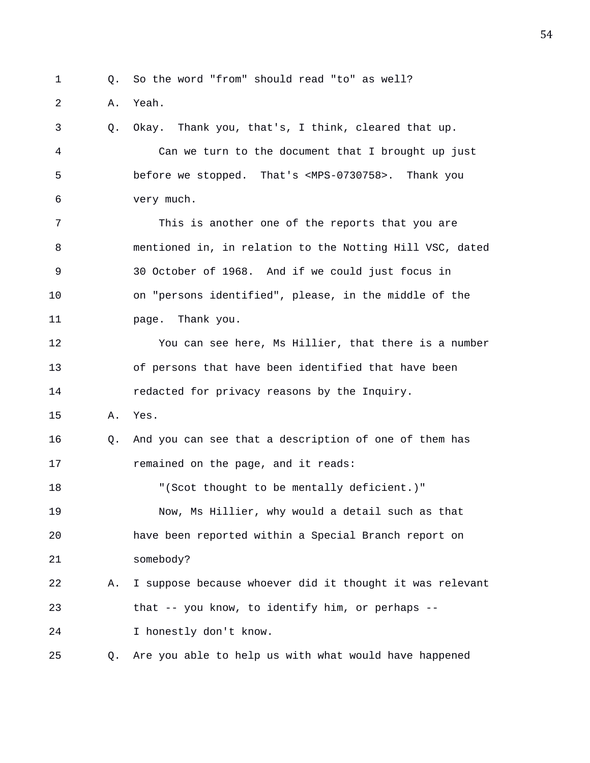- 1 Q. So the word "from" should read "to" as well?
- 2 A. Yeah.

3 Q. Okay. Thank you, that's, I think, cleared that up. 4 Can we turn to the document that I brought up just 5 before we stopped. That's <MPS-0730758>. Thank you 6 very much.

7 This is another one of the reports that you are 8 mentioned in, in relation to the Notting Hill VSC, dated 9 30 October of 1968. And if we could just focus in 10 on "persons identified", please, in the middle of the 11 page. Thank you.

12 You can see here, Ms Hillier, that there is a number 13 of persons that have been identified that have been 14 **redacted for privacy reasons by the Inquiry.** 

15 A. Yes.

16 Q. And you can see that a description of one of them has 17 **remained on the page, and it reads:** 

18 "(Scot thought to be mentally deficient.)" 19 Now, Ms Hillier, why would a detail such as that 20 have been reported within a Special Branch report on 21 somebody?

22 A. I suppose because whoever did it thought it was relevant 23 that -- you know, to identify him, or perhaps -- 24 I honestly don't know.

25 Q. Are you able to help us with what would have happened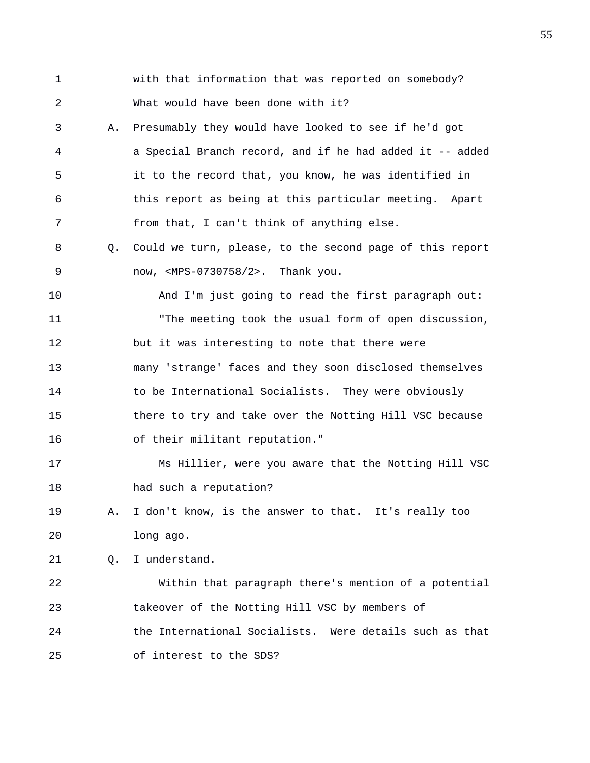1 with that information that was reported on somebody? 2 What would have been done with it? 3 A. Presumably they would have looked to see if he'd got 4 a Special Branch record, and if he had added it -- added 5 it to the record that, you know, he was identified in 6 this report as being at this particular meeting. Apart 7 from that, I can't think of anything else. 8 Q. Could we turn, please, to the second page of this report 9 now, <MPS-0730758/2>. Thank you. 10 And I'm just going to read the first paragraph out: 11 "The meeting took the usual form of open discussion, 12 but it was interesting to note that there were 13 many 'strange' faces and they soon disclosed themselves 14 to be International Socialists. They were obviously 15 there to try and take over the Notting Hill VSC because 16 of their militant reputation." 17 Ms Hillier, were you aware that the Notting Hill VSC 18 had such a reputation? 19 A. I don't know, is the answer to that. It's really too 20 long ago. 21 Q. I understand. 22 Within that paragraph there's mention of a potential 23 takeover of the Notting Hill VSC by members of 24 the International Socialists. Were details such as that 25 of interest to the SDS?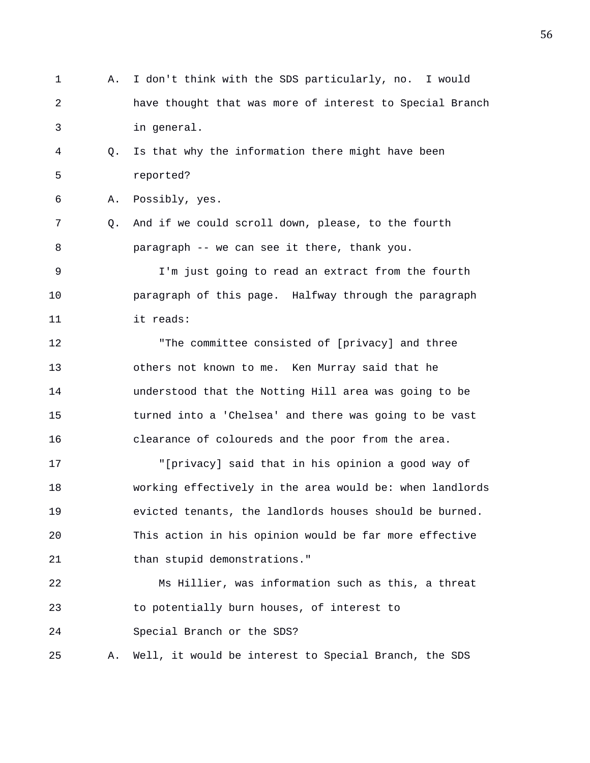- 1 A. I don't think with the SDS particularly, no. I would 2 have thought that was more of interest to Special Branch 3 in general.
- 4 Q. Is that why the information there might have been 5 reported?

```
6 A. Possibly, yes.
```
7 Q. And if we could scroll down, please, to the fourth 8 paragraph -- we can see it there, thank you.

9 I'm just going to read an extract from the fourth 10 paragraph of this page. Halfway through the paragraph 11 it reads:

12 "The committee consisted of [privacy] and three 13 others not known to me. Ken Murray said that he 14 understood that the Notting Hill area was going to be 15 turned into a 'Chelsea' and there was going to be vast 16 clearance of coloureds and the poor from the area.

17 "[privacy] said that in his opinion a good way of 18 working effectively in the area would be: when landlords 19 evicted tenants, the landlords houses should be burned. 20 This action in his opinion would be far more effective 21 than stupid demonstrations."

22 Ms Hillier, was information such as this, a threat 23 to potentially burn houses, of interest to 24 Special Branch or the SDS?

25 A. Well, it would be interest to Special Branch, the SDS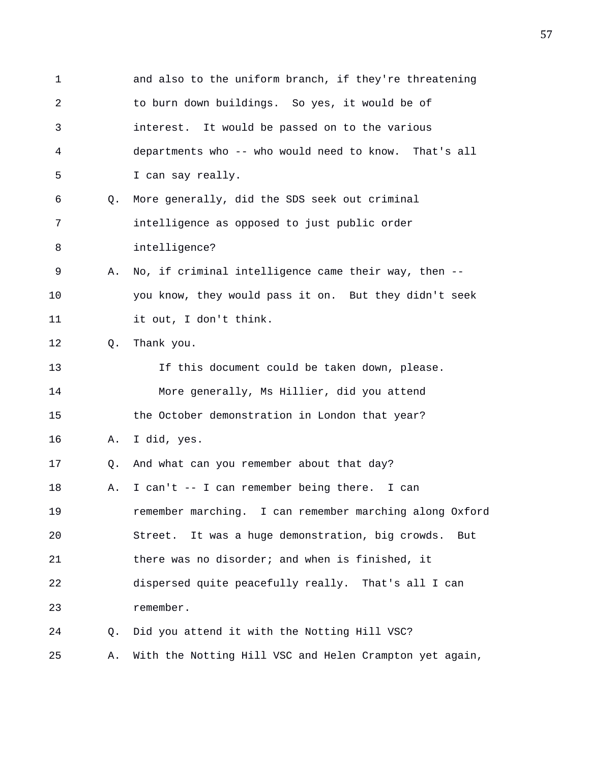1 and also to the uniform branch, if they're threatening 2 to burn down buildings. So yes, it would be of 3 interest. It would be passed on to the various 4 departments who -- who would need to know. That's all 5 I can say really. 6 Q. More generally, did the SDS seek out criminal 7 intelligence as opposed to just public order 8 intelligence? 9 A. No, if criminal intelligence came their way, then -- 10 you know, they would pass it on. But they didn't seek 11 it out, I don't think. 12 Q. Thank you. 13 If this document could be taken down, please. 14 More generally, Ms Hillier, did you attend 15 the October demonstration in London that year? 16 A. I did, yes. 17 Q. And what can you remember about that day? 18 A. I can't -- I can remember being there. I can 19 remember marching. I can remember marching along Oxford 20 Street. It was a huge demonstration, big crowds. But 21 there was no disorder; and when is finished, it 22 dispersed quite peacefully really. That's all I can 23 remember. 24 Q. Did you attend it with the Notting Hill VSC? 25 A. With the Notting Hill VSC and Helen Crampton yet again,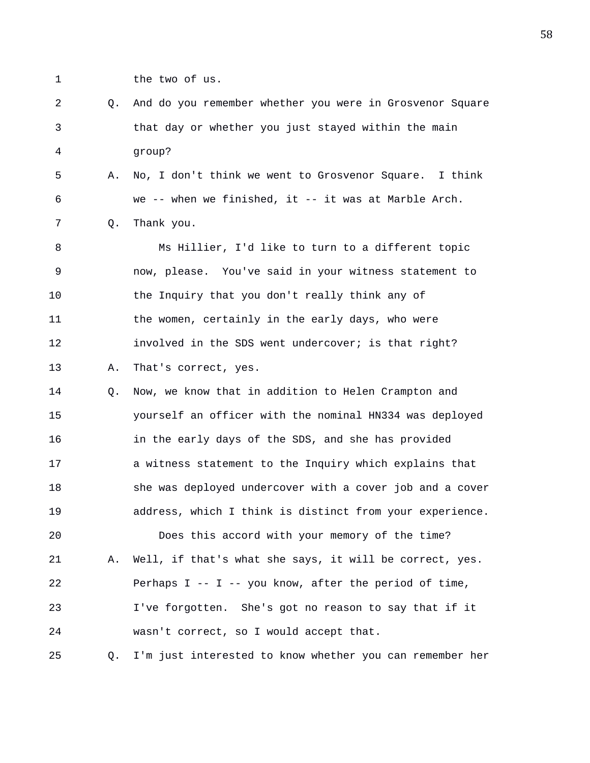1 the two of us.

| 2 | Q. And do you remember whether you were in Grosvenor Square |
|---|-------------------------------------------------------------|
| 3 | that day or whether you just stayed within the main         |
| 4 | qroup?                                                      |
| 5 | A. No, I don't think we went to Grosvenor Square. I think   |
| 6 | we -- when we finished, it -- it was at Marble Arch.        |
| 7 | 0. Thank you.                                               |
| 8 | Ms Hillier, I'd like to turn to a different topic           |
|   |                                                             |

9 now, please. You've said in your witness statement to 10 the Inquiry that you don't really think any of 11 the women, certainly in the early days, who were 12 involved in the SDS went undercover; is that right? 13 A. That's correct, yes.

14 Q. Now, we know that in addition to Helen Crampton and 15 yourself an officer with the nominal HN334 was deployed 16 in the early days of the SDS, and she has provided 17 a witness statement to the Inquiry which explains that 18 she was deployed undercover with a cover job and a cover 19 address, which I think is distinct from your experience.

20 Does this accord with your memory of the time? 21 A. Well, if that's what she says, it will be correct, yes. 22 Perhaps I -- I -- you know, after the period of time, 23 I've forgotten. She's got no reason to say that if it 24 wasn't correct, so I would accept that.

25 Q. I'm just interested to know whether you can remember her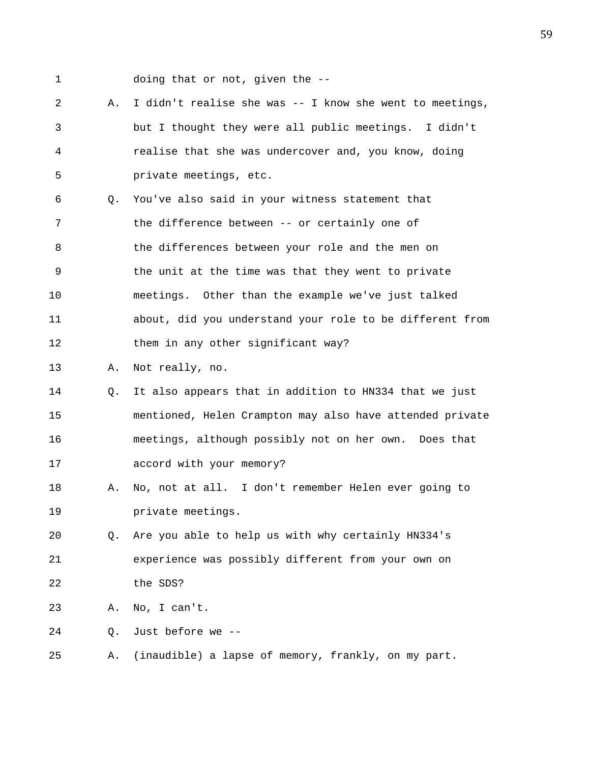1 doing that or not, given the --

2 A. I didn't realise she was -- I know she went to meetings, 3 but I thought they were all public meetings. I didn't 4 realise that she was undercover and, you know, doing 5 private meetings, etc. 6 Q. You've also said in your witness statement that 7 the difference between -- or certainly one of 8 the differences between your role and the men on 9 the unit at the time was that they went to private 10 meetings. Other than the example we've just talked 11 about, did you understand your role to be different from 12 them in any other significant way? 13 A. Not really, no. 14 Q. It also appears that in addition to HN334 that we just 15 mentioned, Helen Crampton may also have attended private 16 meetings, although possibly not on her own. Does that 17 accord with your memory? 18 A. No, not at all. I don't remember Helen ever going to 19 private meetings. 20 Q. Are you able to help us with why certainly HN334's 21 experience was possibly different from your own on 22 the SDS? 23 A. No, I can't. 24 Q. Just before we --

25 A. (inaudible) a lapse of memory, frankly, on my part.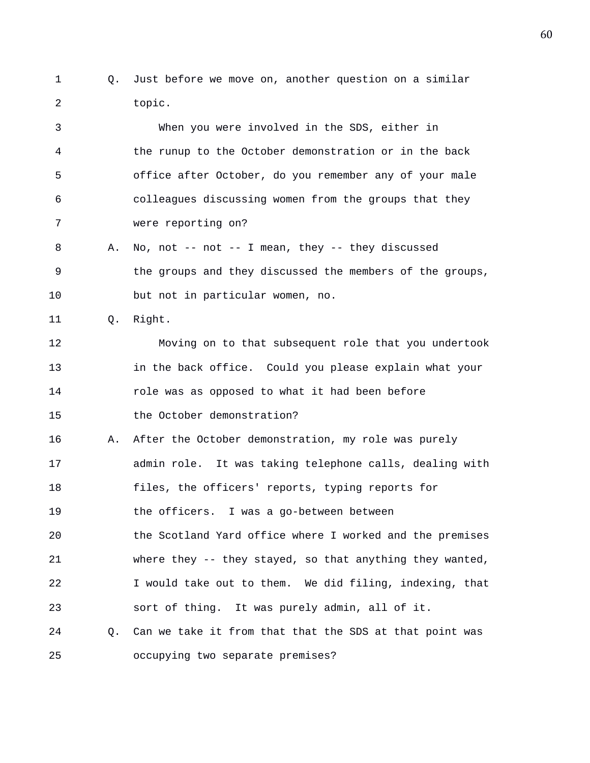1 Q. Just before we move on, another question on a similar 2 topic.

3 When you were involved in the SDS, either in 4 the runup to the October demonstration or in the back 5 office after October, do you remember any of your male 6 colleagues discussing women from the groups that they 7 were reporting on?

- 8 A. No, not -- not -- I mean, they -- they discussed 9 the groups and they discussed the members of the groups, 10 but not in particular women, no.
- 11 Q. Right.

12 Moving on to that subsequent role that you undertook 13 in the back office. Could you please explain what your 14 role was as opposed to what it had been before 15 the October demonstration?

16 A. After the October demonstration, my role was purely 17 admin role. It was taking telephone calls, dealing with 18 files, the officers' reports, typing reports for 19 the officers. I was a go-between between 20 the Scotland Yard office where I worked and the premises

21 where they -- they stayed, so that anything they wanted, 22 I would take out to them. We did filing, indexing, that 23 sort of thing. It was purely admin, all of it.

24 Q. Can we take it from that that the SDS at that point was 25 occupying two separate premises?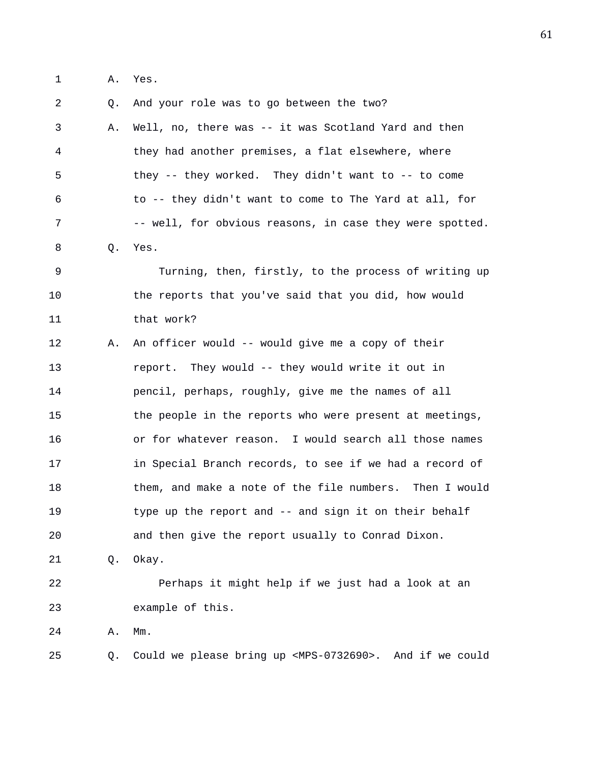1 A. Yes.

2 Q. And your role was to go between the two? 3 A. Well, no, there was -- it was Scotland Yard and then 4 they had another premises, a flat elsewhere, where 5 they -- they worked. They didn't want to -- to come 6 to -- they didn't want to come to The Yard at all, for 7 -- well, for obvious reasons, in case they were spotted. 8 Q. Yes. 9 Turning, then, firstly, to the process of writing up 10 the reports that you've said that you did, how would 11 that work? 12 A. An officer would -- would give me a copy of their 13 report. They would -- they would write it out in 14 pencil, perhaps, roughly, give me the names of all 15 the people in the reports who were present at meetings, 16 or for whatever reason. I would search all those names 17 in Special Branch records, to see if we had a record of 18 them, and make a note of the file numbers. Then I would 19 type up the report and -- and sign it on their behalf 20 and then give the report usually to Conrad Dixon. 21 Q. Okay. 22 Perhaps it might help if we just had a look at an 23 example of this. 24 A. Mm. 25 Q. Could we please bring up <MPS-0732690>. And if we could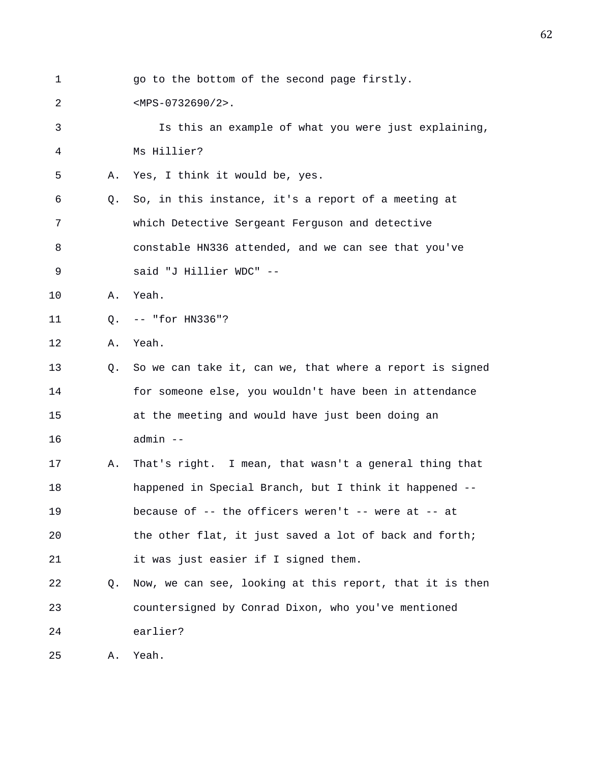| 1  |    | go to the bottom of the second page firstly.             |
|----|----|----------------------------------------------------------|
| 2  |    | $.$                                                      |
| 3  |    | Is this an example of what you were just explaining,     |
| 4  |    | Ms Hillier?                                              |
| 5  | Α. | Yes, I think it would be, yes.                           |
| 6  | Q. | So, in this instance, it's a report of a meeting at      |
| 7  |    | which Detective Sergeant Ferguson and detective          |
| 8  |    | constable HN336 attended, and we can see that you've     |
| 9  |    | said "J Hillier WDC" --                                  |
| 10 | Α. | Yeah.                                                    |
| 11 | Q. | -- "for HN336"?                                          |
| 12 | Α. | Yeah.                                                    |
| 13 | 0. | So we can take it, can we, that where a report is signed |
| 14 |    | for someone else, you wouldn't have been in attendance   |
| 15 |    | at the meeting and would have just been doing an         |
| 16 |    | admin --                                                 |
| 17 | Α. | That's right. I mean, that wasn't a general thing that   |
| 18 |    | happened in Special Branch, but I think it happened --   |
| 19 |    | because of -- the officers weren't -- were at -- at      |
| 20 |    | the other flat, it just saved a lot of back and forth;   |
| 21 |    | it was just easier if I signed them.                     |
| 22 | Q. | Now, we can see, looking at this report, that it is then |
| 23 |    | countersigned by Conrad Dixon, who you've mentioned      |
| 24 |    | earlier?                                                 |
| 25 | Α. | Yeah.                                                    |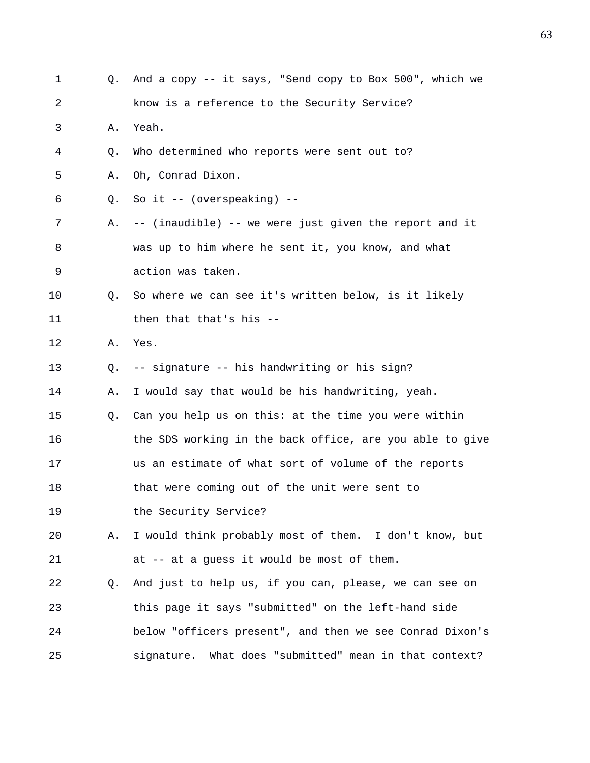| 1  | Q. | And a copy -- it says, "Send copy to Box 500", which we  |
|----|----|----------------------------------------------------------|
| 2  |    | know is a reference to the Security Service?             |
| 3  | Α. | Yeah.                                                    |
| 4  | Q. | Who determined who reports were sent out to?             |
| 5  | Α. | Oh, Conrad Dixon.                                        |
| 6  | Q. | So it $--$ (overspeaking) $--$                           |
| 7  | Α. | -- (inaudible) -- we were just given the report and it   |
| 8  |    | was up to him where he sent it, you know, and what       |
| 9  |    | action was taken.                                        |
| 10 | Q. | So where we can see it's written below, is it likely     |
| 11 |    | then that that's his --                                  |
| 12 | Α. | Yes.                                                     |
| 13 | Q. | -- signature -- his handwriting or his sign?             |
| 14 | Α. | I would say that would be his handwriting, yeah.         |
| 15 | Q. | Can you help us on this: at the time you were within     |
| 16 |    | the SDS working in the back office, are you able to give |
| 17 |    | us an estimate of what sort of volume of the reports     |
| 18 |    | that were coming out of the unit were sent to            |
| 19 |    | the Security Service?                                    |
| 20 | Α. | I would think probably most of them. I don't know, but   |
| 21 |    | at -- at a guess it would be most of them.               |
| 22 | Q. | And just to help us, if you can, please, we can see on   |
| 23 |    | this page it says "submitted" on the left-hand side      |
| 24 |    | below "officers present", and then we see Conrad Dixon's |
| 25 |    | signature. What does "submitted" mean in that context?   |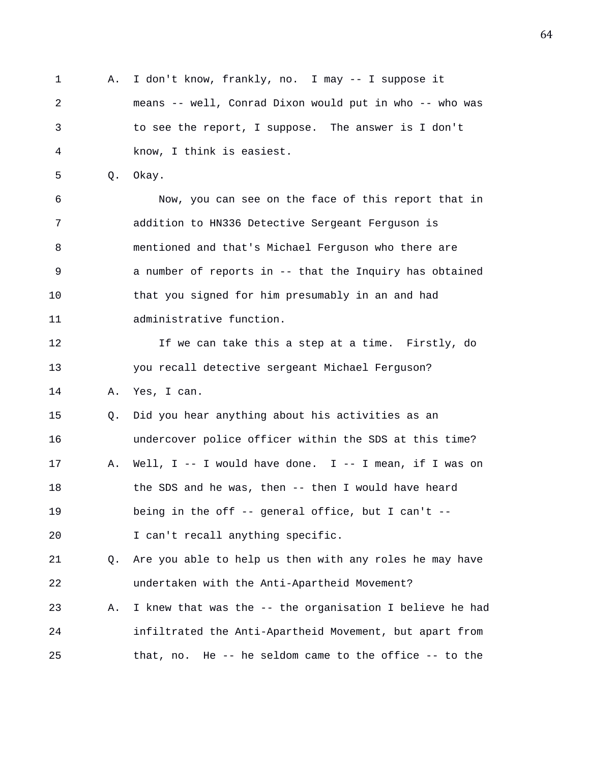1 A. I don't know, frankly, no. I may -- I suppose it 2 means -- well, Conrad Dixon would put in who -- who was 3 to see the report, I suppose. The answer is I don't 4 know, I think is easiest.

5 Q. Okay.

6 Now, you can see on the face of this report that in 7 addition to HN336 Detective Sergeant Ferguson is 8 mentioned and that's Michael Ferguson who there are 9 a number of reports in -- that the Inquiry has obtained 10 that you signed for him presumably in an and had 11 administrative function.

12 If we can take this a step at a time. Firstly, do 13 you recall detective sergeant Michael Ferguson? 14 A. Yes, I can.

15 Q. Did you hear anything about his activities as an 16 undercover police officer within the SDS at this time? 17 A. Well, I -- I would have done. I -- I mean, if I was on 18 the SDS and he was, then -- then I would have heard 19 being in the off -- general office, but I can't -- 20 I can't recall anything specific.

21 Q. Are you able to help us then with any roles he may have 22 undertaken with the Anti-Apartheid Movement?

23 A. I knew that was the -- the organisation I believe he had 24 infiltrated the Anti-Apartheid Movement, but apart from 25 that, no. He -- he seldom came to the office -- to the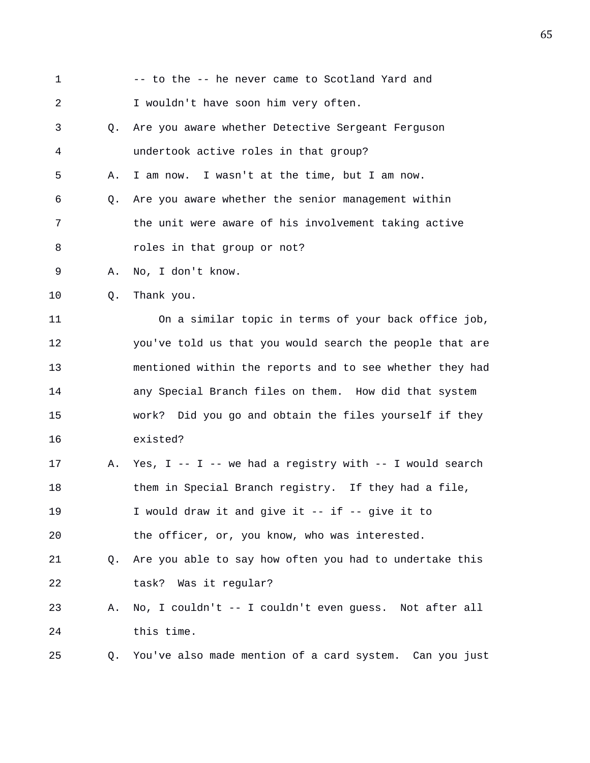| 1  |    | -- to the -- he never came to Scotland Yard and            |
|----|----|------------------------------------------------------------|
| 2  |    | I wouldn't have soon him very often.                       |
| 3  | О. | Are you aware whether Detective Sergeant Ferguson          |
| 4  |    | undertook active roles in that group?                      |
| 5  | Α. | I am now. I wasn't at the time, but I am now.              |
| 6  | Q. | Are you aware whether the senior management within         |
| 7  |    | the unit were aware of his involvement taking active       |
| 8  |    | roles in that group or not?                                |
| 9  | Α. | No, I don't know.                                          |
| 10 | Q. | Thank you.                                                 |
| 11 |    | On a similar topic in terms of your back office job,       |
| 12 |    | you've told us that you would search the people that are   |
| 13 |    | mentioned within the reports and to see whether they had   |
| 14 |    | any Special Branch files on them. How did that system      |
| 15 |    | work? Did you go and obtain the files yourself if they     |
| 16 |    | existed?                                                   |
| 17 | Α. | Yes, $I - - I -$ we had a registry with $- I$ would search |
| 18 |    | them in Special Branch registry. If they had a file,       |
| 19 |    | I would draw it and give it -- if -- give it to            |
| 20 |    | the officer, or, you know, who was interested.             |
| 21 | Q. | Are you able to say how often you had to undertake this    |
| 22 |    | Was it regular?<br>task?                                   |
| 23 | Α. | No, I couldn't -- I couldn't even guess. Not after all     |
| 24 |    | this time.                                                 |
| 25 | Q. | You've also made mention of a card system. Can you just    |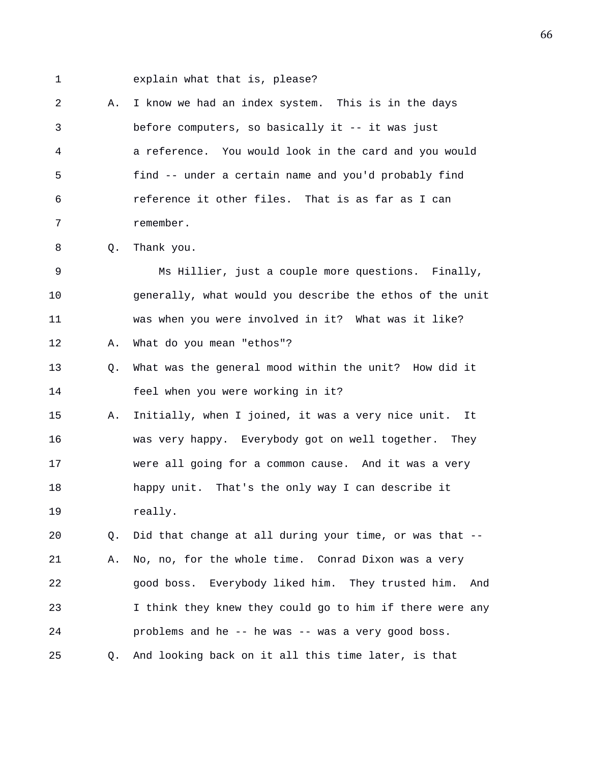1 explain what that is, please?

2 A. I know we had an index system. This is in the days 3 before computers, so basically it -- it was just 4 a reference. You would look in the card and you would 5 find -- under a certain name and you'd probably find 6 reference it other files. That is as far as I can 7 remember.

8 Q. Thank you.

9 Ms Hillier, just a couple more questions. Finally, 10 generally, what would you describe the ethos of the unit 11 was when you were involved in it? What was it like? 12 A. What do you mean "ethos"?

13 Q. What was the general mood within the unit? How did it 14 feel when you were working in it?

15 A. Initially, when I joined, it was a very nice unit. It 16 was very happy. Everybody got on well together. They 17 were all going for a common cause. And it was a very 18 happy unit. That's the only way I can describe it 19 really.

20 Q. Did that change at all during your time, or was that -- 21 A. No, no, for the whole time. Conrad Dixon was a very 22 good boss. Everybody liked him. They trusted him. And 23 I think they knew they could go to him if there were any 24 problems and he -- he was -- was a very good boss. 25 Q. And looking back on it all this time later, is that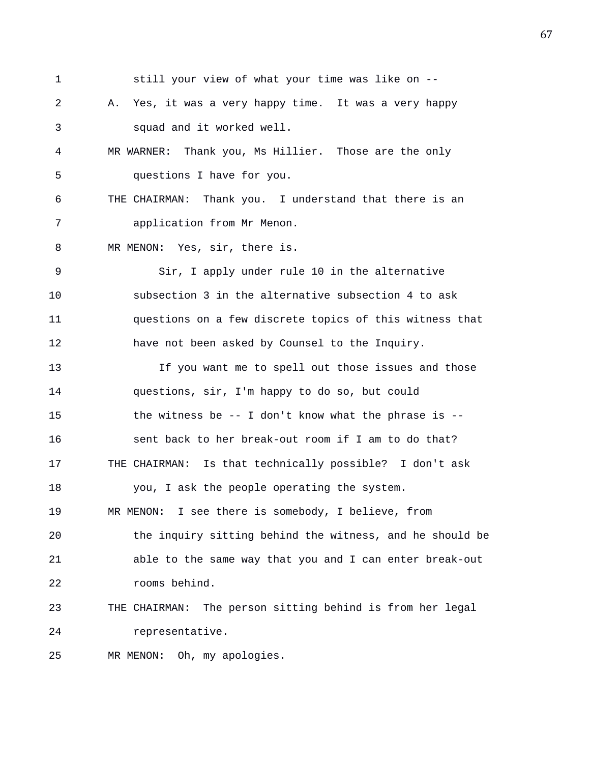1 still your view of what your time was like on -- 2 A. Yes, it was a very happy time. It was a very happy 3 squad and it worked well. 4 MR WARNER: Thank you, Ms Hillier. Those are the only 5 questions I have for you. 6 THE CHAIRMAN: Thank you. I understand that there is an 7 application from Mr Menon. 8 MR MENON: Yes, sir, there is. 9 Sir, I apply under rule 10 in the alternative 10 subsection 3 in the alternative subsection 4 to ask 11 questions on a few discrete topics of this witness that 12 have not been asked by Counsel to the Inquiry. 13 If you want me to spell out those issues and those 14 questions, sir, I'm happy to do so, but could 15 the witness be -- I don't know what the phrase is -- 16 sent back to her break-out room if I am to do that? 17 THE CHAIRMAN: Is that technically possible? I don't ask 18 you, I ask the people operating the system. 19 MR MENON: I see there is somebody, I believe, from 20 the inquiry sitting behind the witness, and he should be 21 able to the same way that you and I can enter break-out 22 rooms behind. 23 THE CHAIRMAN: The person sitting behind is from her legal 24 representative. 25 MR MENON: Oh, my apologies.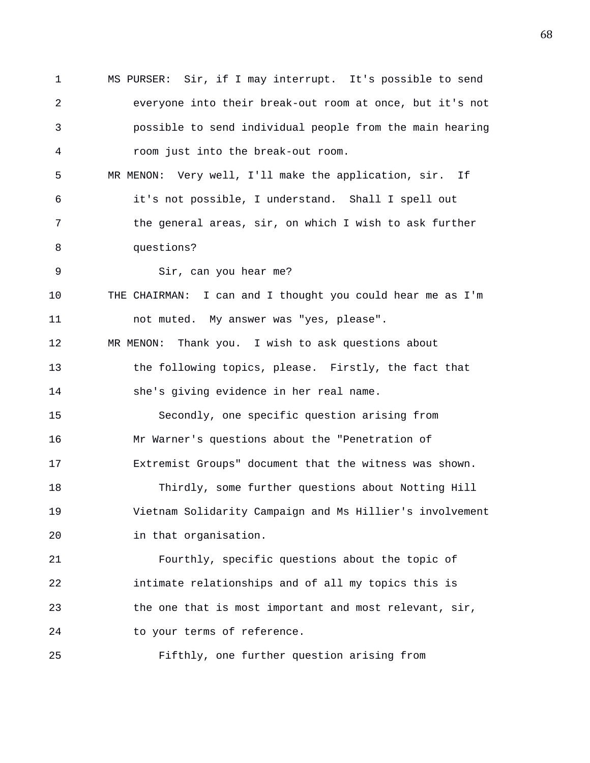1 MS PURSER: Sir, if I may interrupt. It's possible to send 2 everyone into their break-out room at once, but it's not 3 possible to send individual people from the main hearing 4 room just into the break-out room. 5 MR MENON: Very well, I'll make the application, sir. If 6 it's not possible, I understand. Shall I spell out 7 the general areas, sir, on which I wish to ask further 8 questions? 9 Sir, can you hear me? 10 THE CHAIRMAN: I can and I thought you could hear me as I'm 11 not muted. My answer was "yes, please". 12 MR MENON: Thank you. I wish to ask questions about 13 the following topics, please. Firstly, the fact that 14 she's giving evidence in her real name. 15 Secondly, one specific question arising from 16 Mr Warner's questions about the "Penetration of 17 Extremist Groups" document that the witness was shown. 18 Thirdly, some further questions about Notting Hill 19 Vietnam Solidarity Campaign and Ms Hillier's involvement 20 in that organisation. 21 Fourthly, specific questions about the topic of 22 intimate relationships and of all my topics this is 23 the one that is most important and most relevant, sir, 24 to your terms of reference. 25 Fifthly, one further question arising from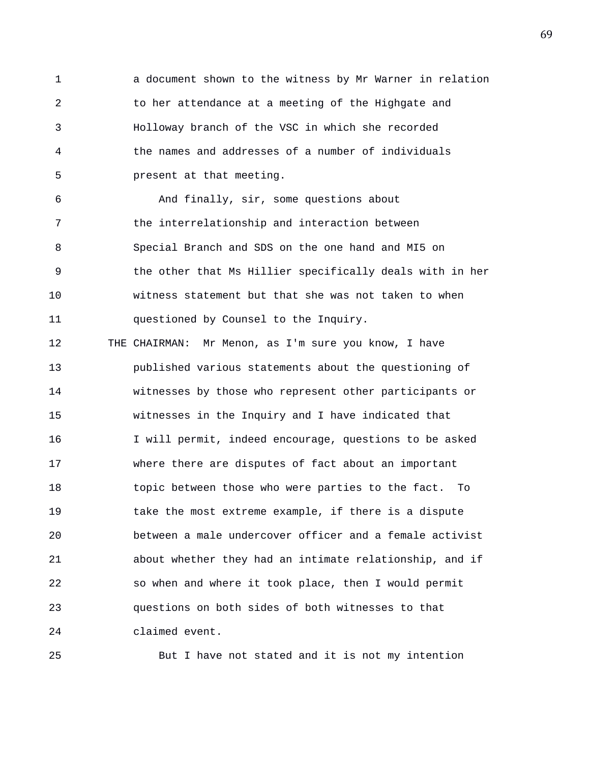1 a document shown to the witness by Mr Warner in relation 2 to her attendance at a meeting of the Highgate and 3 Holloway branch of the VSC in which she recorded 4 the names and addresses of a number of individuals 5 present at that meeting.

6 And finally, sir, some questions about 7 the interrelationship and interaction between 8 Special Branch and SDS on the one hand and MI5 on 9 the other that Ms Hillier specifically deals with in her 10 witness statement but that she was not taken to when 11 questioned by Counsel to the Inquiry.

12 THE CHAIRMAN: Mr Menon, as I'm sure you know, I have 13 published various statements about the questioning of 14 witnesses by those who represent other participants or 15 witnesses in the Inquiry and I have indicated that 16 I will permit, indeed encourage, questions to be asked 17 where there are disputes of fact about an important 18 topic between those who were parties to the fact. To 19 take the most extreme example, if there is a dispute 20 between a male undercover officer and a female activist 21 about whether they had an intimate relationship, and if 22 so when and where it took place, then I would permit 23 questions on both sides of both witnesses to that 24 claimed event.

25 But I have not stated and it is not my intention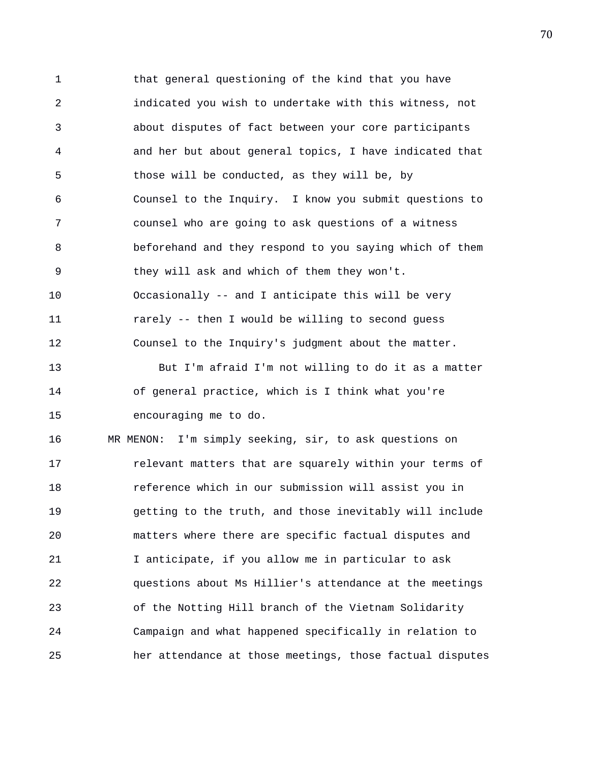1 that general questioning of the kind that you have 2 indicated you wish to undertake with this witness, not 3 about disputes of fact between your core participants 4 and her but about general topics, I have indicated that 5 those will be conducted, as they will be, by 6 Counsel to the Inquiry. I know you submit questions to 7 counsel who are going to ask questions of a witness 8 beforehand and they respond to you saying which of them 9 they will ask and which of them they won't. 10 Occasionally -- and I anticipate this will be very 11 rarely -- then I would be willing to second guess 12 Counsel to the Inquiry's judgment about the matter. 13 But I'm afraid I'm not willing to do it as a matter 14 of general practice, which is I think what you're 15 encouraging me to do. 16 MR MENON: I'm simply seeking, sir, to ask questions on 17 relevant matters that are squarely within your terms of 18 reference which in our submission will assist you in 19 getting to the truth, and those inevitably will include 20 matters where there are specific factual disputes and 21 I anticipate, if you allow me in particular to ask 22 questions about Ms Hillier's attendance at the meetings 23 of the Notting Hill branch of the Vietnam Solidarity 24 Campaign and what happened specifically in relation to

25 her attendance at those meetings, those factual disputes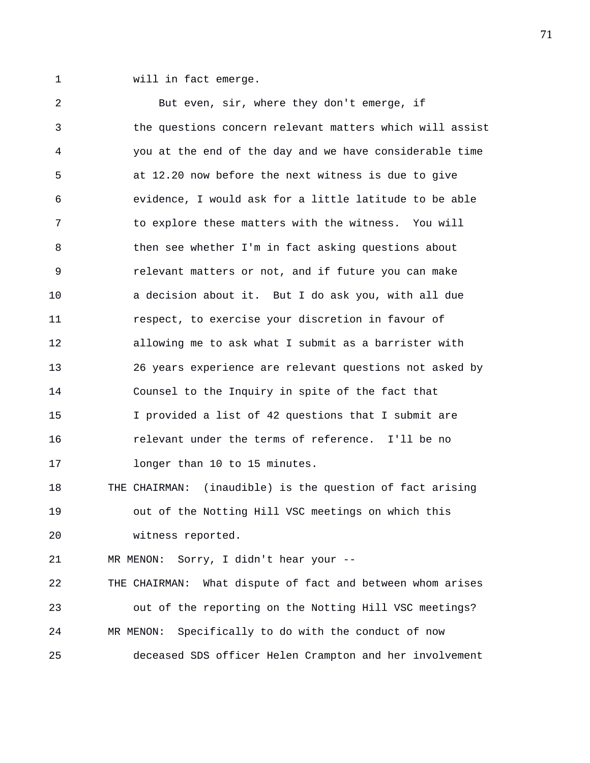1 will in fact emerge.

2 But even, sir, where they don't emerge, if 3 the questions concern relevant matters which will assist 4 you at the end of the day and we have considerable time 5 at 12.20 now before the next witness is due to give 6 evidence, I would ask for a little latitude to be able 7 to explore these matters with the witness. You will 8 6 1 then see whether I'm in fact asking questions about 9 relevant matters or not, and if future you can make 10 a decision about it. But I do ask you, with all due 11 respect, to exercise your discretion in favour of 12 allowing me to ask what I submit as a barrister with 13 26 years experience are relevant questions not asked by 14 Counsel to the Inquiry in spite of the fact that 15 I provided a list of 42 questions that I submit are 16 relevant under the terms of reference. I'll be no 17 **longer than 10 to 15 minutes.** 18 THE CHAIRMAN: (inaudible) is the question of fact arising 19 out of the Notting Hill VSC meetings on which this 20 witness reported. 21 MR MENON: Sorry, I didn't hear your -- 22 THE CHAIRMAN: What dispute of fact and between whom arises 23 out of the reporting on the Notting Hill VSC meetings? 24 MR MENON: Specifically to do with the conduct of now 25 deceased SDS officer Helen Crampton and her involvement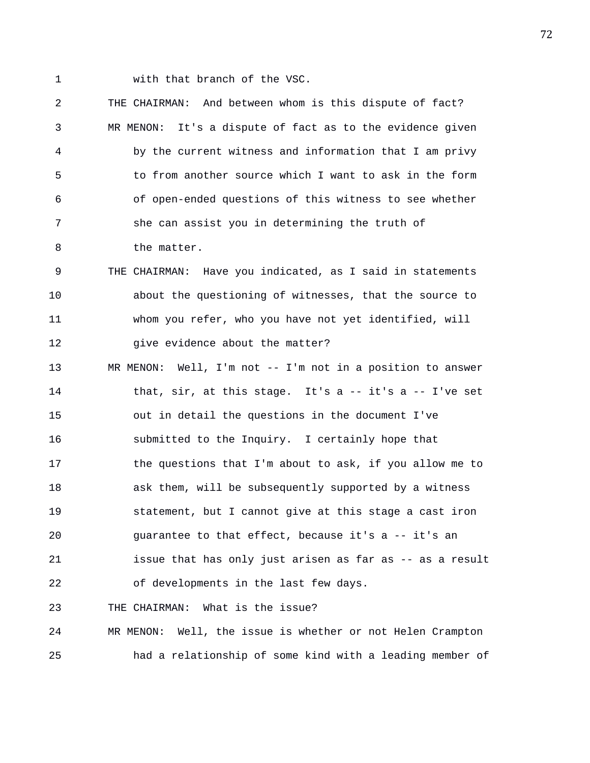1 with that branch of the VSC.

2 THE CHAIRMAN: And between whom is this dispute of fact? 3 MR MENON: It's a dispute of fact as to the evidence given 4 by the current witness and information that I am privy 5 to from another source which I want to ask in the form 6 of open-ended questions of this witness to see whether 7 she can assist you in determining the truth of 8 the matter.

9 THE CHAIRMAN: Have you indicated, as I said in statements 10 about the questioning of witnesses, that the source to 11 whom you refer, who you have not yet identified, will 12 give evidence about the matter?

13 MR MENON: Well, I'm not -- I'm not in a position to answer 14 that, sir, at this stage. It's a -- it's a -- I've set 15 out in detail the questions in the document I've 16 submitted to the Inquiry. I certainly hope that 17 the questions that I'm about to ask, if you allow me to 18 ask them, will be subsequently supported by a witness 19 statement, but I cannot give at this stage a cast iron 20 guarantee to that effect, because it's a -- it's an 21 issue that has only just arisen as far as -- as a result 22 of developments in the last few days.

23 THE CHAIRMAN: What is the issue?

24 MR MENON: Well, the issue is whether or not Helen Crampton 25 had a relationship of some kind with a leading member of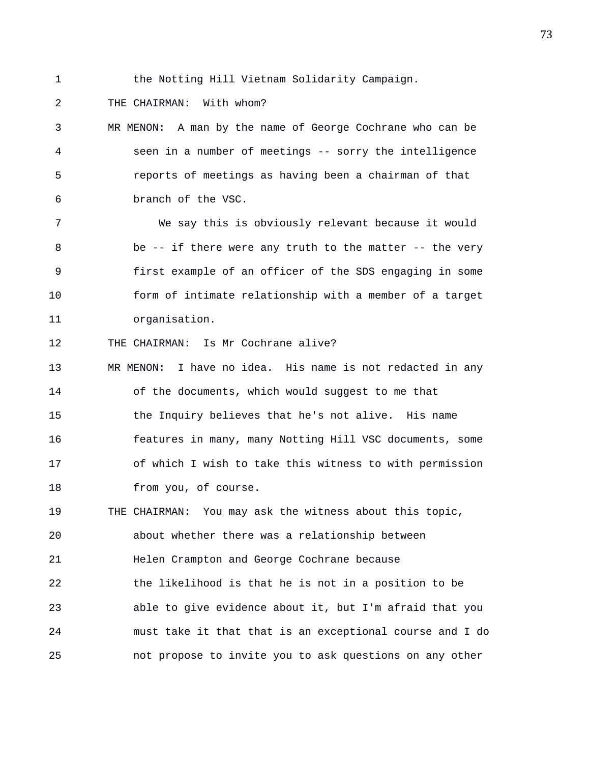1 the Notting Hill Vietnam Solidarity Campaign.

2 THE CHAIRMAN: With whom?

3 MR MENON: A man by the name of George Cochrane who can be 4 seen in a number of meetings -- sorry the intelligence 5 reports of meetings as having been a chairman of that 6 branch of the VSC.

7 We say this is obviously relevant because it would 8 be -- if there were any truth to the matter -- the very 9 first example of an officer of the SDS engaging in some 10 form of intimate relationship with a member of a target 11 organisation.

12 THE CHAIRMAN: Is Mr Cochrane alive?

13 MR MENON: I have no idea. His name is not redacted in any 14 of the documents, which would suggest to me that 15 the Inquiry believes that he's not alive. His name 16 features in many, many Notting Hill VSC documents, some 17 of which I wish to take this witness to with permission 18 from you, of course.

19 THE CHAIRMAN: You may ask the witness about this topic, 20 about whether there was a relationship between 21 Helen Crampton and George Cochrane because 22 the likelihood is that he is not in a position to be 23 able to give evidence about it, but I'm afraid that you 24 must take it that that is an exceptional course and I do 25 not propose to invite you to ask questions on any other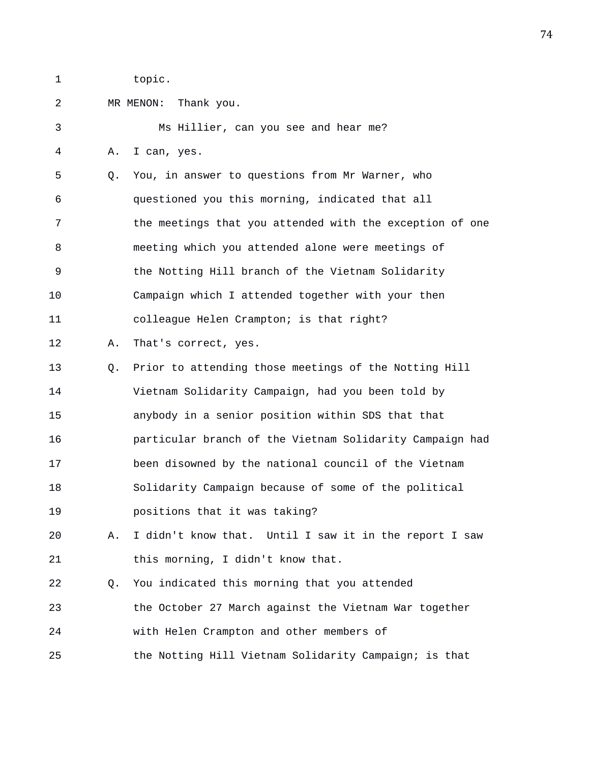1 topic.

2 MR MENON: Thank you.

3 Ms Hillier, can you see and hear me? 4 A. I can, yes. 5 Q. You, in answer to questions from Mr Warner, who 6 questioned you this morning, indicated that all 7 the meetings that you attended with the exception of one 8 meeting which you attended alone were meetings of 9 the Notting Hill branch of the Vietnam Solidarity 10 Campaign which I attended together with your then 11 colleague Helen Crampton; is that right? 12 A. That's correct, yes. 13 Q. Prior to attending those meetings of the Notting Hill 14 Vietnam Solidarity Campaign, had you been told by 15 anybody in a senior position within SDS that that 16 particular branch of the Vietnam Solidarity Campaign had 17 been disowned by the national council of the Vietnam 18 Solidarity Campaign because of some of the political 19 positions that it was taking? 20 A. I didn't know that. Until I saw it in the report I saw 21 this morning, I didn't know that. 22 Q. You indicated this morning that you attended 23 the October 27 March against the Vietnam War together 24 with Helen Crampton and other members of 25 the Notting Hill Vietnam Solidarity Campaign; is that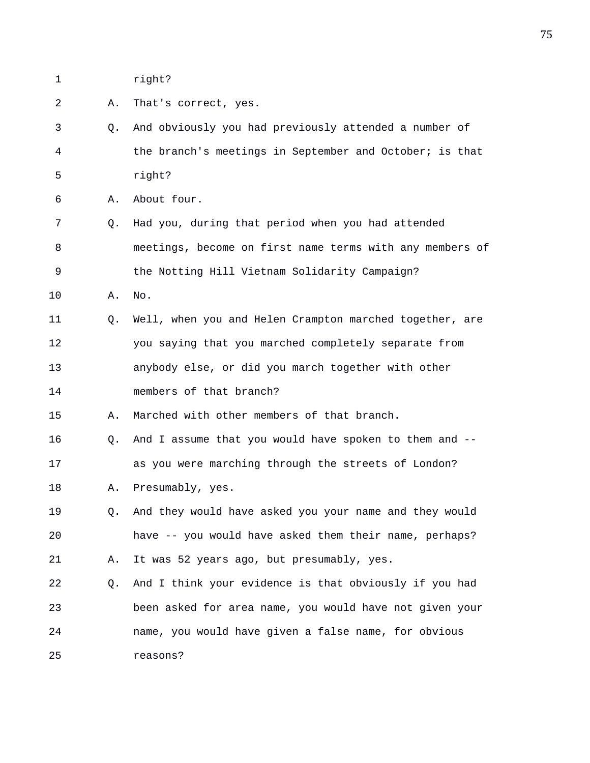1 right?

2 A. That's correct, yes.

3 Q. And obviously you had previously attended a number of 4 the branch's meetings in September and October; is that 5 right?

6 A. About four.

- 7 Q. Had you, during that period when you had attended 8 meetings, become on first name terms with any members of 9 the Notting Hill Vietnam Solidarity Campaign?
- 10 A. No.
- 11 Q. Well, when you and Helen Crampton marched together, are 12 you saying that you marched completely separate from 13 anybody else, or did you march together with other 14 members of that branch?

15 A. Marched with other members of that branch.

16 Q. And I assume that you would have spoken to them and -- 17 as you were marching through the streets of London?

- 18 A. Presumably, yes.
- 19 Q. And they would have asked you your name and they would 20 have -- you would have asked them their name, perhaps? 21 A. It was 52 years ago, but presumably, yes.
- 22 Q. And I think your evidence is that obviously if you had 23 been asked for area name, you would have not given your 24 name, you would have given a false name, for obvious 25 reasons?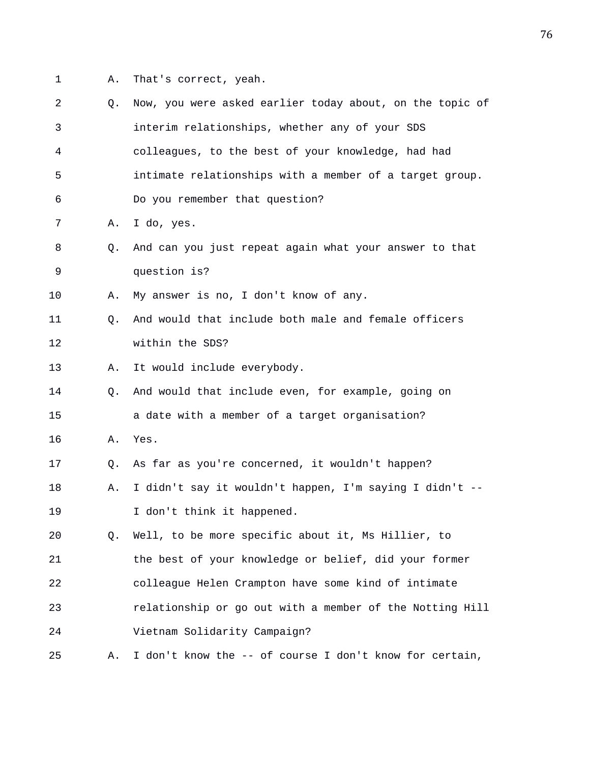1 A. That's correct, yeah.

| $\overline{2}$ | Q. | Now, you were asked earlier today about, on the topic of |
|----------------|----|----------------------------------------------------------|
| 3              |    | interim relationships, whether any of your SDS           |
| 4              |    | colleagues, to the best of your knowledge, had had       |
| 5              |    | intimate relationships with a member of a target group.  |
| 6              |    | Do you remember that question?                           |
| 7              | Α. | I do, yes.                                               |
| 8              | Q. | And can you just repeat again what your answer to that   |
| 9              |    | question is?                                             |
| 10             | Α. | My answer is no, I don't know of any.                    |
| 11             | O. | And would that include both male and female officers     |
| 12             |    | within the SDS?                                          |
| 13             | Α. | It would include everybody.                              |
| 14             | Q. | And would that include even, for example, going on       |
| 15             |    | a date with a member of a target organisation?           |
| 16             | Α. | Yes.                                                     |
| 17             | Q. | As far as you're concerned, it wouldn't happen?          |
| 18             | Α. | I didn't say it wouldn't happen, I'm saying I didn't --  |
| 19             |    | I don't think it happened.                               |
| 20             | Q. | Well, to be more specific about it, Ms Hillier, to       |
| 21             |    | the best of your knowledge or belief, did your former    |
| 22             |    | colleague Helen Crampton have some kind of intimate      |
| 23             |    | relationship or go out with a member of the Notting Hill |
| 24             |    | Vietnam Solidarity Campaign?                             |
| 25             | Α. | I don't know the -- of course I don't know for certain,  |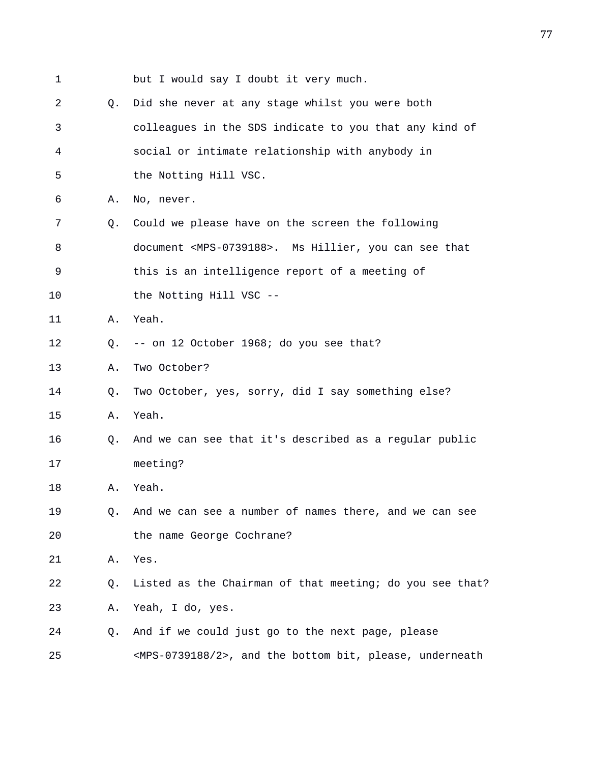| 1  |                | but I would say I doubt it very much.                                    |
|----|----------------|--------------------------------------------------------------------------|
| 2  | Q.             | Did she never at any stage whilst you were both                          |
| 3  |                | colleagues in the SDS indicate to you that any kind of                   |
| 4  |                | social or intimate relationship with anybody in                          |
| 5  |                | the Notting Hill VSC.                                                    |
| 6  | Α.             | No, never.                                                               |
| 7  | Q <sub>z</sub> | Could we please have on the screen the following                         |
| 8  |                | document <mps-0739188>. Ms Hillier, you can see that</mps-0739188>       |
| 9  |                | this is an intelligence report of a meeting of                           |
| 10 |                | the Notting Hill VSC --                                                  |
| 11 | Α.             | Yeah.                                                                    |
| 12 | 0.             | -- on 12 October 1968; do you see that?                                  |
| 13 | Α.             | Two October?                                                             |
| 14 | Q.             | Two October, yes, sorry, did I say something else?                       |
| 15 | Α.             | Yeah.                                                                    |
| 16 | O.             | And we can see that it's described as a regular public                   |
| 17 |                | meeting?                                                                 |
| 18 | Α.             | Yeah.                                                                    |
| 19 | О.             | And we can see a number of names there, and we can see                   |
| 20 |                | the name George Cochrane?                                                |
| 21 | Α.             | Yes.                                                                     |
| 22 | Q.             | Listed as the Chairman of that meeting; do you see that?                 |
| 23 | Α.             | Yeah, I do, yes.                                                         |
| 24 | Q.             | And if we could just go to the next page, please                         |
| 25 |                | <mps-0739188 2="">, and the bottom bit, please, underneath</mps-0739188> |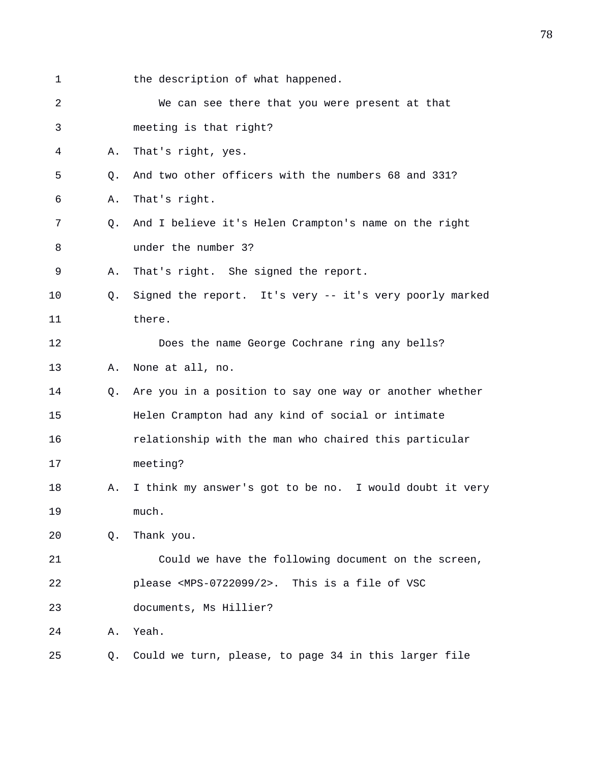| $\mathbf 1$ |                | the description of what happened.                              |
|-------------|----------------|----------------------------------------------------------------|
| 2           |                | We can see there that you were present at that                 |
| 3           |                | meeting is that right?                                         |
| 4           | Α.             | That's right, yes.                                             |
| 5           | Q.             | And two other officers with the numbers 68 and 331?            |
| 6           | Α.             | That's right.                                                  |
| 7           | Q <sub>1</sub> | And I believe it's Helen Crampton's name on the right          |
| 8           |                | under the number 3?                                            |
| 9           | Α.             | That's right. She signed the report.                           |
| 10          | Q.             | Signed the report. It's very -- it's very poorly marked        |
| 11          |                | there.                                                         |
| 12          |                | Does the name George Cochrane ring any bells?                  |
| 13          | Α.             | None at all, no.                                               |
| 14          | Q.             | Are you in a position to say one way or another whether        |
| 15          |                | Helen Crampton had any kind of social or intimate              |
| 16          |                | relationship with the man who chaired this particular          |
| 17          |                | meeting?                                                       |
| 18          | Α.             | I think my answer's got to be no. I would doubt it very        |
| 19          |                | much.                                                          |
| 20          | Q.             | Thank you.                                                     |
| 21          |                | Could we have the following document on the screen,            |
| 22          |                | please <mps-0722099 2="">. This is a file of VSC</mps-0722099> |
| 23          |                | documents, Ms Hillier?                                         |
| 24          | Α.             | Yeah.                                                          |
| 25          | Q.             | Could we turn, please, to page 34 in this larger file          |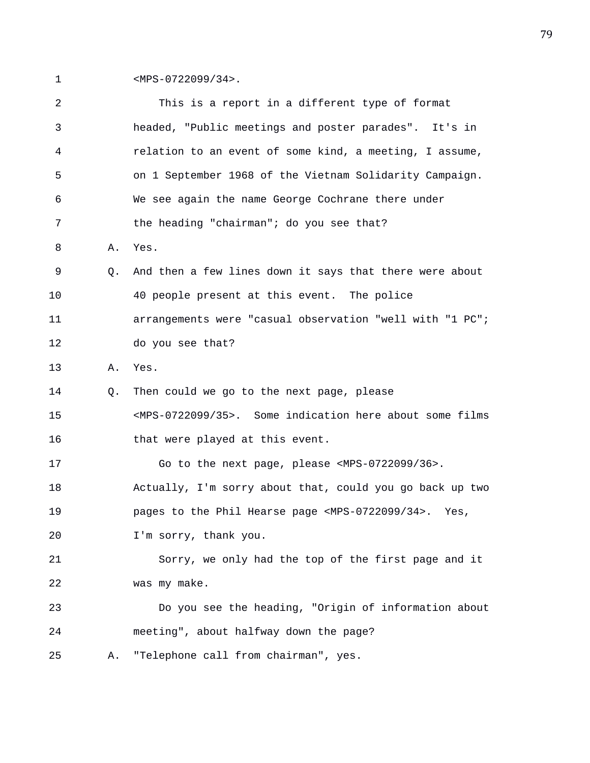1 <MPS-0722099/34>.

| 2  |    | This is a report in a different type of format                           |
|----|----|--------------------------------------------------------------------------|
| 3  |    | headed, "Public meetings and poster parades". It's in                    |
| 4  |    | relation to an event of some kind, a meeting, I assume,                  |
| 5  |    | on 1 September 1968 of the Vietnam Solidarity Campaign.                  |
| 6  |    | We see again the name George Cochrane there under                        |
| 7  |    | the heading "chairman"; do you see that?                                 |
| 8  | Α. | Yes.                                                                     |
| 9  | 0. | And then a few lines down it says that there were about                  |
| 10 |    | 40 people present at this event. The police                              |
| 11 |    | arrangements were "casual observation "well with "1 PC";                 |
| 12 |    | do you see that?                                                         |
| 13 | Α. | Yes.                                                                     |
| 14 | Q. | Then could we go to the next page, please                                |
| 15 |    | <mps-0722099 35="">. Some indication here about some films</mps-0722099> |
| 16 |    | that were played at this event.                                          |
| 17 |    | Go to the next page, please <mps-0722099 36="">.</mps-0722099>           |
| 18 |    | Actually, I'm sorry about that, could you go back up two                 |
| 19 |    | pages to the Phil Hearse page <mps-0722099 34="">. Yes,</mps-0722099>    |
| 20 |    | I'm sorry, thank you.                                                    |
| 21 |    | Sorry, we only had the top of the first page and it                      |
| 22 |    | was my make.                                                             |
| 23 |    | Do you see the heading, "Origin of information about                     |
| 24 |    | meeting", about halfway down the page?                                   |
| 25 | Α. | "Telephone call from chairman", yes.                                     |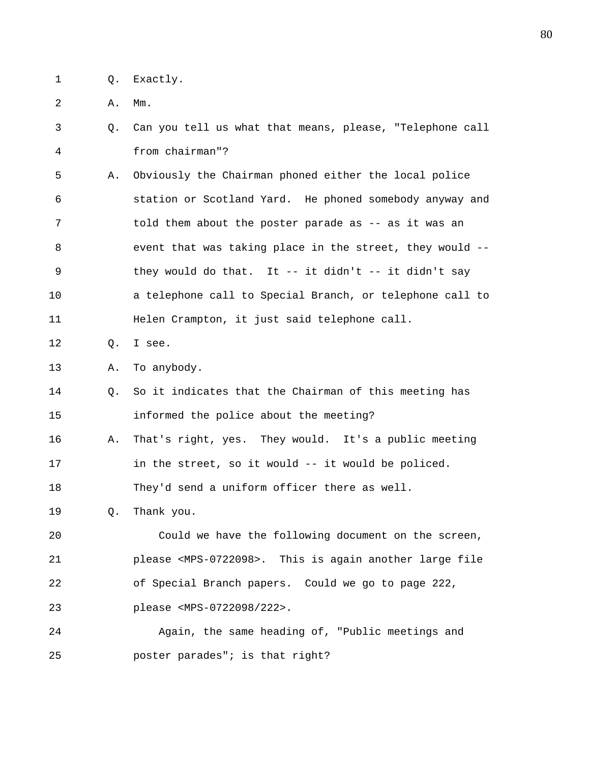1 Q. Exactly.

2 A. Mm.

- 3 Q. Can you tell us what that means, please, "Telephone call 4 from chairman"?
- 5 A. Obviously the Chairman phoned either the local police 6 station or Scotland Yard. He phoned somebody anyway and 7 told them about the poster parade as -- as it was an 8 event that was taking place in the street, they would -- 9 they would do that. It -- it didn't -- it didn't say 10 a telephone call to Special Branch, or telephone call to 11 Helen Crampton, it just said telephone call.
- 12 Q. I see.

13 A. To anybody.

- 14 Q. So it indicates that the Chairman of this meeting has 15 informed the police about the meeting?
- 16 A. That's right, yes. They would. It's a public meeting 17 in the street, so it would -- it would be policed.

18 They'd send a uniform officer there as well.

19 Q. Thank you.

20 Could we have the following document on the screen, 21 please <MPS-0722098>. This is again another large file 22 of Special Branch papers. Could we go to page 222, 23 please <MPS-0722098/222>.

24 Again, the same heading of, "Public meetings and 25 poster parades"; is that right?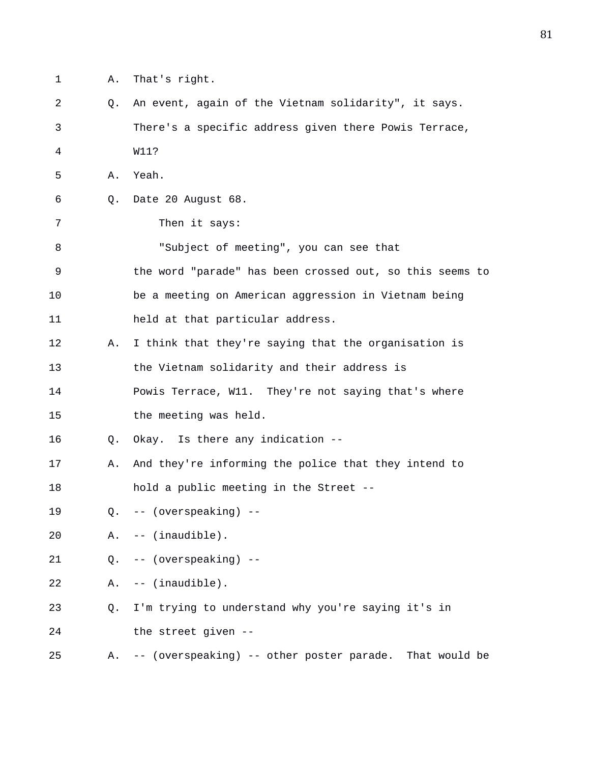- 1 A. That's right.
- 2 Q. An event, again of the Vietnam solidarity", it says. 3 There's a specific address given there Powis Terrace, 4 W11? 5 A. Yeah. 6 Q. Date 20 August 68. 7 Then it says: 8 "Subject of meeting", you can see that 9 the word "parade" has been crossed out, so this seems to 10 be a meeting on American aggression in Vietnam being 11 held at that particular address. 12 A. I think that they're saying that the organisation is 13 the Vietnam solidarity and their address is 14 Powis Terrace, W11. They're not saying that's where 15 the meeting was held. 16 Q. Okay. Is there any indication -- 17 A. And they're informing the police that they intend to 18 hold a public meeting in the Street -- 19 Q. -- (overspeaking) -- 20 A. -- (inaudible). 21 Q. -- (overspeaking) -- 22 A. -- (inaudible). 23 Q. I'm trying to understand why you're saying it's in 24 the street given -- 25 A. -- (overspeaking) -- other poster parade. That would be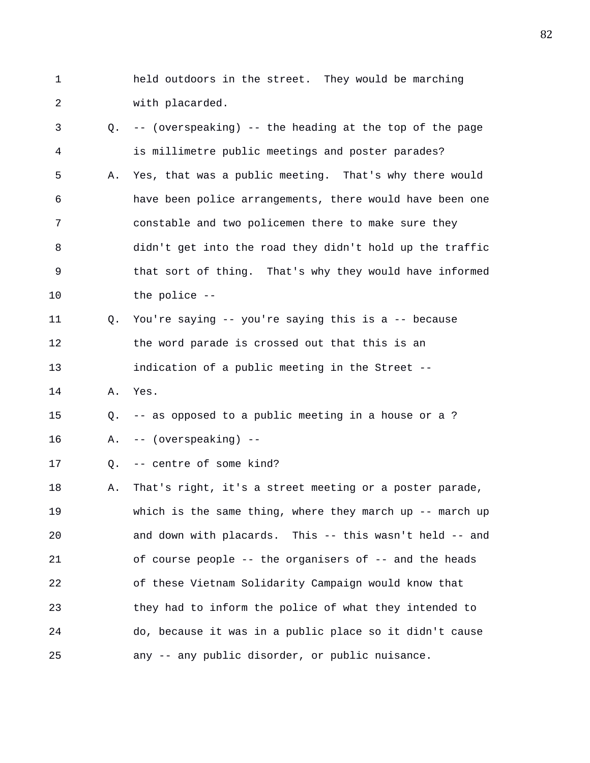- 1 held outdoors in the street. They would be marching 2 with placarded.
- 3 Q. -- (overspeaking) -- the heading at the top of the page 4 is millimetre public meetings and poster parades? 5 A. Yes, that was a public meeting. That's why there would 6 have been police arrangements, there would have been one 7 constable and two policemen there to make sure they 8 didn't get into the road they didn't hold up the traffic 9 that sort of thing. That's why they would have informed 10 the police -- 11 Q. You're saying -- you're saying this is a -- because 12 the word parade is crossed out that this is an 13 indication of a public meeting in the Street -- 14 A. Yes. 15 Q. -- as opposed to a public meeting in a house or a ? 16 A. -- (overspeaking) -- 17 Q. -- centre of some kind? 18 A. That's right, it's a street meeting or a poster parade, 19 which is the same thing, where they march up -- march up 20 and down with placards. This -- this wasn't held -- and 21 of course people -- the organisers of -- and the heads 22 of these Vietnam Solidarity Campaign would know that 23 they had to inform the police of what they intended to 24 do, because it was in a public place so it didn't cause
- 25 any -- any public disorder, or public nuisance.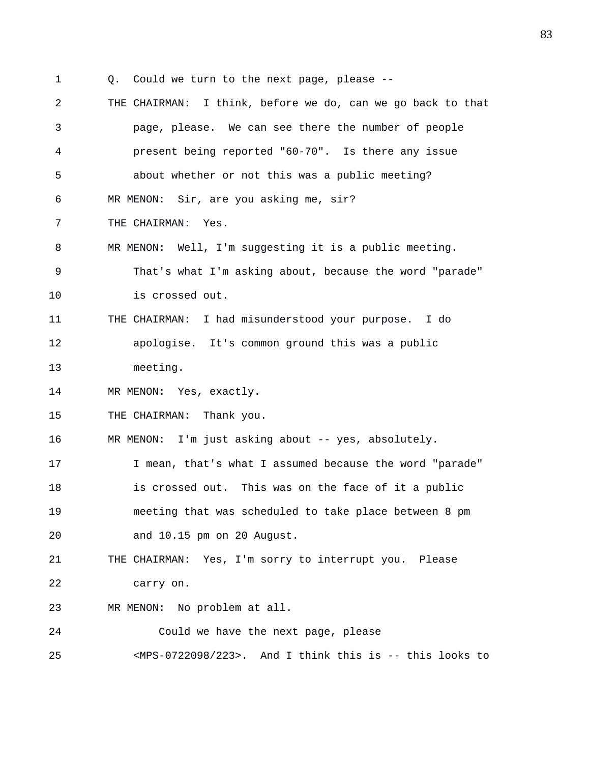- 1 Q. Could we turn to the next page, please --
- 2 THE CHAIRMAN: I think, before we do, can we go back to that 3 page, please. We can see there the number of people 4 present being reported "60-70". Is there any issue 5 about whether or not this was a public meeting? 6 MR MENON: Sir, are you asking me, sir? 7 THE CHAIRMAN: Yes. 8 MR MENON: Well, I'm suggesting it is a public meeting. 9 That's what I'm asking about, because the word "parade" 10 is crossed out. 11 THE CHAIRMAN: I had misunderstood your purpose. I do 12 apologise. It's common ground this was a public 13 meeting. 14 MR MENON: Yes, exactly. 15 THE CHAIRMAN: Thank you. 16 MR MENON: I'm just asking about -- yes, absolutely. 17 I mean, that's what I assumed because the word "parade" 18 is crossed out. This was on the face of it a public 19 meeting that was scheduled to take place between 8 pm 20 and 10.15 pm on 20 August. 21 THE CHAIRMAN: Yes, I'm sorry to interrupt you. Please 22 carry on. 23 MR MENON: No problem at all. 24 Could we have the next page, please 25 <MPS-0722098/223>. And I think this is -- this looks to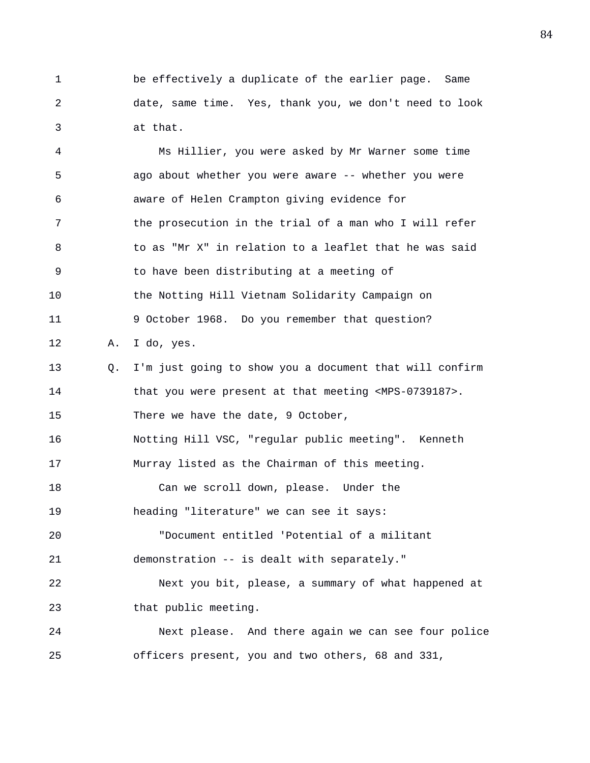1 be effectively a duplicate of the earlier page. Same 2 date, same time. Yes, thank you, we don't need to look 3 at that.

4 Ms Hillier, you were asked by Mr Warner some time 5 ago about whether you were aware -- whether you were 6 aware of Helen Crampton giving evidence for 7 the prosecution in the trial of a man who I will refer 8 to as "Mr X" in relation to a leaflet that he was said 9 to have been distributing at a meeting of 10 the Notting Hill Vietnam Solidarity Campaign on 11 9 October 1968. Do you remember that question? 12 A. I do, yes. 13 Q. I'm just going to show you a document that will confirm 14 that you were present at that meeting <MPS-0739187>. 15 There we have the date, 9 October, 16 Notting Hill VSC, "regular public meeting". Kenneth 17 Murray listed as the Chairman of this meeting. 18 Can we scroll down, please. Under the 19 heading "literature" we can see it says: 20 "Document entitled 'Potential of a militant 21 demonstration -- is dealt with separately." 22 Next you bit, please, a summary of what happened at 23 that public meeting. 24 Next please. And there again we can see four police 25 officers present, you and two others, 68 and 331,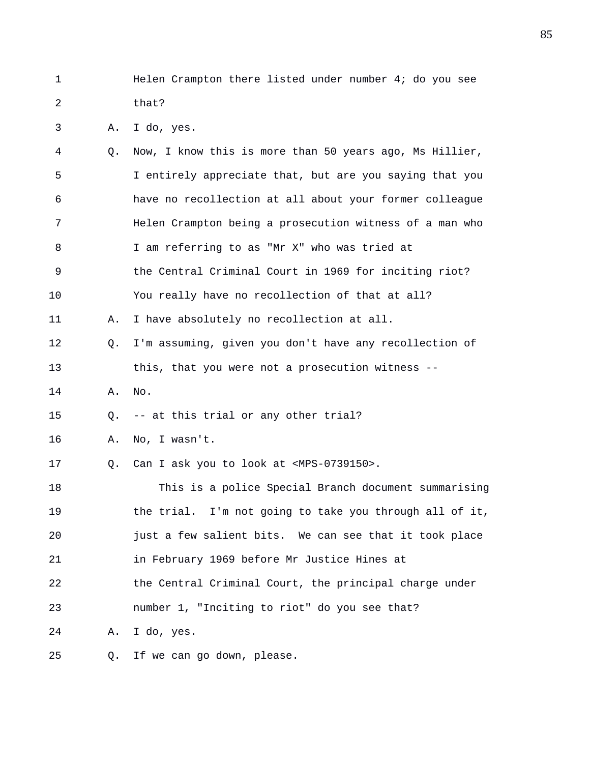1 Helen Crampton there listed under number 4; do you see 2 that?

3 A. I do, yes.

| 4  | Q.             | Now, I know this is more than 50 years ago, Ms Hillier, |
|----|----------------|---------------------------------------------------------|
| 5  |                | I entirely appreciate that, but are you saying that you |
| 6  |                | have no recollection at all about your former colleague |
| 7  |                | Helen Crampton being a prosecution witness of a man who |
| 8  |                | I am referring to as "Mr X" who was tried at            |
| 9  |                | the Central Criminal Court in 1969 for inciting riot?   |
| 10 |                | You really have no recollection of that at all?         |
| 11 | Α.             | I have absolutely no recollection at all.               |
| 12 | Q.             | I'm assuming, given you don't have any recollection of  |
| 13 |                | this, that you were not a prosecution witness --        |
| 14 | Α.             | No.                                                     |
| 15 | O.             | -- at this trial or any other trial?                    |
| 16 | Α.             | No, I wasn't.                                           |
| 17 | Q <sub>1</sub> | Can I ask you to look at <mps-0739150>.</mps-0739150>   |
| 18 |                | This is a police Special Branch document summarising    |
| 19 |                | the trial. I'm not going to take you through all of it, |
| 20 |                | just a few salient bits. We can see that it took place  |
| 21 |                | in February 1969 before Mr Justice Hines at             |
| 22 |                | the Central Criminal Court, the principal charge under  |
| 23 |                | number 1, "Inciting to riot" do you see that?           |
| 24 | Α.             | I do, yes.                                              |
| 25 | Q.             | If we can go down, please.                              |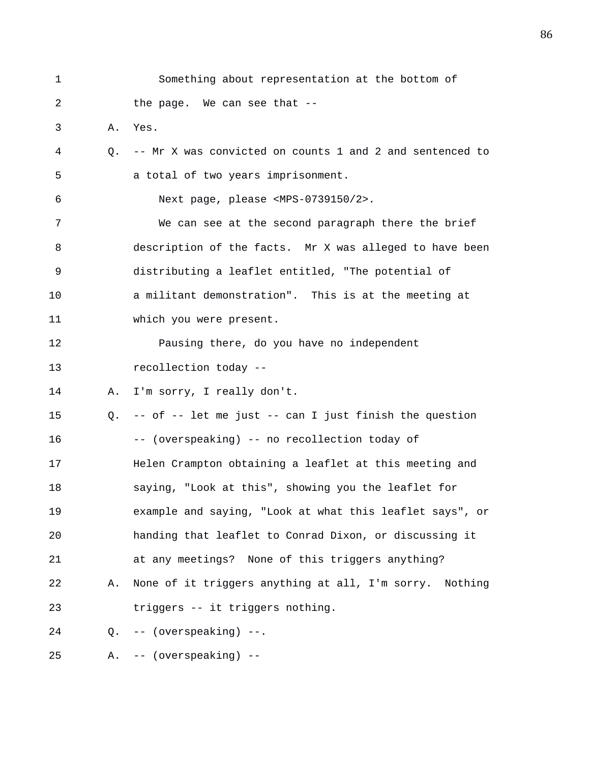| 1  |    | Something about representation at the bottom of          |
|----|----|----------------------------------------------------------|
| 2  |    | the page. We can see that --                             |
| 3  | Α. | Yes.                                                     |
| 4  | Q. | -- Mr X was convicted on counts 1 and 2 and sentenced to |
| 5  |    | a total of two years imprisonment.                       |
| 6  |    | Next page, please <mps-0739150 2="">.</mps-0739150>      |
| 7  |    | We can see at the second paragraph there the brief       |
| 8  |    | description of the facts. Mr X was alleged to have been  |
| 9  |    | distributing a leaflet entitled, "The potential of       |
| 10 |    | a militant demonstration". This is at the meeting at     |
| 11 |    | which you were present.                                  |
| 12 |    | Pausing there, do you have no independent                |
| 13 |    | recollection today --                                    |
| 14 | Α. | I'm sorry, I really don't.                               |
| 15 | 0. | -- of -- let me just -- can I just finish the question   |
| 16 |    | -- (overspeaking) -- no recollection today of            |
| 17 |    | Helen Crampton obtaining a leaflet at this meeting and   |
| 18 |    | saying, "Look at this", showing you the leaflet for      |
| 19 |    | example and saying, "Look at what this leaflet says", or |
| 20 |    | handing that leaflet to Conrad Dixon, or discussing it   |
| 21 |    | at any meetings? None of this triggers anything?         |
| 22 | Α. | None of it triggers anything at all, I'm sorry. Nothing  |
| 23 |    | triggers -- it triggers nothing.                         |
| 24 | O. | -- (overspeaking) --.                                    |
| 25 | Α. | (overspeaking) --<br>$- -$                               |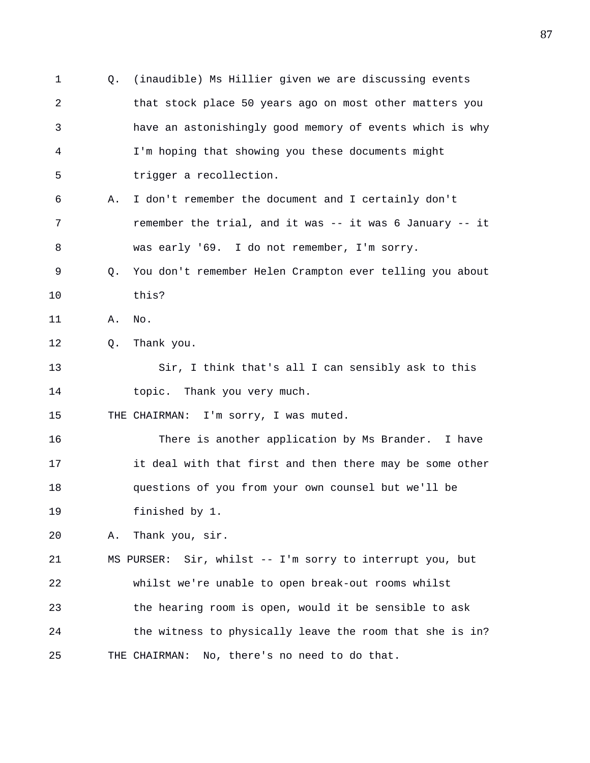1 Q. (inaudible) Ms Hillier given we are discussing events 2 that stock place 50 years ago on most other matters you 3 have an astonishingly good memory of events which is why 4 I'm hoping that showing you these documents might 5 trigger a recollection. 6 A. I don't remember the document and I certainly don't 7 remember the trial, and it was -- it was 6 January -- it 8 was early '69. I do not remember, I'm sorry. 9 Q. You don't remember Helen Crampton ever telling you about 10 this? 11 A. No. 12 Q. Thank you. 13 Sir, I think that's all I can sensibly ask to this 14 topic. Thank you very much. 15 THE CHAIRMAN: I'm sorry, I was muted. 16 There is another application by Ms Brander. I have 17 it deal with that first and then there may be some other 18 questions of you from your own counsel but we'll be 19 finished by 1. 20 A. Thank you, sir. 21 MS PURSER: Sir, whilst -- I'm sorry to interrupt you, but 22 whilst we're unable to open break-out rooms whilst 23 the hearing room is open, would it be sensible to ask 24 the witness to physically leave the room that she is in? 25 THE CHAIRMAN: No, there's no need to do that.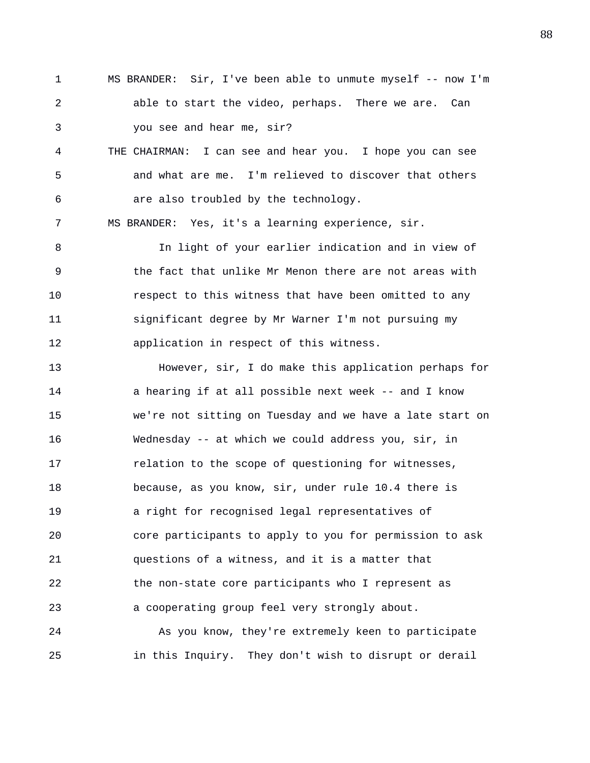1 MS BRANDER: Sir, I've been able to unmute myself -- now I'm 2 able to start the video, perhaps. There we are. Can 3 you see and hear me, sir?

4 THE CHAIRMAN: I can see and hear you. I hope you can see 5 and what are me. I'm relieved to discover that others 6 are also troubled by the technology.

7 MS BRANDER: Yes, it's a learning experience, sir.

8 In light of your earlier indication and in view of 9 the fact that unlike Mr Menon there are not areas with 10 respect to this witness that have been omitted to any 11 significant degree by Mr Warner I'm not pursuing my 12 application in respect of this witness.

13 However, sir, I do make this application perhaps for 14 a hearing if at all possible next week -- and I know 15 we're not sitting on Tuesday and we have a late start on 16 Wednesday -- at which we could address you, sir, in 17 relation to the scope of questioning for witnesses, 18 because, as you know, sir, under rule 10.4 there is 19 a right for recognised legal representatives of 20 core participants to apply to you for permission to ask 21 questions of a witness, and it is a matter that 22 the non-state core participants who I represent as 23 a cooperating group feel very strongly about.

24 As you know, they're extremely keen to participate 25 in this Inquiry. They don't wish to disrupt or derail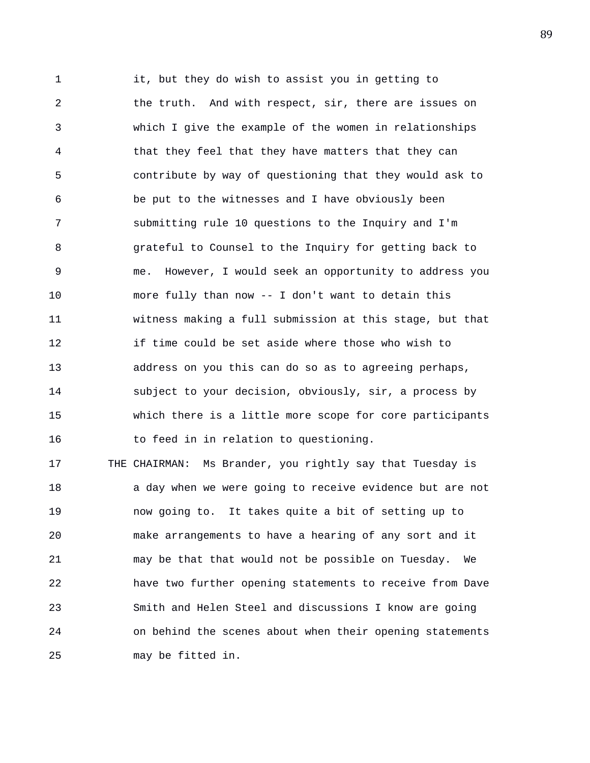1 it, but they do wish to assist you in getting to 2 the truth. And with respect, sir, there are issues on 3 which I give the example of the women in relationships 4 that they feel that they have matters that they can 5 contribute by way of questioning that they would ask to 6 be put to the witnesses and I have obviously been 7 submitting rule 10 questions to the Inquiry and I'm 8 grateful to Counsel to the Inquiry for getting back to 9 me. However, I would seek an opportunity to address you 10 more fully than now -- I don't want to detain this 11 witness making a full submission at this stage, but that 12 if time could be set aside where those who wish to 13 address on you this can do so as to agreeing perhaps, 14 subject to your decision, obviously, sir, a process by 15 which there is a little more scope for core participants 16 to feed in in relation to questioning. 17 THE CHAIRMAN: Ms Brander, you rightly say that Tuesday is

18 a day when we were going to receive evidence but are not 19 now going to. It takes quite a bit of setting up to 20 make arrangements to have a hearing of any sort and it 21 may be that that would not be possible on Tuesday. We 22 have two further opening statements to receive from Dave 23 Smith and Helen Steel and discussions I know are going 24 on behind the scenes about when their opening statements 25 may be fitted in.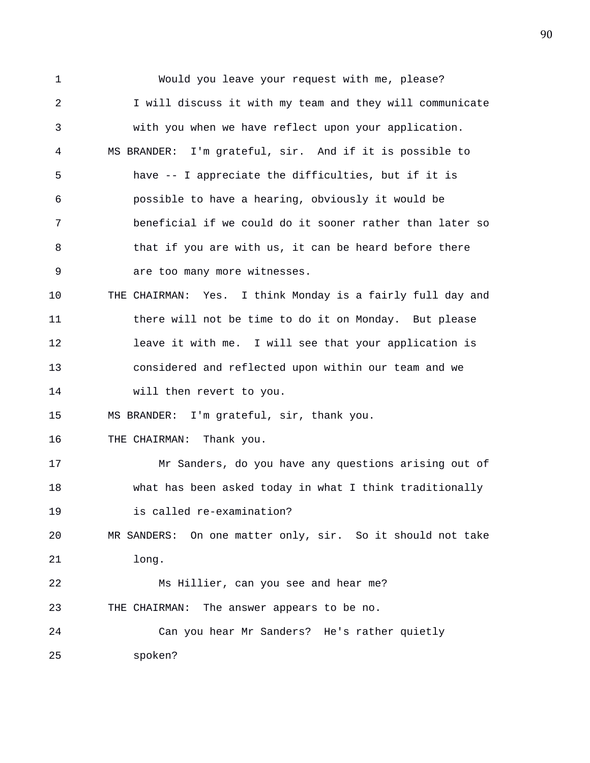1 Would you leave your request with me, please? 2 I will discuss it with my team and they will communicate 3 with you when we have reflect upon your application. 4 MS BRANDER: I'm grateful, sir. And if it is possible to 5 have -- I appreciate the difficulties, but if it is 6 possible to have a hearing, obviously it would be 7 beneficial if we could do it sooner rather than later so 8 that if you are with us, it can be heard before there 9 are too many more witnesses. 10 THE CHAIRMAN: Yes. I think Monday is a fairly full day and 11 there will not be time to do it on Monday. But please 12 leave it with me. I will see that your application is 13 considered and reflected upon within our team and we 14 will then revert to you. 15 MS BRANDER: I'm grateful, sir, thank you. 16 THE CHAIRMAN: Thank you. 17 Mr Sanders, do you have any questions arising out of 18 what has been asked today in what I think traditionally 19 is called re-examination? 20 MR SANDERS: On one matter only, sir. So it should not take 21 long. 22 Ms Hillier, can you see and hear me? 23 THE CHAIRMAN: The answer appears to be no. 24 Can you hear Mr Sanders? He's rather quietly 25 spoken?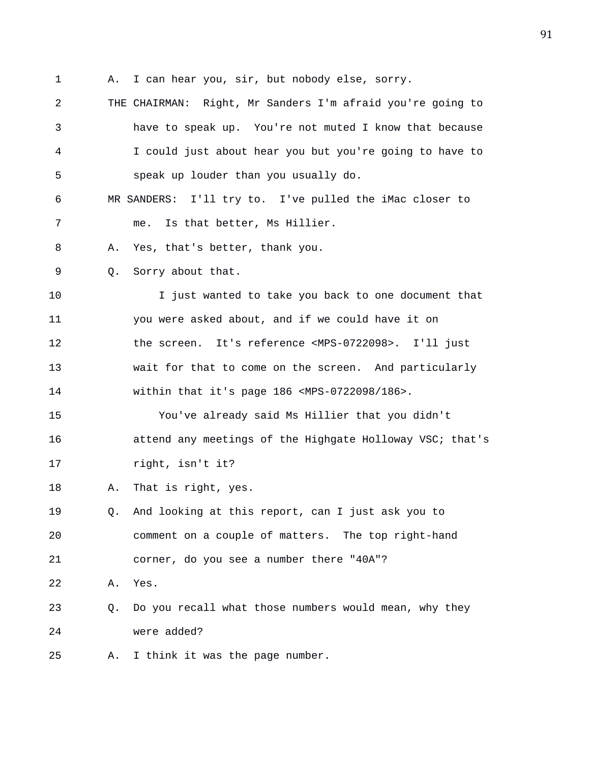- 1 A. I can hear you, sir, but nobody else, sorry.
- 2 THE CHAIRMAN: Right, Mr Sanders I'm afraid you're going to 3 have to speak up. You're not muted I know that because 4 I could just about hear you but you're going to have to 5 speak up louder than you usually do.
- 6 MR SANDERS: I'll try to. I've pulled the iMac closer to 7 me. Is that better, Ms Hillier.
- 8 A. Yes, that's better, thank you.
- 9 Q. Sorry about that.

10 I just wanted to take you back to one document that 11 you were asked about, and if we could have it on 12 the screen. It's reference <MPS-0722098>. I'll just 13 wait for that to come on the screen. And particularly 14 within that it's page 186 <MPS-0722098/186>.

15 You've already said Ms Hillier that you didn't 16 attend any meetings of the Highgate Holloway VSC; that's 17 right, isn't it?

- 18 A. That is right, yes.
- 19 Q. And looking at this report, can I just ask you to 20 comment on a couple of matters. The top right-hand 21 corner, do you see a number there "40A"?
- 22 A. Yes.
- 23 Q. Do you recall what those numbers would mean, why they 24 were added?

25 A. I think it was the page number.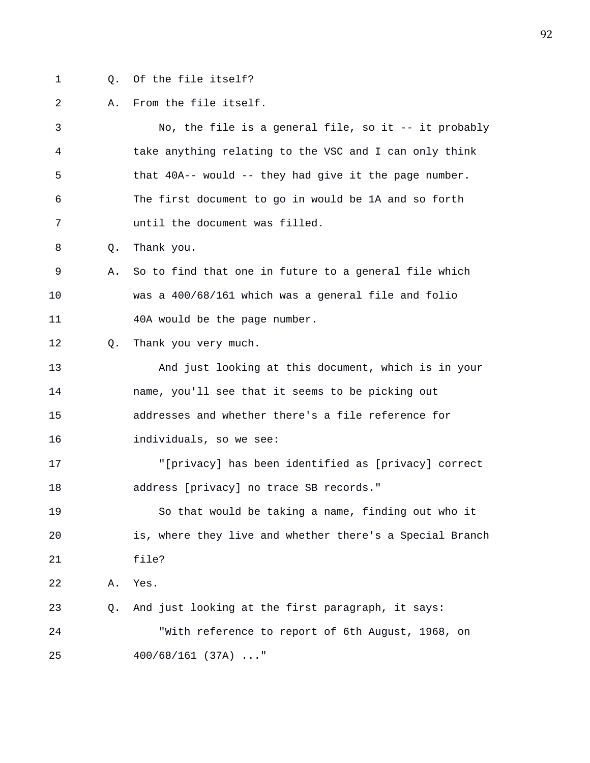- 
- 1 Q. Of the file itself?

## 2 A. From the file itself.

3 No, the file is a general file, so it -- it probably 4 take anything relating to the VSC and I can only think 5 that 40A-- would -- they had give it the page number. 6 The first document to go in would be 1A and so forth 7 until the document was filled. 8 Q. Thank you. 9 A. So to find that one in future to a general file which 10 was a 400/68/161 which was a general file and folio 11 40A would be the page number. 12 Q. Thank you very much. 13 And just looking at this document, which is in your 14 name, you'll see that it seems to be picking out 15 addresses and whether there's a file reference for 16 individuals, so we see: 17 "[privacy] has been identified as [privacy] correct 18 address [privacy] no trace SB records." 19 So that would be taking a name, finding out who it 20 is, where they live and whether there's a Special Branch 21 file? 22 A. Yes. 23 Q. And just looking at the first paragraph, it says: 24 "With reference to report of 6th August, 1968, on 25 400/68/161 (37A) ..."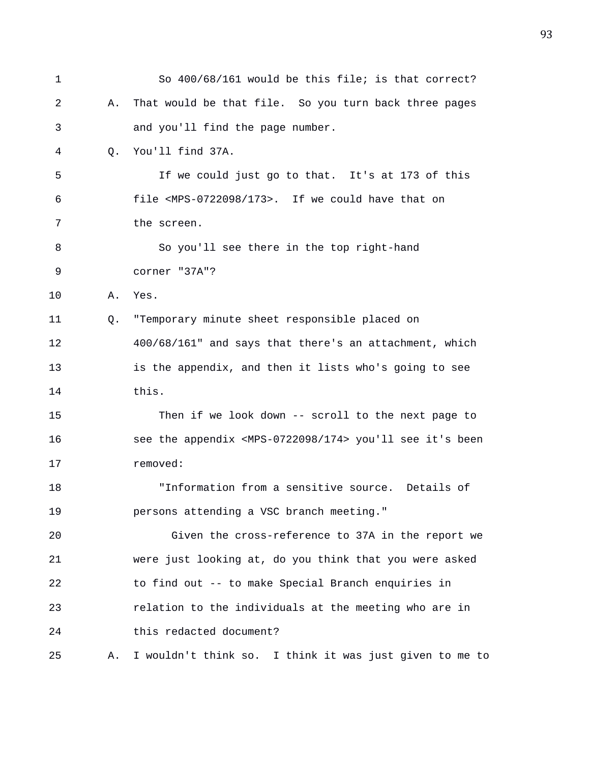| 1  |    | So 400/68/161 would be this file; is that correct?                       |  |  |  |
|----|----|--------------------------------------------------------------------------|--|--|--|
| 2  | Α. | That would be that file. So you turn back three pages                    |  |  |  |
| 3  |    | and you'll find the page number.                                         |  |  |  |
| 4  | Q. | You'll find 37A.                                                         |  |  |  |
| 5  |    | If we could just go to that. It's at 173 of this                         |  |  |  |
| 6  |    | file <mps-0722098 173="">. If we could have that on</mps-0722098>        |  |  |  |
| 7  |    | the screen.                                                              |  |  |  |
| 8  |    | So you'll see there in the top right-hand                                |  |  |  |
| 9  |    | corner "37A"?                                                            |  |  |  |
| 10 | Α. | Yes.                                                                     |  |  |  |
| 11 | Q. | "Temporary minute sheet responsible placed on                            |  |  |  |
| 12 |    | 400/68/161" and says that there's an attachment, which                   |  |  |  |
| 13 |    | is the appendix, and then it lists who's going to see                    |  |  |  |
| 14 |    | this.                                                                    |  |  |  |
| 15 |    | Then if we look down -- scroll to the next page to                       |  |  |  |
| 16 |    | see the appendix <mps-0722098 174=""> you'll see it's been</mps-0722098> |  |  |  |
| 17 |    | removed:                                                                 |  |  |  |
| 18 |    | "Information from a sensitive source. Details of                         |  |  |  |
| 19 |    | persons attending a VSC branch meeting."                                 |  |  |  |
| 20 |    | Given the cross-reference to 37A in the report we                        |  |  |  |
| 21 |    | were just looking at, do you think that you were asked                   |  |  |  |
| 22 |    | to find out -- to make Special Branch enquiries in                       |  |  |  |
| 23 |    | relation to the individuals at the meeting who are in                    |  |  |  |
| 24 |    | this redacted document?                                                  |  |  |  |
| 25 | Α. | I wouldn't think so. I think it was just given to me to                  |  |  |  |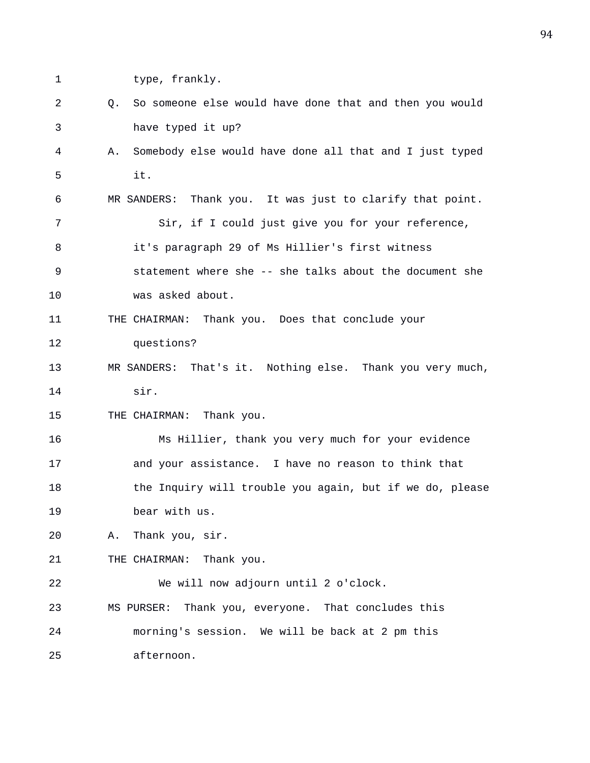- 
- 1 type, frankly.
- 2 Q. So someone else would have done that and then you would 3 have typed it up?
- 4 A. Somebody else would have done all that and I just typed 5 it.
- 6 MR SANDERS: Thank you. It was just to clarify that point. 7 Sir, if I could just give you for your reference, 8 it's paragraph 29 of Ms Hillier's first witness 9 statement where she -- she talks about the document she 10 was asked about.
- 11 THE CHAIRMAN: Thank you. Does that conclude your 12 questions?
- 13 MR SANDERS: That's it. Nothing else. Thank you very much, 14 sir.

15 THE CHAIRMAN: Thank you.

16 Ms Hillier, thank you very much for your evidence 17 and your assistance. I have no reason to think that 18 the Inquiry will trouble you again, but if we do, please 19 bear with us.

20 A. Thank you, sir.

21 THE CHAIRMAN: Thank you.

22 We will now adjourn until 2 o'clock. 23 MS PURSER: Thank you, everyone. That concludes this 24 morning's session. We will be back at 2 pm this 25 afternoon.